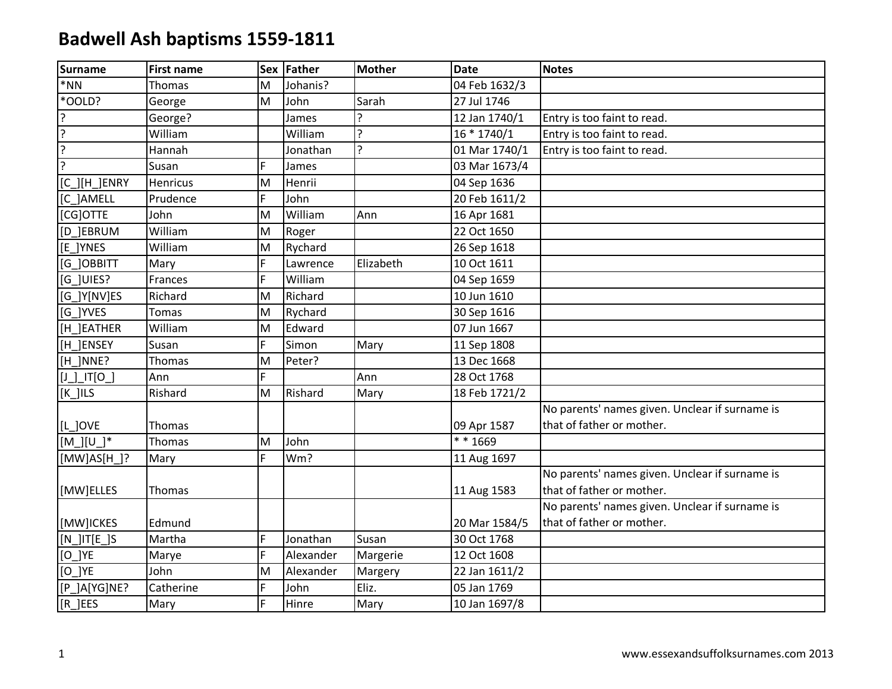| <b>Surname</b>                                         | <b>First name</b> |    | Sex Father | <b>Mother</b> | <b>Date</b>   | <b>Notes</b>                                   |
|--------------------------------------------------------|-------------------|----|------------|---------------|---------------|------------------------------------------------|
| $*NN$                                                  | Thomas            | M  | Johanis?   |               | 04 Feb 1632/3 |                                                |
| *OOLD?                                                 | George            | M  | John       | Sarah         | 27 Jul 1746   |                                                |
| ?                                                      | George?           |    | James      | ς             | 12 Jan 1740/1 | Entry is too faint to read.                    |
| $\overline{?}$                                         | William           |    | William    | ?             | 16 * 1740/1   | Entry is too faint to read.                    |
| $\overline{?}$                                         | Hannah            |    | Jonathan   | <sub>5</sub>  | 01 Mar 1740/1 | Entry is too faint to read.                    |
| $\overline{?}$                                         | Susan             | F  | James      |               | 03 Mar 1673/4 |                                                |
| $[C$ ] $[H]$ ENRY                                      | Henricus          | M  | Henrii     |               | 04 Sep 1636   |                                                |
| [C_]AMELL                                              | Prudence          | F  | John       |               | 20 Feb 1611/2 |                                                |
| [CG]OTTE                                               | John              | M  | William    | Ann           | 16 Apr 1681   |                                                |
| [D ]EBRUM                                              | William           | M  | Roger      |               | 22 Oct 1650   |                                                |
| [E ]YNES                                               | William           | M  | Rychard    |               | 26 Sep 1618   |                                                |
| [G ]OBBITT                                             | Mary              | F  | Lawrence   | Elizabeth     | 10 Oct 1611   |                                                |
| [G_]UIES?                                              | Frances           | F  | William    |               | 04 Sep 1659   |                                                |
| [G_]Y[NV]ES                                            | Richard           | M  | Richard    |               | 10 Jun 1610   |                                                |
| [G ]YVES                                               | <b>Tomas</b>      | M  | Rychard    |               | 30 Sep 1616   |                                                |
| [H ]EATHER                                             | William           | M  | Edward     |               | 07 Jun 1667   |                                                |
| [H_]ENSEY                                              | Susan             | F  | Simon      | Mary          | 11 Sep 1808   |                                                |
| $[H_]NNE$ ?                                            | Thomas            | M  | Peter?     |               | 13 Dec 1668   |                                                |
| $[J$ <sub>_</sub> $J$ <sup>_<math>T</math></sup> $[O_$ | Ann               | F. |            | Ann           | 28 Oct 1768   |                                                |
| $[K_$ ]ILS                                             | Rishard           | M  | Rishard    | Mary          | 18 Feb 1721/2 |                                                |
|                                                        |                   |    |            |               |               | No parents' names given. Unclear if surname is |
| [L_]OVE                                                | Thomas            |    |            |               | 09 Apr 1587   | that of father or mother.                      |
| $[M]][U]^*$                                            | Thomas            | M  | John       |               | ** 1669       |                                                |
| $[MW]AS[H$ ]?                                          | Mary              | F. | Wm?        |               | 11 Aug 1697   |                                                |
|                                                        |                   |    |            |               |               | No parents' names given. Unclear if surname is |
| [MW]ELLES                                              | Thomas            |    |            |               | 11 Aug 1583   | that of father or mother.                      |
|                                                        |                   |    |            |               |               | No parents' names given. Unclear if surname is |
| [MW]ICKES                                              | Edmund            |    |            |               | 20 Mar 1584/5 | that of father or mother.                      |
| $[N_]$ IT $[E_]$ S                                     | Martha            | F  | Jonathan   | Susan         | 30 Oct 1768   |                                                |
| $[O]$ YE                                               | Marye             | F  | Alexander  | Margerie      | 12 Oct 1608   |                                                |
| $[O_$ <sup>NE</sup>                                    | John              | M  | Alexander  | Margery       | 22 Jan 1611/2 |                                                |
| [P_]A[YG]NE?                                           | Catherine         | F  | John       | Eliz.         | 05 Jan 1769   |                                                |
| $[R_]EES$                                              | Mary              | F  | Hinre      | Mary          | 10 Jan 1697/8 |                                                |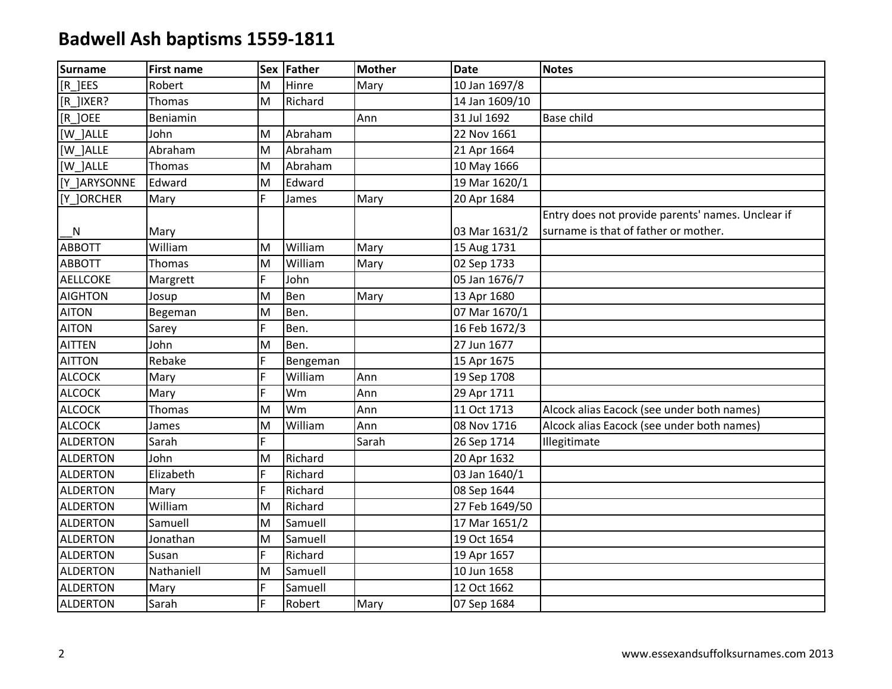| <b>Surname</b>  | <b>First name</b> |    | Sex Father | <b>Mother</b> | <b>Date</b>    | <b>Notes</b>                                      |
|-----------------|-------------------|----|------------|---------------|----------------|---------------------------------------------------|
| [R ]EES         | Robert            | M  | Hinre      | Mary          | 10 Jan 1697/8  |                                                   |
| [R ]IXER?       | Thomas            | M  | Richard    |               | 14 Jan 1609/10 |                                                   |
| [R ] OEE        | Beniamin          |    |            | Ann           | 31 Jul 1692    | <b>Base child</b>                                 |
| [W ]ALLE        | John              | M  | Abraham    |               | 22 Nov 1661    |                                                   |
| [W ]ALLE        | Abraham           | M  | Abraham    |               | 21 Apr 1664    |                                                   |
| [W ]ALLE        | Thomas            | M  | Abraham    |               | 10 May 1666    |                                                   |
| [Y ]ARYSONNE    | Edward            | M  | Edward     |               | 19 Mar 1620/1  |                                                   |
| [Y_]ORCHER      | Mary              | F. | James      | Mary          | 20 Apr 1684    |                                                   |
|                 |                   |    |            |               |                | Entry does not provide parents' names. Unclear if |
| <b>N</b>        | Mary              |    |            |               | 03 Mar 1631/2  | surname is that of father or mother.              |
| <b>ABBOTT</b>   | William           | M  | William    | Mary          | 15 Aug 1731    |                                                   |
| <b>ABBOTT</b>   | Thomas            | M  | William    | Mary          | 02 Sep 1733    |                                                   |
| <b>AELLCOKE</b> | Margrett          | F  | John       |               | 05 Jan 1676/7  |                                                   |
| <b>AIGHTON</b>  | Josup             | M  | Ben        | Mary          | 13 Apr 1680    |                                                   |
| <b>AITON</b>    | Begeman           | M  | Ben.       |               | 07 Mar 1670/1  |                                                   |
| <b>AITON</b>    | Sarey             | F  | Ben.       |               | 16 Feb 1672/3  |                                                   |
| <b>AITTEN</b>   | John              | M  | Ben.       |               | 27 Jun 1677    |                                                   |
| <b>AITTON</b>   | Rebake            | F  | Bengeman   |               | 15 Apr 1675    |                                                   |
| <b>ALCOCK</b>   | Mary              | F. | William    | Ann           | 19 Sep 1708    |                                                   |
| <b>ALCOCK</b>   | Mary              | F  | Wm         | Ann           | 29 Apr 1711    |                                                   |
| <b>ALCOCK</b>   | Thomas            | M  | Wm         | Ann           | 11 Oct 1713    | Alcock alias Eacock (see under both names)        |
| <b>ALCOCK</b>   | James             | M  | William    | Ann           | 08 Nov 1716    | Alcock alias Eacock (see under both names)        |
| <b>ALDERTON</b> | Sarah             | F. |            | Sarah         | 26 Sep 1714    | Illegitimate                                      |
| <b>ALDERTON</b> | John              | M  | Richard    |               | 20 Apr 1632    |                                                   |
| <b>ALDERTON</b> | Elizabeth         | F  | Richard    |               | 03 Jan 1640/1  |                                                   |
| <b>ALDERTON</b> | Mary              | F  | Richard    |               | 08 Sep 1644    |                                                   |
| <b>ALDERTON</b> | William           | M  | Richard    |               | 27 Feb 1649/50 |                                                   |
| <b>ALDERTON</b> | Samuell           | M  | Samuell    |               | 17 Mar 1651/2  |                                                   |
| <b>ALDERTON</b> | Jonathan          | M  | Samuell    |               | 19 Oct 1654    |                                                   |
| <b>ALDERTON</b> | Susan             | F  | Richard    |               | 19 Apr 1657    |                                                   |
| <b>ALDERTON</b> | Nathaniell        | M  | Samuell    |               | 10 Jun 1658    |                                                   |
| <b>ALDERTON</b> | Mary              | F  | Samuell    |               | 12 Oct 1662    |                                                   |
| <b>ALDERTON</b> | Sarah             | F  | Robert     | Mary          | 07 Sep 1684    |                                                   |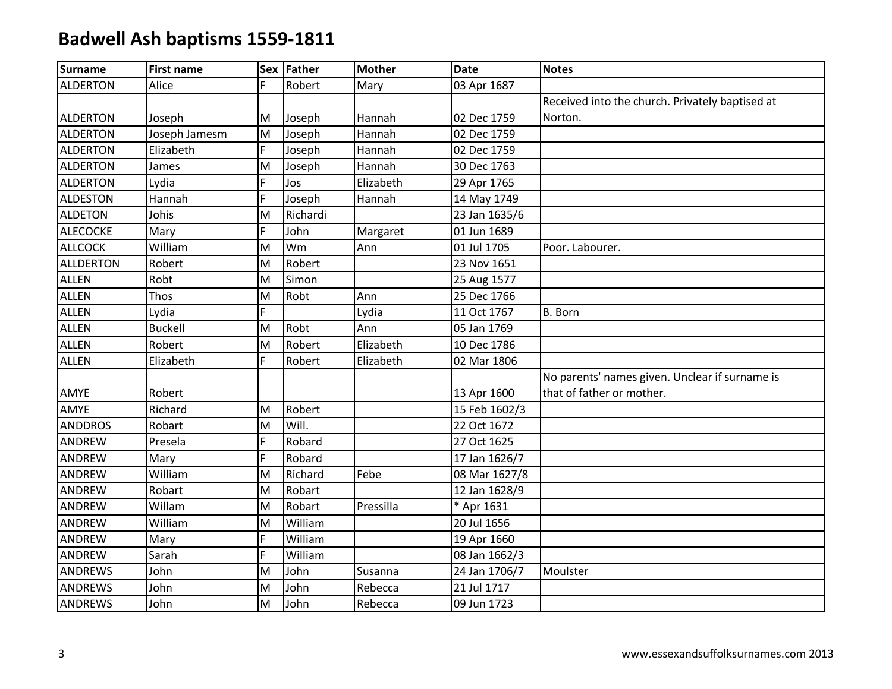| <b>Surname</b>   | <b>First name</b> |    | Sex Father | <b>Mother</b> | <b>Date</b>   | <b>Notes</b>                                    |
|------------------|-------------------|----|------------|---------------|---------------|-------------------------------------------------|
| <b>ALDERTON</b>  | Alice             | F. | Robert     | Mary          | 03 Apr 1687   |                                                 |
|                  |                   |    |            |               |               | Received into the church. Privately baptised at |
| <b>ALDERTON</b>  | Joseph            | M  | Joseph     | Hannah        | 02 Dec 1759   | Norton.                                         |
| <b>ALDERTON</b>  | Joseph Jamesm     | M  | Joseph     | Hannah        | 02 Dec 1759   |                                                 |
| <b>ALDERTON</b>  | Elizabeth         | F  | Joseph     | Hannah        | 02 Dec 1759   |                                                 |
| <b>ALDERTON</b>  | James             | M  | Joseph     | Hannah        | 30 Dec 1763   |                                                 |
| <b>ALDERTON</b>  | Lydia             | F  | Jos        | Elizabeth     | 29 Apr 1765   |                                                 |
| <b>ALDESTON</b>  | Hannah            | F  | Joseph     | Hannah        | 14 May 1749   |                                                 |
| <b>ALDETON</b>   | Johis             | M  | Richardi   |               | 23 Jan 1635/6 |                                                 |
| <b>ALECOCKE</b>  | Mary              | F  | John       | Margaret      | 01 Jun 1689   |                                                 |
| <b>ALLCOCK</b>   | William           | M  | Wm         | Ann           | 01 Jul 1705   | Poor. Labourer.                                 |
| <b>ALLDERTON</b> | Robert            | M  | Robert     |               | 23 Nov 1651   |                                                 |
| <b>ALLEN</b>     | Robt              | M  | Simon      |               | 25 Aug 1577   |                                                 |
| <b>ALLEN</b>     | Thos              | M  | Robt       | Ann           | 25 Dec 1766   |                                                 |
| <b>ALLEN</b>     | Lydia             | F  |            | Lydia         | 11 Oct 1767   | B. Born                                         |
| <b>ALLEN</b>     | <b>Buckell</b>    | M  | Robt       | Ann           | 05 Jan 1769   |                                                 |
| <b>ALLEN</b>     | Robert            | M  | Robert     | Elizabeth     | 10 Dec 1786   |                                                 |
| <b>ALLEN</b>     | Elizabeth         | F  | Robert     | Elizabeth     | 02 Mar 1806   |                                                 |
|                  |                   |    |            |               |               | No parents' names given. Unclear if surname is  |
| AMYE             | Robert            |    |            |               | 13 Apr 1600   | that of father or mother.                       |
| AMYE             | Richard           | M  | Robert     |               | 15 Feb 1602/3 |                                                 |
| <b>ANDDROS</b>   | Robart            | M  | Will.      |               | 22 Oct 1672   |                                                 |
| ANDREW           | Presela           | F  | Robard     |               | 27 Oct 1625   |                                                 |
| ANDREW           | Mary              | F  | Robard     |               | 17 Jan 1626/7 |                                                 |
| ANDREW           | William           | M  | Richard    | Febe          | 08 Mar 1627/8 |                                                 |
| <b>ANDREW</b>    | Robart            | M  | Robart     |               | 12 Jan 1628/9 |                                                 |
| ANDREW           | Willam            | M  | Robart     | Pressilla     | * Apr 1631    |                                                 |
| ANDREW           | William           | M  | William    |               | 20 Jul 1656   |                                                 |
| ANDREW           | Mary              | F  | William    |               | 19 Apr 1660   |                                                 |
| ANDREW           | Sarah             | F  | William    |               | 08 Jan 1662/3 |                                                 |
| <b>ANDREWS</b>   | John              | M  | John       | Susanna       | 24 Jan 1706/7 | Moulster                                        |
| <b>ANDREWS</b>   | John              | M  | John       | Rebecca       | 21 Jul 1717   |                                                 |
| <b>ANDREWS</b>   | John              | M  | John       | Rebecca       | 09 Jun 1723   |                                                 |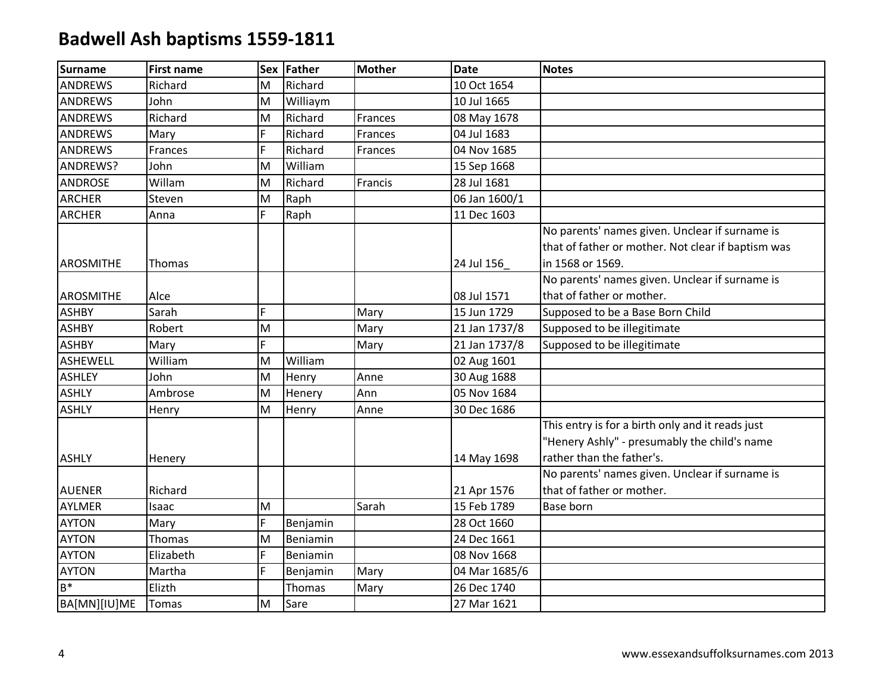| <b>Surname</b>   | <b>First name</b> |   | Sex Father | <b>Mother</b> | <b>Date</b>   | <b>Notes</b>                                       |
|------------------|-------------------|---|------------|---------------|---------------|----------------------------------------------------|
| <b>ANDREWS</b>   | Richard           | M | Richard    |               | 10 Oct 1654   |                                                    |
| <b>ANDREWS</b>   | John              | M | Williaym   |               | 10 Jul 1665   |                                                    |
| <b>ANDREWS</b>   | Richard           | M | Richard    | Frances       | 08 May 1678   |                                                    |
| <b>ANDREWS</b>   | Mary              | F | Richard    | Frances       | 04 Jul 1683   |                                                    |
| <b>ANDREWS</b>   | Frances           | F | Richard    | Frances       | 04 Nov 1685   |                                                    |
| ANDREWS?         | John              | M | William    |               | 15 Sep 1668   |                                                    |
| <b>ANDROSE</b>   | Willam            | M | Richard    | Francis       | 28 Jul 1681   |                                                    |
| <b>ARCHER</b>    | Steven            | M | Raph       |               | 06 Jan 1600/1 |                                                    |
| <b>ARCHER</b>    | Anna              | F | Raph       |               | 11 Dec 1603   |                                                    |
|                  |                   |   |            |               |               | No parents' names given. Unclear if surname is     |
|                  |                   |   |            |               |               | that of father or mother. Not clear if baptism was |
| AROSMITHE        | Thomas            |   |            |               | 24 Jul 156    | in 1568 or 1569.                                   |
|                  |                   |   |            |               |               | No parents' names given. Unclear if surname is     |
| <b>AROSMITHE</b> | Alce              |   |            |               | 08 Jul 1571   | that of father or mother.                          |
| <b>ASHBY</b>     | Sarah             | F |            | Mary          | 15 Jun 1729   | Supposed to be a Base Born Child                   |
| <b>ASHBY</b>     | Robert            | M |            | Mary          | 21 Jan 1737/8 | Supposed to be illegitimate                        |
| <b>ASHBY</b>     | Mary              | F |            | Mary          | 21 Jan 1737/8 | Supposed to be illegitimate                        |
| <b>ASHEWELL</b>  | William           | M | William    |               | 02 Aug 1601   |                                                    |
| <b>ASHLEY</b>    | John              | M | Henry      | Anne          | 30 Aug 1688   |                                                    |
| <b>ASHLY</b>     | Ambrose           | M | Henery     | Ann           | 05 Nov 1684   |                                                    |
| <b>ASHLY</b>     | Henry             | M | Henry      | Anne          | 30 Dec 1686   |                                                    |
|                  |                   |   |            |               |               | This entry is for a birth only and it reads just   |
|                  |                   |   |            |               |               | "Henery Ashly" - presumably the child's name       |
| <b>ASHLY</b>     | Henery            |   |            |               | 14 May 1698   | rather than the father's.                          |
|                  |                   |   |            |               |               | No parents' names given. Unclear if surname is     |
| <b>AUENER</b>    | Richard           |   |            |               | 21 Apr 1576   | that of father or mother.                          |
| <b>AYLMER</b>    | Isaac             | M |            | Sarah         | 15 Feb 1789   | <b>Base born</b>                                   |
| <b>AYTON</b>     | Mary              | F | Benjamin   |               | 28 Oct 1660   |                                                    |
| <b>AYTON</b>     | Thomas            | M | Beniamin   |               | 24 Dec 1661   |                                                    |
| <b>AYTON</b>     | Elizabeth         | F | Beniamin   |               | 08 Nov 1668   |                                                    |
| <b>AYTON</b>     | Martha            | F | Benjamin   | Mary          | 04 Mar 1685/6 |                                                    |
| $B^*$            | Elizth            |   | Thomas     | Mary          | 26 Dec 1740   |                                                    |
| BA[MN][IU]ME     | Tomas             | M | Sare       |               | 27 Mar 1621   |                                                    |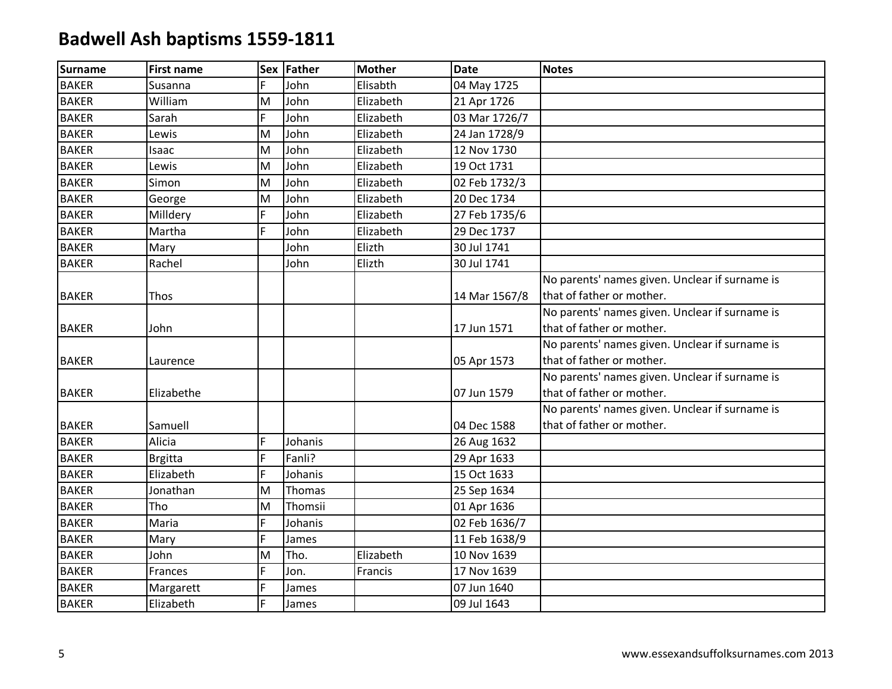| <b>Surname</b> | <b>First name</b> |   | Sex Father | <b>Mother</b> | <b>Date</b>   | <b>Notes</b>                                   |
|----------------|-------------------|---|------------|---------------|---------------|------------------------------------------------|
| <b>BAKER</b>   | Susanna           | F | John       | Elisabth      | 04 May 1725   |                                                |
| <b>BAKER</b>   | William           | M | John       | Elizabeth     | 21 Apr 1726   |                                                |
| <b>BAKER</b>   | Sarah             | F | John       | Elizabeth     | 03 Mar 1726/7 |                                                |
| <b>BAKER</b>   | Lewis             | M | John       | Elizabeth     | 24 Jan 1728/9 |                                                |
| <b>BAKER</b>   | Isaac             | M | John       | Elizabeth     | 12 Nov 1730   |                                                |
| <b>BAKER</b>   | Lewis             | M | John       | Elizabeth     | 19 Oct 1731   |                                                |
| <b>BAKER</b>   | Simon             | M | John       | Elizabeth     | 02 Feb 1732/3 |                                                |
| <b>BAKER</b>   | George            | M | John       | Elizabeth     | 20 Dec 1734   |                                                |
| <b>BAKER</b>   | Milldery          | F | John       | Elizabeth     | 27 Feb 1735/6 |                                                |
| <b>BAKER</b>   | Martha            | F | John       | Elizabeth     | 29 Dec 1737   |                                                |
| <b>BAKER</b>   | Mary              |   | John       | Elizth        | 30 Jul 1741   |                                                |
| <b>BAKER</b>   | Rachel            |   | John       | Elizth        | 30 Jul 1741   |                                                |
|                |                   |   |            |               |               | No parents' names given. Unclear if surname is |
| <b>BAKER</b>   | Thos              |   |            |               | 14 Mar 1567/8 | that of father or mother.                      |
|                |                   |   |            |               |               | No parents' names given. Unclear if surname is |
| <b>BAKER</b>   | John              |   |            |               | 17 Jun 1571   | that of father or mother.                      |
|                |                   |   |            |               |               | No parents' names given. Unclear if surname is |
| <b>BAKER</b>   | Laurence          |   |            |               | 05 Apr 1573   | that of father or mother.                      |
|                |                   |   |            |               |               | No parents' names given. Unclear if surname is |
| <b>BAKER</b>   | Elizabethe        |   |            |               | 07 Jun 1579   | that of father or mother.                      |
|                |                   |   |            |               |               | No parents' names given. Unclear if surname is |
| <b>BAKER</b>   | Samuell           |   |            |               | 04 Dec 1588   | that of father or mother.                      |
| <b>BAKER</b>   | Alicia            | F | Johanis    |               | 26 Aug 1632   |                                                |
| <b>BAKER</b>   | Brgitta           | F | Fanli?     |               | 29 Apr 1633   |                                                |
| <b>BAKER</b>   | Elizabeth         | F | Johanis    |               | 15 Oct 1633   |                                                |
| <b>BAKER</b>   | Jonathan          | M | Thomas     |               | 25 Sep 1634   |                                                |
| <b>BAKER</b>   | Tho               | M | Thomsii    |               | 01 Apr 1636   |                                                |
| <b>BAKER</b>   | Maria             | F | Johanis    |               | 02 Feb 1636/7 |                                                |
| <b>BAKER</b>   | Mary              | F | James      |               | 11 Feb 1638/9 |                                                |
| <b>BAKER</b>   | John              | M | Tho.       | Elizabeth     | 10 Nov 1639   |                                                |
| <b>BAKER</b>   | Frances           | F | Jon.       | Francis       | 17 Nov 1639   |                                                |
| <b>BAKER</b>   | Margarett         | F | James      |               | 07 Jun 1640   |                                                |
| <b>BAKER</b>   | Elizabeth         | F | James      |               | 09 Jul 1643   |                                                |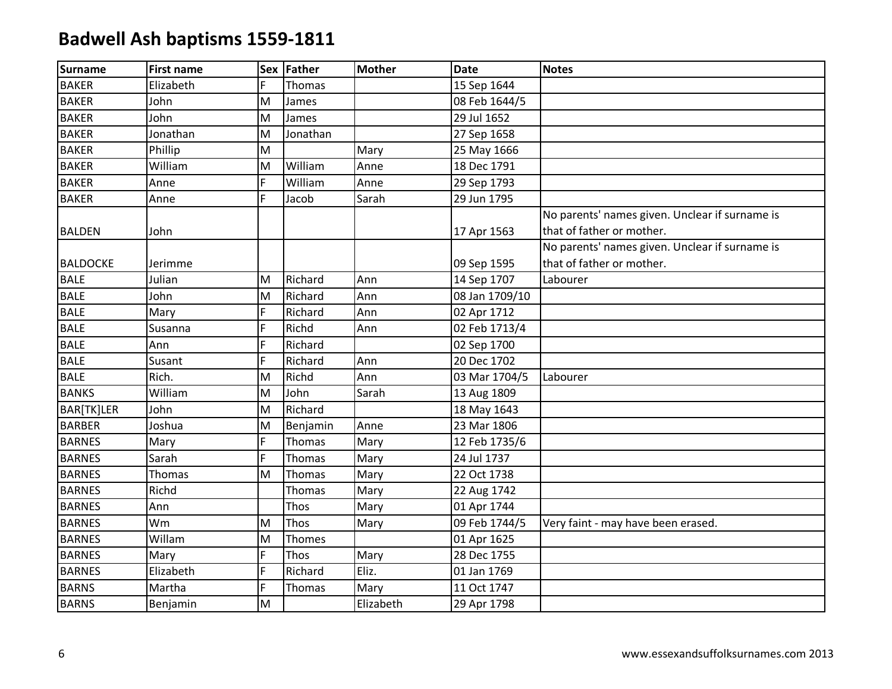| <b>Surname</b>  | <b>First name</b> |                                                                                       | Sex Father  | <b>Mother</b> | <b>Date</b>    | <b>Notes</b>                                                                |
|-----------------|-------------------|---------------------------------------------------------------------------------------|-------------|---------------|----------------|-----------------------------------------------------------------------------|
| <b>BAKER</b>    | Elizabeth         | F                                                                                     | Thomas      |               | 15 Sep 1644    |                                                                             |
| <b>BAKER</b>    | John              | M                                                                                     | James       |               | 08 Feb 1644/5  |                                                                             |
| <b>BAKER</b>    | John              | M                                                                                     | James       |               | 29 Jul 1652    |                                                                             |
| <b>BAKER</b>    | Jonathan          | M                                                                                     | Jonathan    |               | 27 Sep 1658    |                                                                             |
| <b>BAKER</b>    | Phillip           | M                                                                                     |             | Mary          | 25 May 1666    |                                                                             |
| <b>BAKER</b>    | William           | M                                                                                     | William     | Anne          | 18 Dec 1791    |                                                                             |
| <b>BAKER</b>    | Anne              | F                                                                                     | William     | Anne          | 29 Sep 1793    |                                                                             |
| <b>BAKER</b>    | Anne              | F                                                                                     | Jacob       | Sarah         | 29 Jun 1795    |                                                                             |
| <b>BALDEN</b>   | John              |                                                                                       |             |               | 17 Apr 1563    | No parents' names given. Unclear if surname is<br>that of father or mother. |
|                 |                   |                                                                                       |             |               |                | No parents' names given. Unclear if surname is                              |
| <b>BALDOCKE</b> | Jerimme           |                                                                                       |             |               | 09 Sep 1595    | that of father or mother.                                                   |
| <b>BALE</b>     | Julian            | M                                                                                     | Richard     | Ann           | 14 Sep 1707    | Labourer                                                                    |
| <b>BALE</b>     | John              | M                                                                                     | Richard     | Ann           | 08 Jan 1709/10 |                                                                             |
| <b>BALE</b>     | Mary              | F                                                                                     | Richard     | Ann           | 02 Apr 1712    |                                                                             |
| <b>BALE</b>     | Susanna           | F                                                                                     | Richd       | Ann           | 02 Feb 1713/4  |                                                                             |
| <b>BALE</b>     | Ann               | F                                                                                     | Richard     |               | 02 Sep 1700    |                                                                             |
| <b>BALE</b>     | Susant            | F                                                                                     | Richard     | Ann           | 20 Dec 1702    |                                                                             |
| <b>BALE</b>     | Rich.             | M                                                                                     | Richd       | Ann           | 03 Mar 1704/5  | Labourer                                                                    |
| <b>BANKS</b>    | William           | M                                                                                     | John        | Sarah         | 13 Aug 1809    |                                                                             |
| BAR[TK]LER      | John              | M                                                                                     | Richard     |               | 18 May 1643    |                                                                             |
| <b>BARBER</b>   | Joshua            | M                                                                                     | Benjamin    | Anne          | 23 Mar 1806    |                                                                             |
| <b>BARNES</b>   | Mary              | F                                                                                     | Thomas      | Mary          | 12 Feb 1735/6  |                                                                             |
| <b>BARNES</b>   | Sarah             | F                                                                                     | Thomas      | Mary          | 24 Jul 1737    |                                                                             |
| <b>BARNES</b>   | Thomas            | M                                                                                     | Thomas      | Mary          | 22 Oct 1738    |                                                                             |
| <b>BARNES</b>   | Richd             |                                                                                       | Thomas      | Mary          | 22 Aug 1742    |                                                                             |
| <b>BARNES</b>   | Ann               |                                                                                       | Thos        | Mary          | 01 Apr 1744    |                                                                             |
| <b>BARNES</b>   | Wm                | M                                                                                     | <b>Thos</b> | Mary          | 09 Feb 1744/5  | Very faint - may have been erased.                                          |
| <b>BARNES</b>   | Willam            | M                                                                                     | Thomes      |               | 01 Apr 1625    |                                                                             |
| <b>BARNES</b>   | Mary              | F                                                                                     | <b>Thos</b> | Mary          | 28 Dec 1755    |                                                                             |
| <b>BARNES</b>   | Elizabeth         | F                                                                                     | Richard     | Eliz.         | 01 Jan 1769    |                                                                             |
| <b>BARNS</b>    | Martha            | F                                                                                     | Thomas      | Mary          | 11 Oct 1747    |                                                                             |
| <b>BARNS</b>    | Benjamin          | $\mathsf{M}% _{T}=\mathsf{M}_{T}\!\left( a,b\right) ,\ \mathsf{M}_{T}=\mathsf{M}_{T}$ |             | Elizabeth     | 29 Apr 1798    |                                                                             |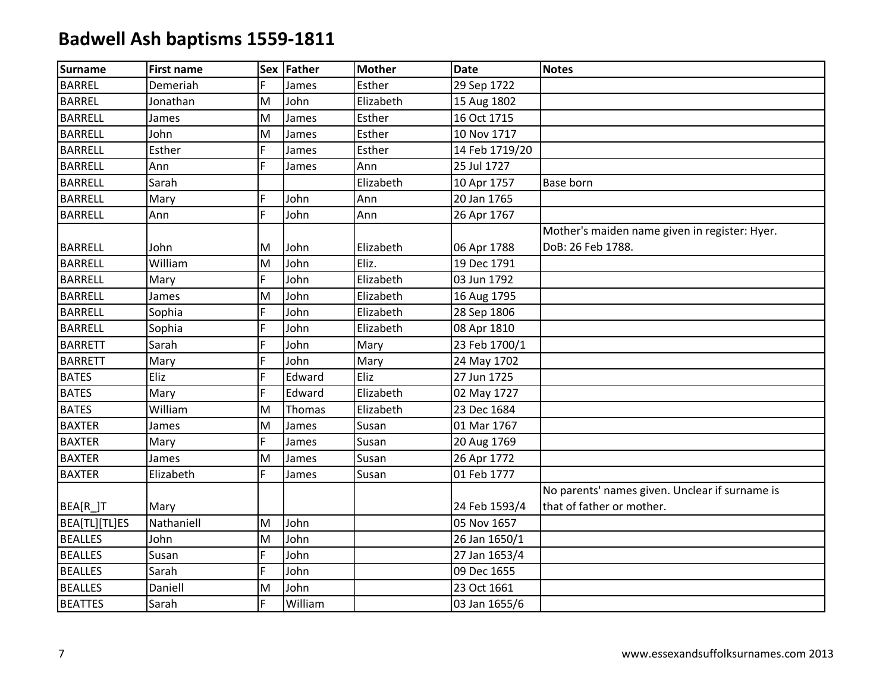| <b>Surname</b> | <b>First name</b> |    | Sex Father | <b>Mother</b> | <b>Date</b>    | <b>Notes</b>                                                                |
|----------------|-------------------|----|------------|---------------|----------------|-----------------------------------------------------------------------------|
| <b>BARREL</b>  | Demeriah          | F. | James      | Esther        | 29 Sep 1722    |                                                                             |
| <b>BARREL</b>  | Jonathan          | M  | John       | Elizabeth     | 15 Aug 1802    |                                                                             |
| <b>BARRELL</b> | James             | M  | James      | Esther        | 16 Oct 1715    |                                                                             |
| <b>BARRELL</b> | John              | M  | James      | Esther        | 10 Nov 1717    |                                                                             |
| <b>BARRELL</b> | Esther            | F  | James      | Esther        | 14 Feb 1719/20 |                                                                             |
| <b>BARRELL</b> | Ann               | F. | James      | Ann           | 25 Jul 1727    |                                                                             |
| <b>BARRELL</b> | Sarah             |    |            | Elizabeth     | 10 Apr 1757    | <b>Base born</b>                                                            |
| <b>BARRELL</b> | Mary              | F. | John       | Ann           | 20 Jan 1765    |                                                                             |
| <b>BARRELL</b> | Ann               | F  | John       | Ann           | 26 Apr 1767    |                                                                             |
| <b>BARRELL</b> | John              | M  | John       | Elizabeth     | 06 Apr 1788    | Mother's maiden name given in register: Hyer.<br>DoB: 26 Feb 1788.          |
| <b>BARRELL</b> | William           | M  | John       | Eliz.         | 19 Dec 1791    |                                                                             |
| <b>BARRELL</b> | Mary              | F. | John       | Elizabeth     | 03 Jun 1792    |                                                                             |
| <b>BARRELL</b> | James             | M  | John       | Elizabeth     | 16 Aug 1795    |                                                                             |
| <b>BARRELL</b> | Sophia            | F  | John       | Elizabeth     | 28 Sep 1806    |                                                                             |
| <b>BARRELL</b> | Sophia            | F. | John       | Elizabeth     | 08 Apr 1810    |                                                                             |
| <b>BARRETT</b> | Sarah             | F  | John       | Mary          | 23 Feb 1700/1  |                                                                             |
| <b>BARRETT</b> | Mary              | F  | John       | Mary          | 24 May 1702    |                                                                             |
| <b>BATES</b>   | Eliz              | F  | Edward     | Eliz          | 27 Jun 1725    |                                                                             |
| <b>BATES</b>   | Mary              | F. | Edward     | Elizabeth     | 02 May 1727    |                                                                             |
| <b>BATES</b>   | William           | M  | Thomas     | Elizabeth     | 23 Dec 1684    |                                                                             |
| <b>BAXTER</b>  | James             | M  | James      | Susan         | 01 Mar 1767    |                                                                             |
| <b>BAXTER</b>  | Mary              | F. | James      | Susan         | 20 Aug 1769    |                                                                             |
| <b>BAXTER</b>  | James             | M  | James      | Susan         | 26 Apr 1772    |                                                                             |
| <b>BAXTER</b>  | Elizabeth         | F. | James      | Susan         | 01 Feb 1777    |                                                                             |
| BEA[R_]T       | Mary              |    |            |               | 24 Feb 1593/4  | No parents' names given. Unclear if surname is<br>that of father or mother. |
| BEA[TL][TL]ES  | Nathaniell        | M  | John       |               | 05 Nov 1657    |                                                                             |
| <b>BEALLES</b> | John              | M  | John       |               | 26 Jan 1650/1  |                                                                             |
| <b>BEALLES</b> | Susan             | F  | John       |               | 27 Jan 1653/4  |                                                                             |
| <b>BEALLES</b> | Sarah             | F. | John       |               | 09 Dec 1655    |                                                                             |
| <b>BEALLES</b> | Daniell           | M  | John       |               | 23 Oct 1661    |                                                                             |
| <b>BEATTES</b> | Sarah             | F  | William    |               | 03 Jan 1655/6  |                                                                             |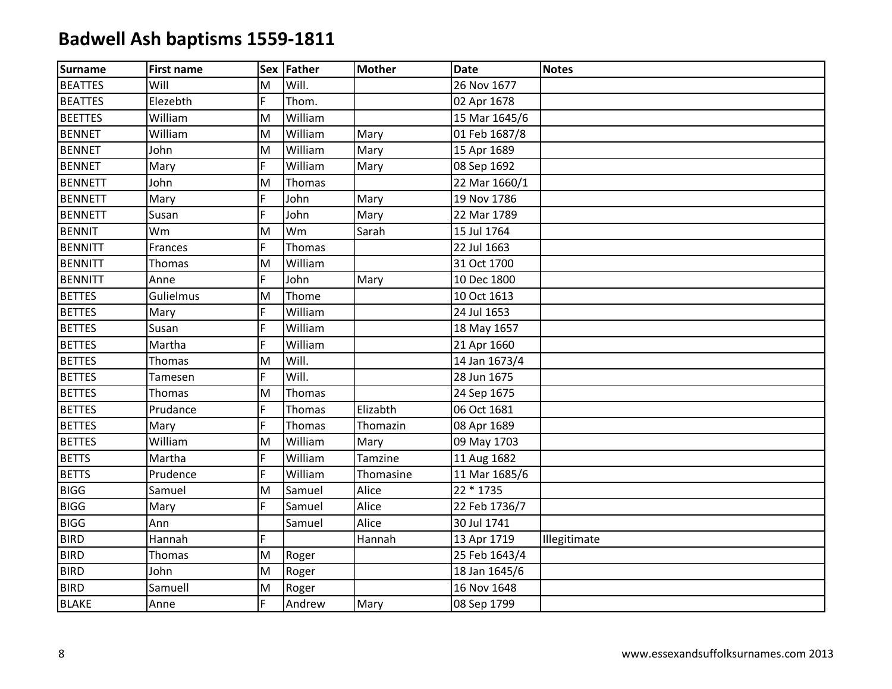| Surname        | <b>First name</b> |   | Sex Father | <b>Mother</b> | <b>Date</b>   | <b>Notes</b> |
|----------------|-------------------|---|------------|---------------|---------------|--------------|
| <b>BEATTES</b> | Will              | M | Will.      |               | 26 Nov 1677   |              |
| <b>BEATTES</b> | Elezebth          | F | Thom.      |               | 02 Apr 1678   |              |
| <b>BEETTES</b> | William           | M | William    |               | 15 Mar 1645/6 |              |
| <b>BENNET</b>  | William           | M | William    | Mary          | 01 Feb 1687/8 |              |
| <b>BENNET</b>  | John              | M | William    | Mary          | 15 Apr 1689   |              |
| <b>BENNET</b>  | Mary              | F | William    | Mary          | 08 Sep 1692   |              |
| <b>BENNETT</b> | John              | M | Thomas     |               | 22 Mar 1660/1 |              |
| <b>BENNETT</b> | Mary              | F | John       | Mary          | 19 Nov 1786   |              |
| <b>BENNETT</b> | Susan             | F | John       | Mary          | 22 Mar 1789   |              |
| <b>BENNIT</b>  | Wm                | M | Wm         | Sarah         | 15 Jul 1764   |              |
| <b>BENNITT</b> | Frances           | F | Thomas     |               | 22 Jul 1663   |              |
| <b>BENNITT</b> | Thomas            | M | William    |               | 31 Oct 1700   |              |
| <b>BENNITT</b> | Anne              | F | John       | Mary          | 10 Dec 1800   |              |
| <b>BETTES</b>  | Gulielmus         | M | Thome      |               | 10 Oct 1613   |              |
| <b>BETTES</b>  | Mary              | F | William    |               | 24 Jul 1653   |              |
| <b>BETTES</b>  | Susan             | F | William    |               | 18 May 1657   |              |
| <b>BETTES</b>  | Martha            | F | William    |               | 21 Apr 1660   |              |
| <b>BETTES</b>  | Thomas            | M | Will.      |               | 14 Jan 1673/4 |              |
| <b>BETTES</b>  | Tamesen           | F | Will.      |               | 28 Jun 1675   |              |
| <b>BETTES</b>  | Thomas            | M | Thomas     |               | 24 Sep 1675   |              |
| <b>BETTES</b>  | Prudance          | F | Thomas     | Elizabth      | 06 Oct 1681   |              |
| <b>BETTES</b>  | Mary              | F | Thomas     | Thomazin      | 08 Apr 1689   |              |
| <b>BETTES</b>  | William           | M | William    | Mary          | 09 May 1703   |              |
| <b>BETTS</b>   | Martha            | F | William    | Tamzine       | 11 Aug 1682   |              |
| <b>BETTS</b>   | Prudence          | F | William    | Thomasine     | 11 Mar 1685/6 |              |
| <b>BIGG</b>    | Samuel            | M | Samuel     | Alice         | 22 * 1735     |              |
| <b>BIGG</b>    | Mary              | F | Samuel     | Alice         | 22 Feb 1736/7 |              |
| <b>BIGG</b>    | Ann               |   | Samuel     | Alice         | 30 Jul 1741   |              |
| <b>BIRD</b>    | Hannah            | F |            | Hannah        | 13 Apr 1719   | Illegitimate |
| <b>BIRD</b>    | Thomas            | M | Roger      |               | 25 Feb 1643/4 |              |
| <b>BIRD</b>    | John              | M | Roger      |               | 18 Jan 1645/6 |              |
| <b>BIRD</b>    | Samuell           | M | Roger      |               | 16 Nov 1648   |              |
| <b>BLAKE</b>   | Anne              | F | Andrew     | Mary          | 08 Sep 1799   |              |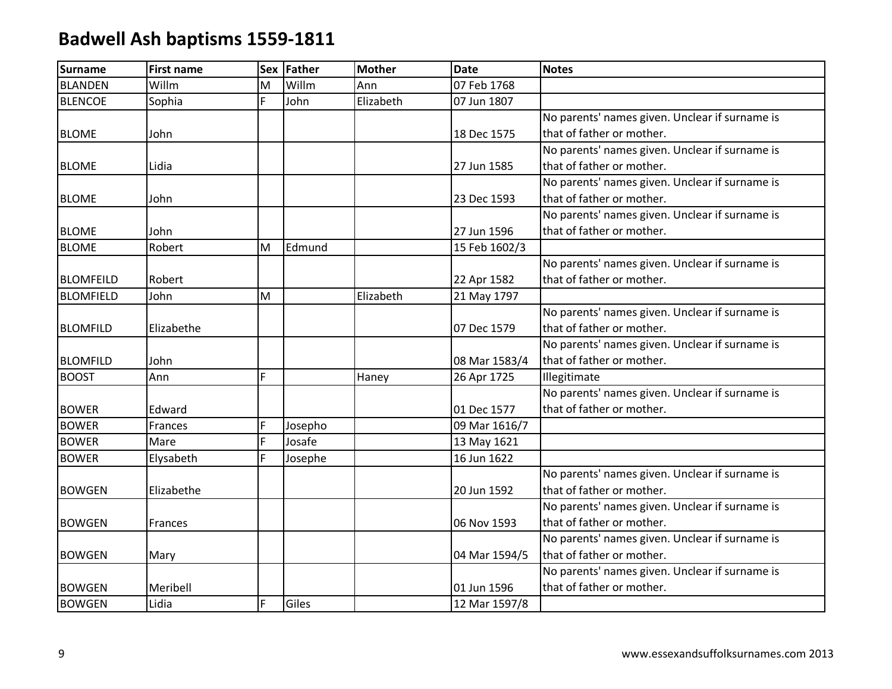| <b>Surname</b>   | <b>First name</b> |    | Sex Father | <b>Mother</b> | <b>Date</b>   | <b>Notes</b>                                   |
|------------------|-------------------|----|------------|---------------|---------------|------------------------------------------------|
| <b>BLANDEN</b>   | Willm             | M  | Willm      | Ann           | 07 Feb 1768   |                                                |
| <b>BLENCOE</b>   | Sophia            | F. | John       | Elizabeth     | 07 Jun 1807   |                                                |
|                  |                   |    |            |               |               | No parents' names given. Unclear if surname is |
| <b>BLOME</b>     | John              |    |            |               | 18 Dec 1575   | that of father or mother.                      |
|                  |                   |    |            |               |               | No parents' names given. Unclear if surname is |
| <b>BLOME</b>     | Lidia             |    |            |               | 27 Jun 1585   | that of father or mother.                      |
|                  |                   |    |            |               |               | No parents' names given. Unclear if surname is |
| <b>BLOME</b>     | John              |    |            |               | 23 Dec 1593   | that of father or mother.                      |
|                  |                   |    |            |               |               | No parents' names given. Unclear if surname is |
| <b>BLOME</b>     | John              |    |            |               | 27 Jun 1596   | that of father or mother.                      |
| <b>BLOME</b>     | Robert            | M  | Edmund     |               | 15 Feb 1602/3 |                                                |
|                  |                   |    |            |               |               | No parents' names given. Unclear if surname is |
| <b>BLOMFEILD</b> | Robert            |    |            |               | 22 Apr 1582   | that of father or mother.                      |
| <b>BLOMFIELD</b> | John              | M  |            | Elizabeth     | 21 May 1797   |                                                |
|                  |                   |    |            |               |               | No parents' names given. Unclear if surname is |
| <b>BLOMFILD</b>  | Elizabethe        |    |            |               | 07 Dec 1579   | that of father or mother.                      |
|                  |                   |    |            |               |               | No parents' names given. Unclear if surname is |
| <b>BLOMFILD</b>  | John              |    |            |               | 08 Mar 1583/4 | that of father or mother.                      |
| <b>BOOST</b>     | Ann               | F. |            | Haney         | 26 Apr 1725   | Illegitimate                                   |
|                  |                   |    |            |               |               | No parents' names given. Unclear if surname is |
| <b>BOWER</b>     | Edward            |    |            |               | 01 Dec 1577   | that of father or mother.                      |
| <b>BOWER</b>     | Frances           | F  | Josepho    |               | 09 Mar 1616/7 |                                                |
| <b>BOWER</b>     | Mare              | F  | Josafe     |               | 13 May 1621   |                                                |
| <b>BOWER</b>     | Elysabeth         | F  | Josephe    |               | 16 Jun 1622   |                                                |
|                  |                   |    |            |               |               | No parents' names given. Unclear if surname is |
| <b>BOWGEN</b>    | Elizabethe        |    |            |               | 20 Jun 1592   | that of father or mother.                      |
|                  |                   |    |            |               |               | No parents' names given. Unclear if surname is |
| <b>BOWGEN</b>    | Frances           |    |            |               | 06 Nov 1593   | that of father or mother.                      |
|                  |                   |    |            |               |               | No parents' names given. Unclear if surname is |
| <b>BOWGEN</b>    | Mary              |    |            |               | 04 Mar 1594/5 | that of father or mother.                      |
|                  |                   |    |            |               |               | No parents' names given. Unclear if surname is |
| <b>BOWGEN</b>    | Meribell          |    |            |               | 01 Jun 1596   | that of father or mother.                      |
| <b>BOWGEN</b>    | Lidia             | F  | Giles      |               | 12 Mar 1597/8 |                                                |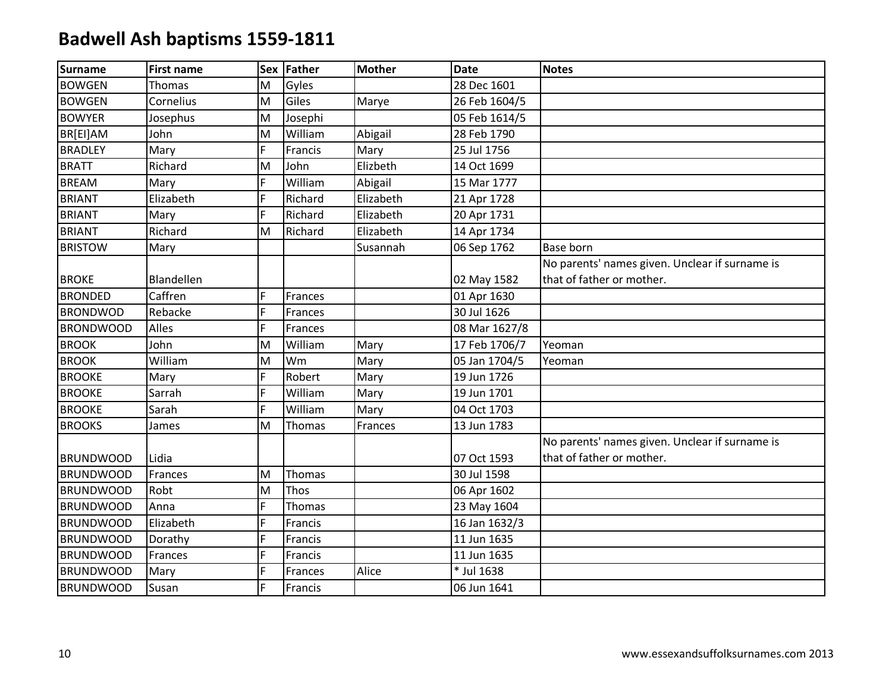| <b>Surname</b>   | <b>First name</b> |    | Sex Father | <b>Mother</b> | <b>Date</b>   | <b>Notes</b>                                   |
|------------------|-------------------|----|------------|---------------|---------------|------------------------------------------------|
| <b>BOWGEN</b>    | Thomas            | M  | Gyles      |               | 28 Dec 1601   |                                                |
| <b>BOWGEN</b>    | Cornelius         | M  | Giles      | Marye         | 26 Feb 1604/5 |                                                |
| <b>BOWYER</b>    | Josephus          | M  | Josephi    |               | 05 Feb 1614/5 |                                                |
| BR[EI]AM         | John              | M  | William    | Abigail       | 28 Feb 1790   |                                                |
| <b>BRADLEY</b>   | Mary              | F. | Francis    | Mary          | 25 Jul 1756   |                                                |
| <b>BRATT</b>     | Richard           | M  | John       | Elizbeth      | 14 Oct 1699   |                                                |
| <b>BREAM</b>     | Mary              | F  | William    | Abigail       | 15 Mar 1777   |                                                |
| <b>BRIANT</b>    | Elizabeth         | F. | Richard    | Elizabeth     | 21 Apr 1728   |                                                |
| <b>BRIANT</b>    | Mary              | F  | Richard    | Elizabeth     | 20 Apr 1731   |                                                |
| <b>BRIANT</b>    | Richard           | M  | Richard    | Elizabeth     | 14 Apr 1734   |                                                |
| <b>BRISTOW</b>   | Mary              |    |            | Susannah      | 06 Sep 1762   | <b>Base born</b>                               |
|                  |                   |    |            |               |               | No parents' names given. Unclear if surname is |
| <b>BROKE</b>     | Blandellen        |    |            |               | 02 May 1582   | that of father or mother.                      |
| <b>BRONDED</b>   | Caffren           | F  | Frances    |               | 01 Apr 1630   |                                                |
| <b>BRONDWOD</b>  | Rebacke           | F  | Frances    |               | 30 Jul 1626   |                                                |
| <b>BRONDWOOD</b> | Alles             | E. | Frances    |               | 08 Mar 1627/8 |                                                |
| <b>BROOK</b>     | John              | M  | William    | Mary          | 17 Feb 1706/7 | Yeoman                                         |
| <b>BROOK</b>     | William           | M  | Wm         | Mary          | 05 Jan 1704/5 | Yeoman                                         |
| <b>BROOKE</b>    | Mary              | F  | Robert     | Mary          | 19 Jun 1726   |                                                |
| <b>BROOKE</b>    | Sarrah            | F. | William    | Mary          | 19 Jun 1701   |                                                |
| <b>BROOKE</b>    | Sarah             | F. | William    | Mary          | 04 Oct 1703   |                                                |
| <b>BROOKS</b>    | James             | M  | Thomas     | Frances       | 13 Jun 1783   |                                                |
|                  |                   |    |            |               |               | No parents' names given. Unclear if surname is |
| <b>BRUNDWOOD</b> | Lidia             |    |            |               | 07 Oct 1593   | that of father or mother.                      |
| <b>BRUNDWOOD</b> | Frances           | M  | Thomas     |               | 30 Jul 1598   |                                                |
| <b>BRUNDWOOD</b> | Robt              | M  | Thos       |               | 06 Apr 1602   |                                                |
| <b>BRUNDWOOD</b> | Anna              | F. | Thomas     |               | 23 May 1604   |                                                |
| <b>BRUNDWOOD</b> | Elizabeth         | E. | Francis    |               | 16 Jan 1632/3 |                                                |
| <b>BRUNDWOOD</b> | Dorathy           | E. | Francis    |               | 11 Jun 1635   |                                                |
| <b>BRUNDWOOD</b> | Frances           | Ë  | Francis    |               | 11 Jun 1635   |                                                |
| <b>BRUNDWOOD</b> | Mary              | F  | Frances    | Alice         | * Jul 1638    |                                                |
| <b>BRUNDWOOD</b> | Susan             |    | Francis    |               | 06 Jun 1641   |                                                |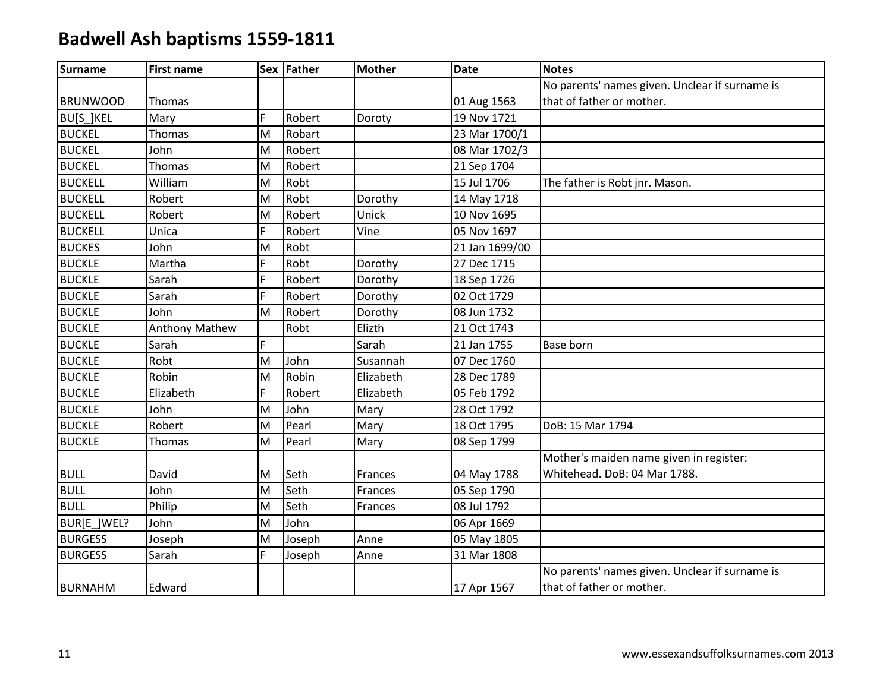| <b>Surname</b>  | <b>First name</b>     |    | Sex Father | <b>Mother</b> | <b>Date</b>    | <b>Notes</b>                                   |
|-----------------|-----------------------|----|------------|---------------|----------------|------------------------------------------------|
|                 |                       |    |            |               |                | No parents' names given. Unclear if surname is |
| <b>BRUNWOOD</b> | Thomas                |    |            |               | 01 Aug 1563    | that of father or mother.                      |
| BU[S_]KEL       | Mary                  | F  | Robert     | Doroty        | 19 Nov 1721    |                                                |
| <b>BUCKEL</b>   | Thomas                | M  | Robart     |               | 23 Mar 1700/1  |                                                |
| <b>BUCKEL</b>   | John                  | M  | Robert     |               | 08 Mar 1702/3  |                                                |
| <b>BUCKEL</b>   | Thomas                | M  | Robert     |               | 21 Sep 1704    |                                                |
| <b>BUCKELL</b>  | William               | M  | Robt       |               | 15 Jul 1706    | The father is Robt jnr. Mason.                 |
| <b>BUCKELL</b>  | Robert                | M  | Robt       | Dorothy       | 14 May 1718    |                                                |
| <b>BUCKELL</b>  | Robert                | M  | Robert     | Unick         | 10 Nov 1695    |                                                |
| <b>BUCKELL</b>  | Unica                 | F. | Robert     | Vine          | 05 Nov 1697    |                                                |
| <b>BUCKES</b>   | John                  | M  | Robt       |               | 21 Jan 1699/00 |                                                |
| <b>BUCKLE</b>   | Martha                | F. | Robt       | Dorothy       | 27 Dec 1715    |                                                |
| <b>BUCKLE</b>   | Sarah                 | F. | Robert     | Dorothy       | 18 Sep 1726    |                                                |
| <b>BUCKLE</b>   | Sarah                 | F. | Robert     | Dorothy       | 02 Oct 1729    |                                                |
| <b>BUCKLE</b>   | John                  | M  | Robert     | Dorothy       | 08 Jun 1732    |                                                |
| <b>BUCKLE</b>   | <b>Anthony Mathew</b> |    | Robt       | Elizth        | 21 Oct 1743    |                                                |
| <b>BUCKLE</b>   | Sarah                 | F. |            | Sarah         | 21 Jan 1755    | Base born                                      |
| <b>BUCKLE</b>   | Robt                  | M  | John       | Susannah      | 07 Dec 1760    |                                                |
| <b>BUCKLE</b>   | Robin                 | M  | Robin      | Elizabeth     | 28 Dec 1789    |                                                |
| <b>BUCKLE</b>   | Elizabeth             | F. | Robert     | Elizabeth     | 05 Feb 1792    |                                                |
| <b>BUCKLE</b>   | John                  | M  | John       | Mary          | 28 Oct 1792    |                                                |
| <b>BUCKLE</b>   | Robert                | M  | Pearl      | Mary          | 18 Oct 1795    | DoB: 15 Mar 1794                               |
| <b>BUCKLE</b>   | Thomas                | M  | Pearl      | Mary          | 08 Sep 1799    |                                                |
|                 |                       |    |            |               |                | Mother's maiden name given in register:        |
| <b>BULL</b>     | David                 | M  | Seth       | Frances       | 04 May 1788    | Whitehead. DoB: 04 Mar 1788.                   |
| <b>BULL</b>     | John                  | M  | Seth       | Frances       | 05 Sep 1790    |                                                |
| <b>BULL</b>     | Philip                | M  | Seth       | Frances       | 08 Jul 1792    |                                                |
| BUR[E_]WEL?     | John                  | M  | John       |               | 06 Apr 1669    |                                                |
| <b>BURGESS</b>  | Joseph                | M  | Joseph     | Anne          | 05 May 1805    |                                                |
| <b>BURGESS</b>  | Sarah                 | F. | Joseph     | Anne          | 31 Mar 1808    |                                                |
|                 |                       |    |            |               |                | No parents' names given. Unclear if surname is |
| <b>BURNAHM</b>  | Edward                |    |            |               | 17 Apr 1567    | that of father or mother.                      |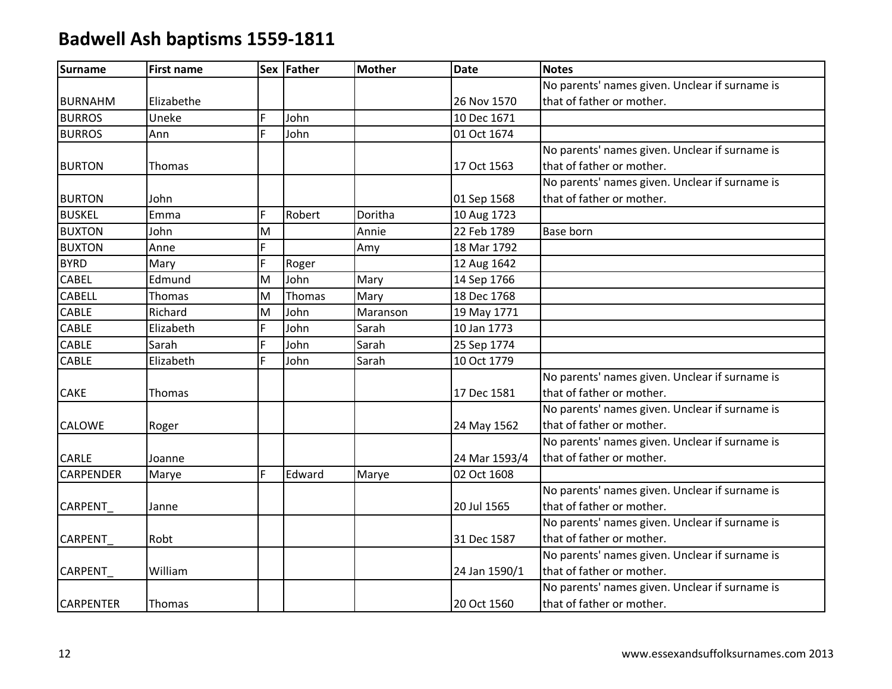| <b>Surname</b>   | <b>First name</b> |                | Sex Father | <b>Mother</b> | <b>Date</b>   | <b>Notes</b>                                   |
|------------------|-------------------|----------------|------------|---------------|---------------|------------------------------------------------|
|                  |                   |                |            |               |               | No parents' names given. Unclear if surname is |
| <b>BURNAHM</b>   | Elizabethe        |                |            |               | 26 Nov 1570   | that of father or mother.                      |
| <b>BURROS</b>    | Uneke             | F              | John       |               | 10 Dec 1671   |                                                |
| <b>BURROS</b>    | Ann               | $\overline{F}$ | John       |               | 01 Oct 1674   |                                                |
|                  |                   |                |            |               |               | No parents' names given. Unclear if surname is |
| <b>BURTON</b>    | Thomas            |                |            |               | 17 Oct 1563   | that of father or mother.                      |
|                  |                   |                |            |               |               | No parents' names given. Unclear if surname is |
| <b>BURTON</b>    | John              |                |            |               | 01 Sep 1568   | that of father or mother.                      |
| <b>BUSKEL</b>    | Emma              | F              | Robert     | Doritha       | 10 Aug 1723   |                                                |
| <b>BUXTON</b>    | John              | M              |            | Annie         | 22 Feb 1789   | Base born                                      |
| <b>BUXTON</b>    | Anne              | F.             |            | Amy           | 18 Mar 1792   |                                                |
| <b>BYRD</b>      | Mary              | F.             | Roger      |               | 12 Aug 1642   |                                                |
| CABEL            | Edmund            | M              | John       | Mary          | 14 Sep 1766   |                                                |
| <b>CABELL</b>    | Thomas            | M              | Thomas     | Mary          | 18 Dec 1768   |                                                |
| CABLE            | Richard           | M              | John       | Maranson      | 19 May 1771   |                                                |
| CABLE            | Elizabeth         | F              | John       | Sarah         | 10 Jan 1773   |                                                |
| CABLE            | Sarah             | F              | John       | Sarah         | 25 Sep 1774   |                                                |
| CABLE            | Elizabeth         | F              | John       | Sarah         | 10 Oct 1779   |                                                |
|                  |                   |                |            |               |               | No parents' names given. Unclear if surname is |
| <b>CAKE</b>      | Thomas            |                |            |               | 17 Dec 1581   | that of father or mother.                      |
|                  |                   |                |            |               |               | No parents' names given. Unclear if surname is |
| <b>CALOWE</b>    | Roger             |                |            |               | 24 May 1562   | that of father or mother.                      |
|                  |                   |                |            |               |               | No parents' names given. Unclear if surname is |
| CARLE            | Joanne            |                |            |               | 24 Mar 1593/4 | that of father or mother.                      |
| <b>CARPENDER</b> | Marye             | F.             | Edward     | Marye         | 02 Oct 1608   |                                                |
|                  |                   |                |            |               |               | No parents' names given. Unclear if surname is |
| <b>CARPENT</b>   | Janne             |                |            |               | 20 Jul 1565   | that of father or mother.                      |
|                  |                   |                |            |               |               | No parents' names given. Unclear if surname is |
| <b>CARPENT</b>   | Robt              |                |            |               | 31 Dec 1587   | that of father or mother.                      |
|                  |                   |                |            |               |               | No parents' names given. Unclear if surname is |
| <b>CARPENT</b>   | William           |                |            |               | 24 Jan 1590/1 | that of father or mother.                      |
|                  |                   |                |            |               |               | No parents' names given. Unclear if surname is |
| <b>CARPENTER</b> | Thomas            |                |            |               | 20 Oct 1560   | that of father or mother.                      |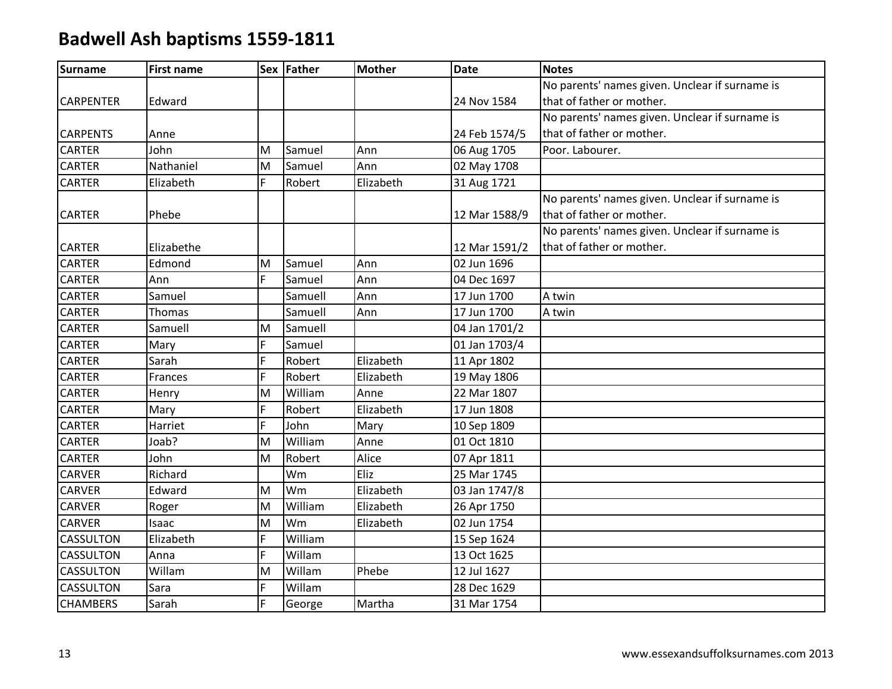| <b>Surname</b>   | <b>First name</b> |   | Sex Father | <b>Mother</b> | <b>Date</b>   | <b>Notes</b>                                   |
|------------------|-------------------|---|------------|---------------|---------------|------------------------------------------------|
|                  |                   |   |            |               |               | No parents' names given. Unclear if surname is |
| <b>CARPENTER</b> | Edward            |   |            |               | 24 Nov 1584   | that of father or mother.                      |
|                  |                   |   |            |               |               | No parents' names given. Unclear if surname is |
| <b>CARPENTS</b>  | Anne              |   |            |               | 24 Feb 1574/5 | that of father or mother.                      |
| <b>CARTER</b>    | John              | M | Samuel     | Ann           | 06 Aug 1705   | Poor. Labourer.                                |
| <b>CARTER</b>    | Nathaniel         | M | Samuel     | Ann           | 02 May 1708   |                                                |
| <b>CARTER</b>    | Elizabeth         | F | Robert     | Elizabeth     | 31 Aug 1721   |                                                |
|                  |                   |   |            |               |               | No parents' names given. Unclear if surname is |
| <b>CARTER</b>    | Phebe             |   |            |               | 12 Mar 1588/9 | that of father or mother.                      |
|                  |                   |   |            |               |               | No parents' names given. Unclear if surname is |
| <b>CARTER</b>    | Elizabethe        |   |            |               | 12 Mar 1591/2 | that of father or mother.                      |
| <b>CARTER</b>    | Edmond            | M | Samuel     | Ann           | 02 Jun 1696   |                                                |
| <b>CARTER</b>    | Ann               | F | Samuel     | Ann           | 04 Dec 1697   |                                                |
| <b>CARTER</b>    | Samuel            |   | Samuell    | Ann           | 17 Jun 1700   | A twin                                         |
| <b>CARTER</b>    | Thomas            |   | Samuell    | Ann           | 17 Jun 1700   | A twin                                         |
| <b>CARTER</b>    | Samuell           | M | Samuell    |               | 04 Jan 1701/2 |                                                |
| <b>CARTER</b>    | Mary              | F | Samuel     |               | 01 Jan 1703/4 |                                                |
| <b>CARTER</b>    | Sarah             | F | Robert     | Elizabeth     | 11 Apr 1802   |                                                |
| <b>CARTER</b>    | Frances           | F | Robert     | Elizabeth     | 19 May 1806   |                                                |
| <b>CARTER</b>    | Henry             | M | William    | Anne          | 22 Mar 1807   |                                                |
| CARTER           | Mary              | F | Robert     | Elizabeth     | 17 Jun 1808   |                                                |
| <b>CARTER</b>    | Harriet           | F | John       | Mary          | 10 Sep 1809   |                                                |
| <b>CARTER</b>    | Joab?             | M | William    | Anne          | 01 Oct 1810   |                                                |
| <b>CARTER</b>    | John              | M | Robert     | Alice         | 07 Apr 1811   |                                                |
| CARVER           | Richard           |   | Wm         | Eliz          | 25 Mar 1745   |                                                |
| <b>CARVER</b>    | Edward            | M | Wm         | Elizabeth     | 03 Jan 1747/8 |                                                |
| <b>CARVER</b>    | Roger             | M | William    | Elizabeth     | 26 Apr 1750   |                                                |
| <b>CARVER</b>    | Isaac             | M | Wm         | Elizabeth     | 02 Jun 1754   |                                                |
| <b>CASSULTON</b> | Elizabeth         | F | William    |               | 15 Sep 1624   |                                                |
| <b>CASSULTON</b> | Anna              | F | Willam     |               | 13 Oct 1625   |                                                |
| CASSULTON        | Willam            | M | Willam     | Phebe         | 12 Jul 1627   |                                                |
| <b>CASSULTON</b> | Sara              | F | Willam     |               | 28 Dec 1629   |                                                |
| <b>CHAMBERS</b>  | Sarah             | F | George     | Martha        | 31 Mar 1754   |                                                |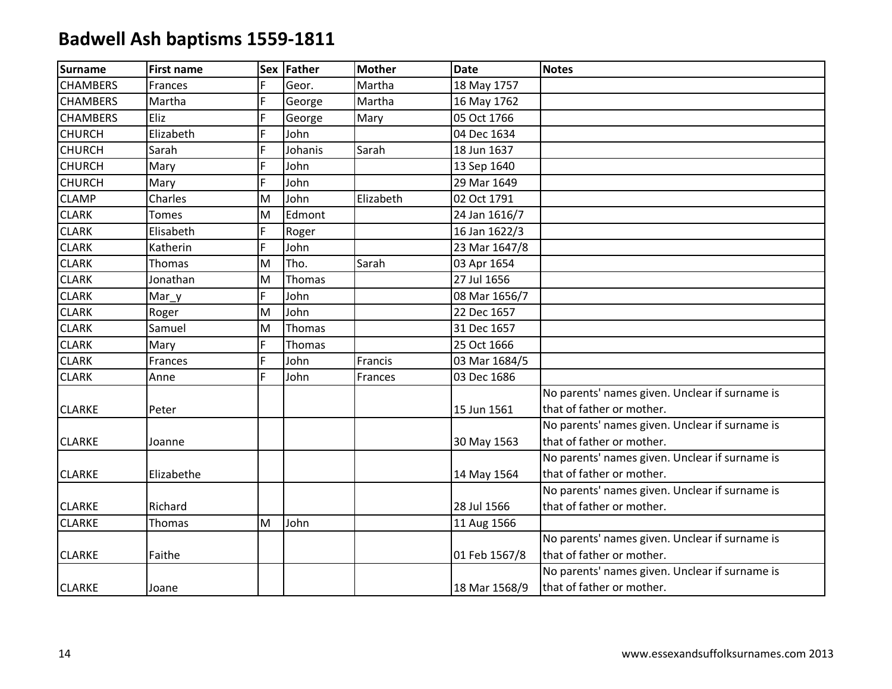| Surname         | <b>First name</b> | Sex | Father  | <b>Mother</b> | <b>Date</b>   | <b>Notes</b>                                   |
|-----------------|-------------------|-----|---------|---------------|---------------|------------------------------------------------|
| <b>CHAMBERS</b> | Frances           | F   | Geor.   | Martha        | 18 May 1757   |                                                |
| <b>CHAMBERS</b> | Martha            | F   | George  | Martha        | 16 May 1762   |                                                |
| <b>CHAMBERS</b> | Eliz              | F   | George  | Mary          | 05 Oct 1766   |                                                |
| <b>CHURCH</b>   | Elizabeth         | F   | John    |               | 04 Dec 1634   |                                                |
| <b>CHURCH</b>   | Sarah             | F   | Johanis | Sarah         | 18 Jun 1637   |                                                |
| <b>CHURCH</b>   | Mary              | F   | John    |               | 13 Sep 1640   |                                                |
| <b>CHURCH</b>   | Mary              | F   | John    |               | 29 Mar 1649   |                                                |
| <b>CLAMP</b>    | Charles           | M   | John    | Elizabeth     | 02 Oct 1791   |                                                |
| <b>CLARK</b>    | <b>Tomes</b>      | M   | Edmont  |               | 24 Jan 1616/7 |                                                |
| <b>CLARK</b>    | Elisabeth         | F   | Roger   |               | 16 Jan 1622/3 |                                                |
| <b>CLARK</b>    | Katherin          | F   | John    |               | 23 Mar 1647/8 |                                                |
| <b>CLARK</b>    | Thomas            | M   | Tho.    | Sarah         | 03 Apr 1654   |                                                |
| <b>CLARK</b>    | Jonathan          | M   | Thomas  |               | 27 Jul 1656   |                                                |
| <b>CLARK</b>    | Mar_y             | F   | John    |               | 08 Mar 1656/7 |                                                |
| <b>CLARK</b>    | Roger             | M   | John    |               | 22 Dec 1657   |                                                |
| <b>CLARK</b>    | Samuel            | M   | Thomas  |               | 31 Dec 1657   |                                                |
| <b>CLARK</b>    | Mary              | F   | Thomas  |               | 25 Oct 1666   |                                                |
| <b>CLARK</b>    | Frances           | F   | John    | Francis       | 03 Mar 1684/5 |                                                |
| <b>CLARK</b>    | Anne              | F   | John    | Frances       | 03 Dec 1686   |                                                |
|                 |                   |     |         |               |               | No parents' names given. Unclear if surname is |
| <b>CLARKE</b>   | Peter             |     |         |               | 15 Jun 1561   | that of father or mother.                      |
|                 |                   |     |         |               |               | No parents' names given. Unclear if surname is |
| <b>CLARKE</b>   | Joanne            |     |         |               | 30 May 1563   | that of father or mother.                      |
|                 |                   |     |         |               |               | No parents' names given. Unclear if surname is |
| <b>CLARKE</b>   | Elizabethe        |     |         |               | 14 May 1564   | that of father or mother.                      |
|                 |                   |     |         |               |               | No parents' names given. Unclear if surname is |
| <b>CLARKE</b>   | Richard           |     |         |               | 28 Jul 1566   | that of father or mother.                      |
| <b>CLARKE</b>   | Thomas            | M   | John    |               | 11 Aug 1566   |                                                |
|                 |                   |     |         |               |               | No parents' names given. Unclear if surname is |
| <b>CLARKE</b>   | Faithe            |     |         |               | 01 Feb 1567/8 | that of father or mother.                      |
|                 |                   |     |         |               |               | No parents' names given. Unclear if surname is |
| <b>CLARKE</b>   | Joane             |     |         |               | 18 Mar 1568/9 | that of father or mother.                      |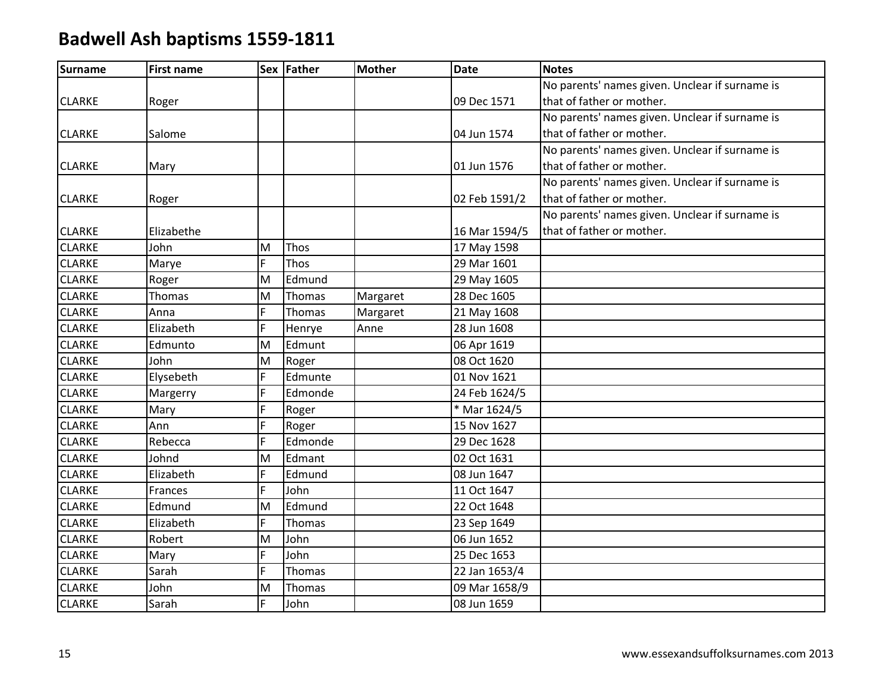| <b>Surname</b> | <b>First name</b> |    | Sex Father | <b>Mother</b> | <b>Date</b>   | <b>Notes</b>                                   |
|----------------|-------------------|----|------------|---------------|---------------|------------------------------------------------|
|                |                   |    |            |               |               | No parents' names given. Unclear if surname is |
| <b>CLARKE</b>  | Roger             |    |            |               | 09 Dec 1571   | that of father or mother.                      |
|                |                   |    |            |               |               | No parents' names given. Unclear if surname is |
| <b>CLARKE</b>  | Salome            |    |            |               | 04 Jun 1574   | that of father or mother.                      |
|                |                   |    |            |               |               | No parents' names given. Unclear if surname is |
| <b>CLARKE</b>  | Mary              |    |            |               | 01 Jun 1576   | that of father or mother.                      |
|                |                   |    |            |               |               | No parents' names given. Unclear if surname is |
| <b>CLARKE</b>  | Roger             |    |            |               | 02 Feb 1591/2 | that of father or mother.                      |
|                |                   |    |            |               |               | No parents' names given. Unclear if surname is |
| <b>CLARKE</b>  | Elizabethe        |    |            |               | 16 Mar 1594/5 | that of father or mother.                      |
| <b>CLARKE</b>  | John              | M  | Thos       |               | 17 May 1598   |                                                |
| <b>CLARKE</b>  | Marye             | F  | Thos       |               | 29 Mar 1601   |                                                |
| <b>CLARKE</b>  | Roger             | M  | Edmund     |               | 29 May 1605   |                                                |
| <b>CLARKE</b>  | Thomas            | M  | Thomas     | Margaret      | 28 Dec 1605   |                                                |
| <b>CLARKE</b>  | Anna              | F  | Thomas     | Margaret      | 21 May 1608   |                                                |
| <b>CLARKE</b>  | Elizabeth         | F  | Henrye     | Anne          | 28 Jun 1608   |                                                |
| <b>CLARKE</b>  | Edmunto           | M  | Edmunt     |               | 06 Apr 1619   |                                                |
| <b>CLARKE</b>  | John              | M  | Roger      |               | 08 Oct 1620   |                                                |
| <b>CLARKE</b>  | Elysebeth         | F. | Edmunte    |               | 01 Nov 1621   |                                                |
| <b>CLARKE</b>  | Margerry          | F  | Edmonde    |               | 24 Feb 1624/5 |                                                |
| <b>CLARKE</b>  | Mary              | F  | Roger      |               | * Mar 1624/5  |                                                |
| <b>CLARKE</b>  | Ann               | F  | Roger      |               | 15 Nov 1627   |                                                |
| <b>CLARKE</b>  | Rebecca           | F  | Edmonde    |               | 29 Dec 1628   |                                                |
| <b>CLARKE</b>  | Johnd             | M  | Edmant     |               | 02 Oct 1631   |                                                |
| <b>CLARKE</b>  | Elizabeth         | F  | Edmund     |               | 08 Jun 1647   |                                                |
| <b>CLARKE</b>  | Frances           | F  | John       |               | 11 Oct 1647   |                                                |
| <b>CLARKE</b>  | Edmund            | M  | Edmund     |               | 22 Oct 1648   |                                                |
| <b>CLARKE</b>  | Elizabeth         | F. | Thomas     |               | 23 Sep 1649   |                                                |
| <b>CLARKE</b>  | Robert            | M  | John       |               | 06 Jun 1652   |                                                |
| <b>CLARKE</b>  | Mary              | F. | John       |               | 25 Dec 1653   |                                                |
| <b>CLARKE</b>  | Sarah             | F  | Thomas     |               | 22 Jan 1653/4 |                                                |
| <b>CLARKE</b>  | John              | M  | Thomas     |               | 09 Mar 1658/9 |                                                |
| <b>CLARKE</b>  | Sarah             | F. | John       |               | 08 Jun 1659   |                                                |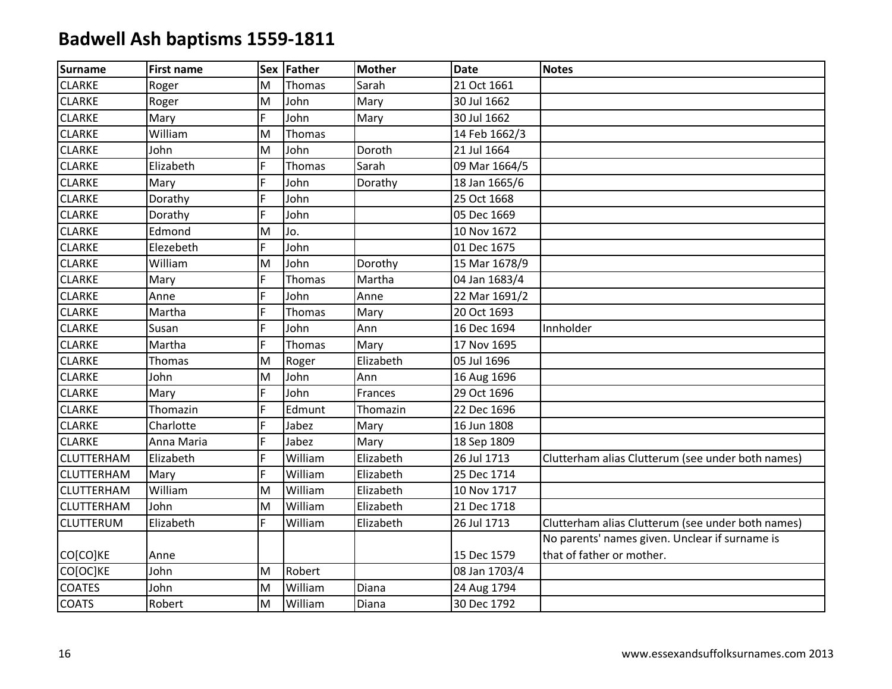| <b>Surname</b>    | <b>First name</b> |    | Sex Father    | <b>Mother</b> | <b>Date</b>   | <b>Notes</b>                                      |
|-------------------|-------------------|----|---------------|---------------|---------------|---------------------------------------------------|
| <b>CLARKE</b>     | Roger             | M  | Thomas        | Sarah         | 21 Oct 1661   |                                                   |
| <b>CLARKE</b>     | Roger             | M  | John          | Mary          | 30 Jul 1662   |                                                   |
| <b>CLARKE</b>     | Mary              | F  | John          | Mary          | 30 Jul 1662   |                                                   |
| <b>CLARKE</b>     | William           | M  | Thomas        |               | 14 Feb 1662/3 |                                                   |
| <b>CLARKE</b>     | John              | M  | John          | Doroth        | 21 Jul 1664   |                                                   |
| <b>CLARKE</b>     | Elizabeth         | F  | Thomas        | Sarah         | 09 Mar 1664/5 |                                                   |
| <b>CLARKE</b>     | Mary              | F  | John          | Dorathy       | 18 Jan 1665/6 |                                                   |
| <b>CLARKE</b>     | Dorathy           | F  | John          |               | 25 Oct 1668   |                                                   |
| <b>CLARKE</b>     | Dorathy           | F  | John          |               | 05 Dec 1669   |                                                   |
| <b>CLARKE</b>     | Edmond            | M  | Jo.           |               | 10 Nov 1672   |                                                   |
| <b>CLARKE</b>     | Elezebeth         | F  | John          |               | 01 Dec 1675   |                                                   |
| <b>CLARKE</b>     | William           | M  | John          | Dorothy       | 15 Mar 1678/9 |                                                   |
| <b>CLARKE</b>     | Mary              | F  | Thomas        | Martha        | 04 Jan 1683/4 |                                                   |
| <b>CLARKE</b>     | Anne              | F. | John          | Anne          | 22 Mar 1691/2 |                                                   |
| <b>CLARKE</b>     | Martha            | F  | <b>Thomas</b> | Mary          | 20 Oct 1693   |                                                   |
| <b>CLARKE</b>     | Susan             | F. | John          | Ann           | 16 Dec 1694   | Innholder                                         |
| <b>CLARKE</b>     | Martha            | F. | Thomas        | Mary          | 17 Nov 1695   |                                                   |
| <b>CLARKE</b>     | Thomas            | M  | Roger         | Elizabeth     | 05 Jul 1696   |                                                   |
| <b>CLARKE</b>     | John              | M  | John          | Ann           | 16 Aug 1696   |                                                   |
| <b>CLARKE</b>     | Mary              | F  | John          | Frances       | 29 Oct 1696   |                                                   |
| <b>CLARKE</b>     | Thomazin          | F. | Edmunt        | Thomazin      | 22 Dec 1696   |                                                   |
| <b>CLARKE</b>     | Charlotte         | F  | Jabez         | Mary          | 16 Jun 1808   |                                                   |
| <b>CLARKE</b>     | Anna Maria        | F. | Jabez         | Mary          | 18 Sep 1809   |                                                   |
| <b>CLUTTERHAM</b> | Elizabeth         | F. | William       | Elizabeth     | 26 Jul 1713   | Clutterham alias Clutterum (see under both names) |
| <b>CLUTTERHAM</b> | Mary              | F  | William       | Elizabeth     | 25 Dec 1714   |                                                   |
| <b>CLUTTERHAM</b> | William           | M  | William       | Elizabeth     | 10 Nov 1717   |                                                   |
| <b>CLUTTERHAM</b> | John              | M  | William       | Elizabeth     | 21 Dec 1718   |                                                   |
| <b>CLUTTERUM</b>  | Elizabeth         | F. | William       | Elizabeth     | 26 Jul 1713   | Clutterham alias Clutterum (see under both names) |
|                   |                   |    |               |               |               | No parents' names given. Unclear if surname is    |
| CO[CO]KE          | Anne              |    |               |               | 15 Dec 1579   | that of father or mother.                         |
| CO[OC]KE          | John              | M  | Robert        |               | 08 Jan 1703/4 |                                                   |
| <b>COATES</b>     | John              | M  | William       | Diana         | 24 Aug 1794   |                                                   |
| <b>COATS</b>      | Robert            | M  | William       | Diana         | 30 Dec 1792   |                                                   |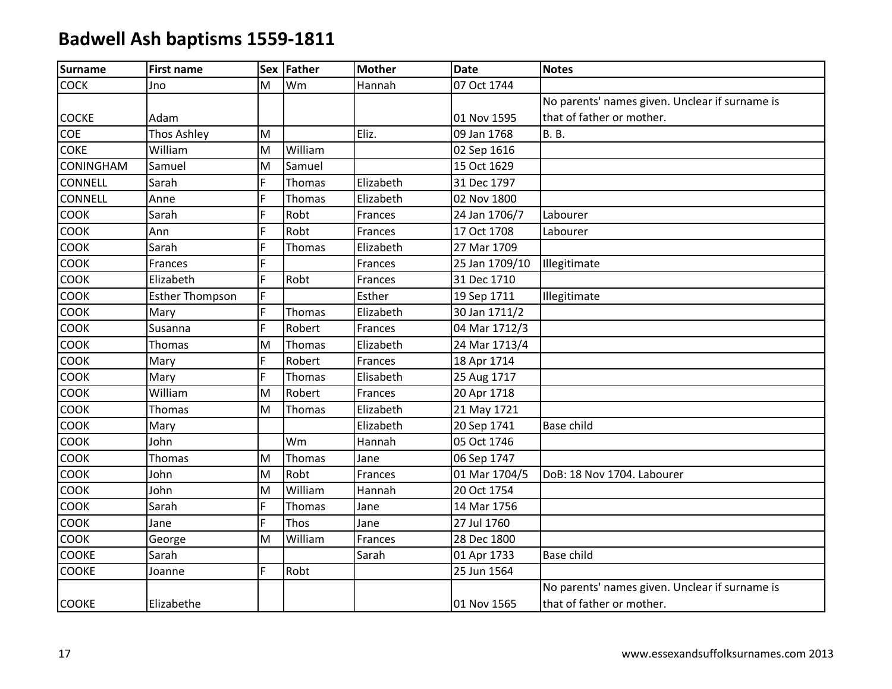| <b>Surname</b>   | <b>First name</b>      |    | Sex Father | <b>Mother</b> | <b>Date</b>    | <b>Notes</b>                                   |
|------------------|------------------------|----|------------|---------------|----------------|------------------------------------------------|
| <b>COCK</b>      | Jno                    | M  | Wm         | Hannah        | 07 Oct 1744    |                                                |
|                  |                        |    |            |               |                | No parents' names given. Unclear if surname is |
| <b>COCKE</b>     | Adam                   |    |            |               | 01 Nov 1595    | that of father or mother.                      |
| COE              | <b>Thos Ashley</b>     | M  |            | Eliz.         | 09 Jan 1768    | <b>B.</b> B.                                   |
| <b>COKE</b>      | William                | M  | William    |               | 02 Sep 1616    |                                                |
| <b>CONINGHAM</b> | Samuel                 | M  | Samuel     |               | 15 Oct 1629    |                                                |
| <b>CONNELL</b>   | Sarah                  | F  | Thomas     | Elizabeth     | 31 Dec 1797    |                                                |
| <b>CONNELL</b>   | Anne                   | F  | Thomas     | Elizabeth     | 02 Nov 1800    |                                                |
| COOK             | Sarah                  | F  | Robt       | Frances       | 24 Jan 1706/7  | Labourer                                       |
| COOK             | Ann                    | F  | Robt       | Frances       | 17 Oct 1708    | Labourer                                       |
| <b>COOK</b>      | Sarah                  | F  | Thomas     | Elizabeth     | 27 Mar 1709    |                                                |
| <b>COOK</b>      | Frances                | F  |            | Frances       | 25 Jan 1709/10 | Illegitimate                                   |
| <b>COOK</b>      | Elizabeth              | F  | Robt       | Frances       | 31 Dec 1710    |                                                |
| COOK             | <b>Esther Thompson</b> | F  |            | Esther        | 19 Sep 1711    | Illegitimate                                   |
| <b>COOK</b>      | Mary                   | F  | Thomas     | Elizabeth     | 30 Jan 1711/2  |                                                |
| <b>COOK</b>      | Susanna                | F  | Robert     | Frances       | 04 Mar 1712/3  |                                                |
| <b>COOK</b>      | Thomas                 | M  | Thomas     | Elizabeth     | 24 Mar 1713/4  |                                                |
| <b>COOK</b>      | Mary                   | F  | Robert     | Frances       | 18 Apr 1714    |                                                |
| COOK             | Mary                   | F  | Thomas     | Elisabeth     | 25 Aug 1717    |                                                |
| <b>COOK</b>      | William                | M  | Robert     | Frances       | 20 Apr 1718    |                                                |
| <b>COOK</b>      | Thomas                 | M  | Thomas     | Elizabeth     | 21 May 1721    |                                                |
| <b>COOK</b>      | Mary                   |    |            | Elizabeth     | 20 Sep 1741    | Base child                                     |
| COOK             | John                   |    | Wm         | Hannah        | 05 Oct 1746    |                                                |
| <b>COOK</b>      | Thomas                 | M  | Thomas     | Jane          | 06 Sep 1747    |                                                |
| COOK             | John                   | M  | Robt       | Frances       | 01 Mar 1704/5  | DoB: 18 Nov 1704. Labourer                     |
| <b>COOK</b>      | John                   | M  | William    | Hannah        | 20 Oct 1754    |                                                |
| <b>COOK</b>      | Sarah                  | F  | Thomas     | Jane          | 14 Mar 1756    |                                                |
| COOK             | Jane                   | F  | Thos       | Jane          | 27 Jul 1760    |                                                |
| COOK             | George                 | M  | William    | Frances       | 28 Dec 1800    |                                                |
| <b>COOKE</b>     | Sarah                  |    |            | Sarah         | 01 Apr 1733    | Base child                                     |
| <b>COOKE</b>     | Joanne                 | F. | Robt       |               | 25 Jun 1564    |                                                |
|                  |                        |    |            |               |                | No parents' names given. Unclear if surname is |
| <b>COOKE</b>     | Elizabethe             |    |            |               | 01 Nov 1565    | that of father or mother.                      |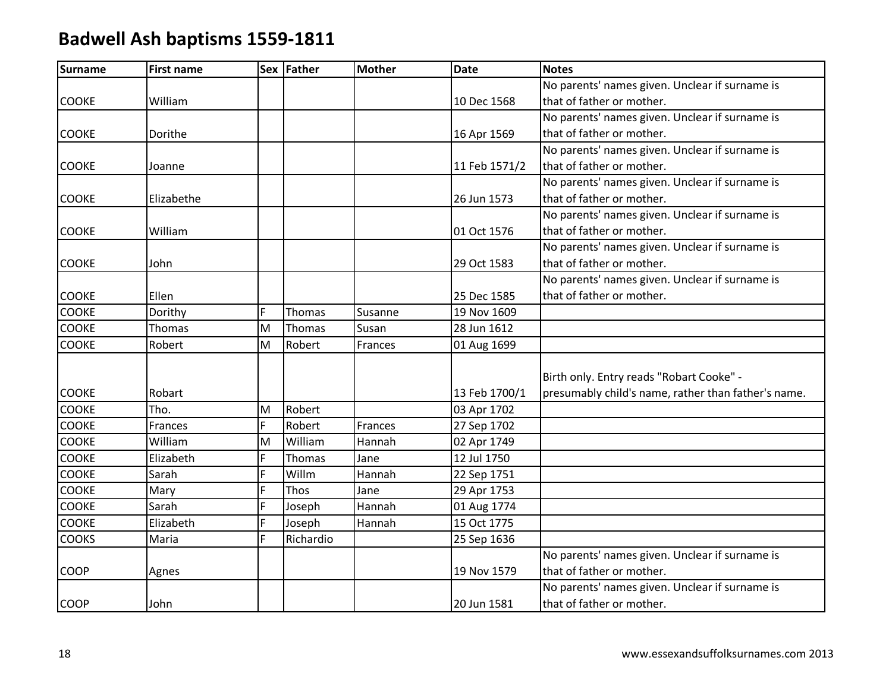| <b>Surname</b> | <b>First name</b> |    | Sex Father | <b>Mother</b> | <b>Date</b>   | <b>Notes</b>                                        |
|----------------|-------------------|----|------------|---------------|---------------|-----------------------------------------------------|
|                |                   |    |            |               |               | No parents' names given. Unclear if surname is      |
| <b>COOKE</b>   | William           |    |            |               | 10 Dec 1568   | that of father or mother.                           |
|                |                   |    |            |               |               | No parents' names given. Unclear if surname is      |
| <b>COOKE</b>   | Dorithe           |    |            |               | 16 Apr 1569   | that of father or mother.                           |
|                |                   |    |            |               |               | No parents' names given. Unclear if surname is      |
| <b>COOKE</b>   | Joanne            |    |            |               | 11 Feb 1571/2 | that of father or mother.                           |
|                |                   |    |            |               |               | No parents' names given. Unclear if surname is      |
| <b>COOKE</b>   | Elizabethe        |    |            |               | 26 Jun 1573   | that of father or mother.                           |
|                |                   |    |            |               |               | No parents' names given. Unclear if surname is      |
| <b>COOKE</b>   | William           |    |            |               | 01 Oct 1576   | that of father or mother.                           |
|                |                   |    |            |               |               | No parents' names given. Unclear if surname is      |
| <b>COOKE</b>   | John              |    |            |               | 29 Oct 1583   | that of father or mother.                           |
|                |                   |    |            |               |               | No parents' names given. Unclear if surname is      |
| COOKE          | Ellen             |    |            |               | 25 Dec 1585   | that of father or mother.                           |
| COOKE          | Dorithy           | F  | Thomas     | Susanne       | 19 Nov 1609   |                                                     |
| <b>COOKE</b>   | Thomas            | M  | Thomas     | Susan         | 28 Jun 1612   |                                                     |
| COOKE          | Robert            | M  | Robert     | Frances       | 01 Aug 1699   |                                                     |
|                |                   |    |            |               |               |                                                     |
|                |                   |    |            |               |               | Birth only. Entry reads "Robart Cooke" -            |
| <b>COOKE</b>   | Robart            |    |            |               | 13 Feb 1700/1 | presumably child's name, rather than father's name. |
| <b>COOKE</b>   | Tho.              | M  | Robert     |               | 03 Apr 1702   |                                                     |
| <b>COOKE</b>   | Frances           | F. | Robert     | Frances       | 27 Sep 1702   |                                                     |
| COOKE          | William           | M  | William    | Hannah        | 02 Apr 1749   |                                                     |
| COOKE          | Elizabeth         | F  | Thomas     | Jane          | 12 Jul 1750   |                                                     |
| COOKE          | Sarah             | F. | Willm      | Hannah        | 22 Sep 1751   |                                                     |
| COOKE          | Mary              | F. | Thos       | Jane          | 29 Apr 1753   |                                                     |
| <b>COOKE</b>   | Sarah             | F. | Joseph     | Hannah        | 01 Aug 1774   |                                                     |
| COOKE          | Elizabeth         | F  | Joseph     | Hannah        | 15 Oct 1775   |                                                     |
| COOKS          | Maria             | F  | Richardio  |               | 25 Sep 1636   |                                                     |
|                |                   |    |            |               |               | No parents' names given. Unclear if surname is      |
| <b>COOP</b>    | Agnes             |    |            |               | 19 Nov 1579   | that of father or mother.                           |
|                |                   |    |            |               |               | No parents' names given. Unclear if surname is      |
| <b>COOP</b>    | John              |    |            |               | 20 Jun 1581   | that of father or mother.                           |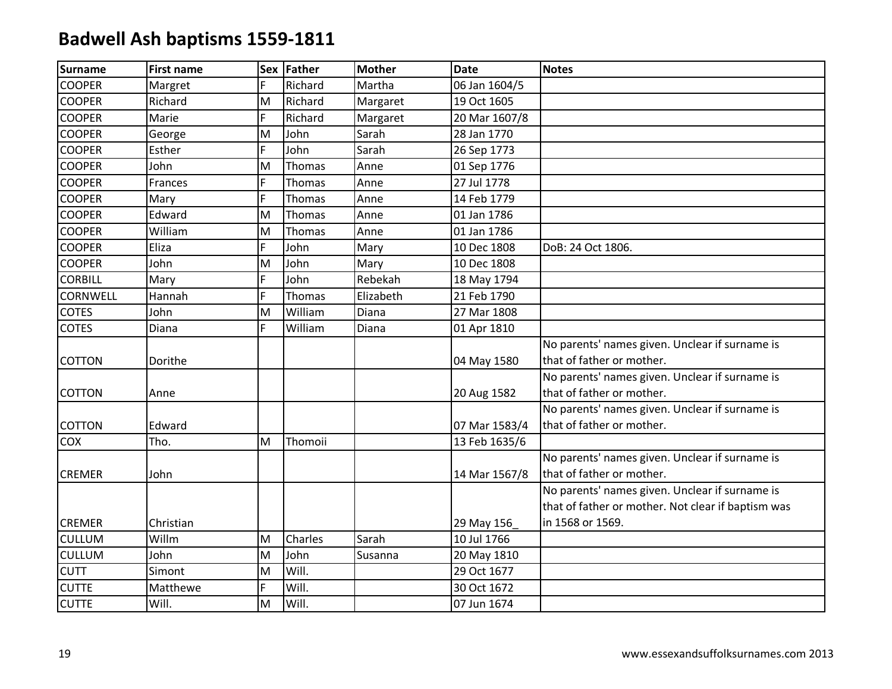| <b>Surname</b>  | <b>First name</b> |    | Sex Father | <b>Mother</b> | <b>Date</b>   | <b>Notes</b>                                       |
|-----------------|-------------------|----|------------|---------------|---------------|----------------------------------------------------|
| <b>COOPER</b>   | Margret           | F  | Richard    | Martha        | 06 Jan 1604/5 |                                                    |
| <b>COOPER</b>   | Richard           | M  | Richard    | Margaret      | 19 Oct 1605   |                                                    |
| <b>COOPER</b>   | Marie             | F  | Richard    | Margaret      | 20 Mar 1607/8 |                                                    |
| <b>COOPER</b>   | George            | M  | John       | Sarah         | 28 Jan 1770   |                                                    |
| <b>COOPER</b>   | Esther            | F. | John       | Sarah         | 26 Sep 1773   |                                                    |
| <b>COOPER</b>   | John              | M  | Thomas     | Anne          | 01 Sep 1776   |                                                    |
| <b>COOPER</b>   | Frances           | F. | Thomas     | Anne          | 27 Jul 1778   |                                                    |
| <b>COOPER</b>   | Mary              | F. | Thomas     | Anne          | 14 Feb 1779   |                                                    |
| <b>COOPER</b>   | Edward            | M  | Thomas     | Anne          | 01 Jan 1786   |                                                    |
| <b>COOPER</b>   | William           | M  | Thomas     | Anne          | 01 Jan 1786   |                                                    |
| <b>COOPER</b>   | Eliza             | F  | John       | Mary          | 10 Dec 1808   | DoB: 24 Oct 1806.                                  |
| <b>COOPER</b>   | John              | M  | John       | Mary          | 10 Dec 1808   |                                                    |
| <b>CORBILL</b>  | Mary              | F. | John       | Rebekah       | 18 May 1794   |                                                    |
| <b>CORNWELL</b> | Hannah            | F  | Thomas     | Elizabeth     | 21 Feb 1790   |                                                    |
| <b>COTES</b>    | John              | M  | William    | Diana         | 27 Mar 1808   |                                                    |
| <b>COTES</b>    | Diana             | F. | William    | Diana         | 01 Apr 1810   |                                                    |
|                 |                   |    |            |               |               | No parents' names given. Unclear if surname is     |
| <b>COTTON</b>   | Dorithe           |    |            |               | 04 May 1580   | that of father or mother.                          |
|                 |                   |    |            |               |               | No parents' names given. Unclear if surname is     |
| COTTON          | Anne              |    |            |               | 20 Aug 1582   | that of father or mother.                          |
|                 |                   |    |            |               |               | No parents' names given. Unclear if surname is     |
| <b>COTTON</b>   | Edward            |    |            |               | 07 Mar 1583/4 | that of father or mother.                          |
| COX             | Tho.              | M  | Thomoii    |               | 13 Feb 1635/6 |                                                    |
|                 |                   |    |            |               |               | No parents' names given. Unclear if surname is     |
| <b>CREMER</b>   | John              |    |            |               | 14 Mar 1567/8 | that of father or mother.                          |
|                 |                   |    |            |               |               | No parents' names given. Unclear if surname is     |
|                 |                   |    |            |               |               | that of father or mother. Not clear if baptism was |
| <b>CREMER</b>   | Christian         |    |            |               | 29 May 156    | in 1568 or 1569.                                   |
| <b>CULLUM</b>   | Willm             | M  | Charles    | Sarah         | 10 Jul 1766   |                                                    |
| <b>CULLUM</b>   | John              | M  | John       | Susanna       | 20 May 1810   |                                                    |
| <b>CUTT</b>     | Simont            | M  | Will.      |               | 29 Oct 1677   |                                                    |
| <b>CUTTE</b>    | Matthewe          | F  | Will.      |               | 30 Oct 1672   |                                                    |
| <b>CUTTE</b>    | Will.             | M  | Will.      |               | 07 Jun 1674   |                                                    |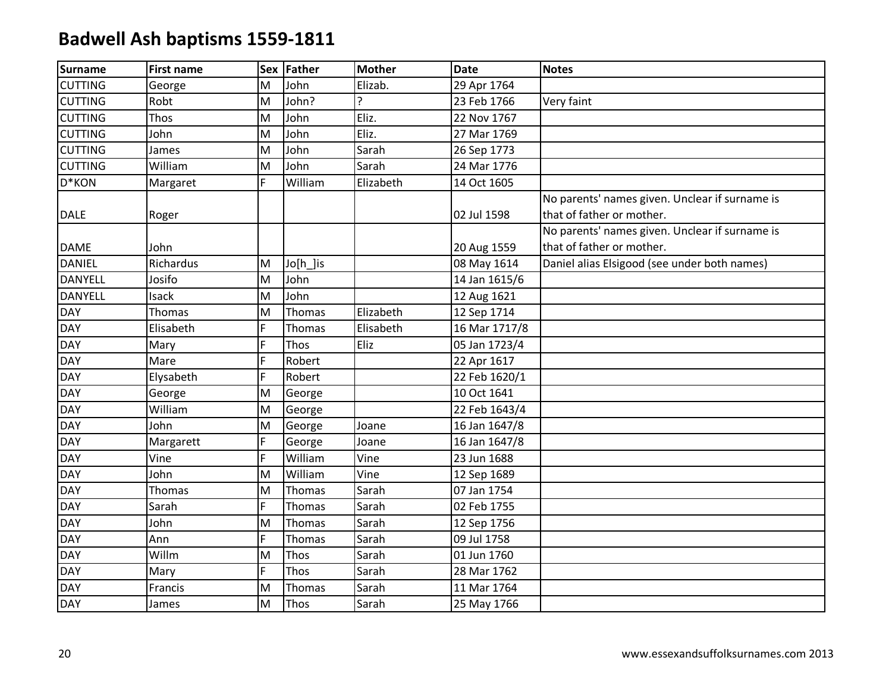| <b>Surname</b> | <b>First name</b> |    | Sex Father    | <b>Mother</b> | <b>Date</b>   | <b>Notes</b>                                   |
|----------------|-------------------|----|---------------|---------------|---------------|------------------------------------------------|
| <b>CUTTING</b> | George            | M  | John          | Elizab.       | 29 Apr 1764   |                                                |
| <b>CUTTING</b> | Robt              | M  | John?         | ς             | 23 Feb 1766   | Very faint                                     |
| <b>CUTTING</b> | Thos              | M  | John          | Eliz.         | 22 Nov 1767   |                                                |
| <b>CUTTING</b> | John              | M  | John          | Eliz.         | 27 Mar 1769   |                                                |
| <b>CUTTING</b> | James             | M  | John          | Sarah         | 26 Sep 1773   |                                                |
| <b>CUTTING</b> | William           | M  | John          | Sarah         | 24 Mar 1776   |                                                |
| D*KON          | Margaret          | F. | William       | Elizabeth     | 14 Oct 1605   |                                                |
|                |                   |    |               |               |               | No parents' names given. Unclear if surname is |
| <b>DALE</b>    | Roger             |    |               |               | 02 Jul 1598   | that of father or mother.                      |
|                |                   |    |               |               |               | No parents' names given. Unclear if surname is |
| <b>DAME</b>    | John              |    |               |               | 20 Aug 1559   | that of father or mother.                      |
| <b>DANIEL</b>  | Richardus         | M  | Jo[h_]is      |               | 08 May 1614   | Daniel alias Elsigood (see under both names)   |
| <b>DANYELL</b> | Josifo            | M  | John          |               | 14 Jan 1615/6 |                                                |
| <b>DANYELL</b> | Isack             | M  | John          |               | 12 Aug 1621   |                                                |
| <b>DAY</b>     | Thomas            | M  | Thomas        | Elizabeth     | 12 Sep 1714   |                                                |
| <b>DAY</b>     | Elisabeth         | E. | <b>Thomas</b> | Elisabeth     | 16 Mar 1717/8 |                                                |
| <b>DAY</b>     | Mary              | F. | Thos          | Eliz          | 05 Jan 1723/4 |                                                |
| <b>DAY</b>     | Mare              | F. | Robert        |               | 22 Apr 1617   |                                                |
| <b>DAY</b>     | Elysabeth         | F  | Robert        |               | 22 Feb 1620/1 |                                                |
| <b>DAY</b>     | George            | M  | George        |               | 10 Oct 1641   |                                                |
| <b>DAY</b>     | William           | M  | George        |               | 22 Feb 1643/4 |                                                |
| <b>DAY</b>     | John              | M  | George        | Joane         | 16 Jan 1647/8 |                                                |
| <b>DAY</b>     | Margarett         | F. | George        | Joane         | 16 Jan 1647/8 |                                                |
| <b>DAY</b>     | Vine              | F. | William       | Vine          | 23 Jun 1688   |                                                |
| <b>DAY</b>     | John              | M  | William       | Vine          | 12 Sep 1689   |                                                |
| <b>DAY</b>     | Thomas            | M  | Thomas        | Sarah         | 07 Jan 1754   |                                                |
| <b>DAY</b>     | Sarah             | F. | <b>Thomas</b> | Sarah         | 02 Feb 1755   |                                                |
| <b>DAY</b>     | John              | M  | Thomas        | Sarah         | 12 Sep 1756   |                                                |
| <b>DAY</b>     | Ann               | F  | Thomas        | Sarah         | 09 Jul 1758   |                                                |
| <b>DAY</b>     | Willm             | M  | Thos          | Sarah         | 01 Jun 1760   |                                                |
| <b>DAY</b>     | Mary              | F. | Thos          | Sarah         | 28 Mar 1762   |                                                |
| <b>DAY</b>     | Francis           | M  | Thomas        | Sarah         | 11 Mar 1764   |                                                |
| <b>DAY</b>     | James             | M  | <b>Thos</b>   | Sarah         | 25 May 1766   |                                                |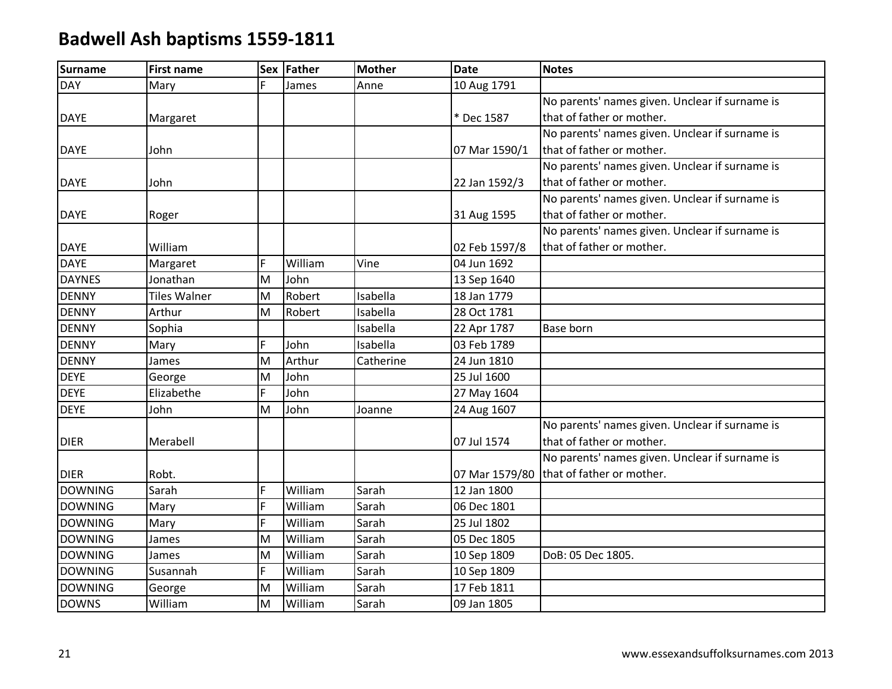| <b>Surname</b> | <b>First name</b>   | Sex | Father  | <b>Mother</b> | <b>Date</b>    | <b>Notes</b>                                   |
|----------------|---------------------|-----|---------|---------------|----------------|------------------------------------------------|
| <b>DAY</b>     | Mary                | Ē.  | James   | Anne          | 10 Aug 1791    |                                                |
|                |                     |     |         |               |                | No parents' names given. Unclear if surname is |
| <b>DAYE</b>    | Margaret            |     |         |               | * Dec 1587     | that of father or mother.                      |
|                |                     |     |         |               |                | No parents' names given. Unclear if surname is |
| <b>DAYE</b>    | John                |     |         |               | 07 Mar 1590/1  | that of father or mother.                      |
|                |                     |     |         |               |                | No parents' names given. Unclear if surname is |
| <b>DAYE</b>    | John                |     |         |               | 22 Jan 1592/3  | that of father or mother.                      |
|                |                     |     |         |               |                | No parents' names given. Unclear if surname is |
| <b>DAYE</b>    | Roger               |     |         |               | 31 Aug 1595    | that of father or mother.                      |
|                |                     |     |         |               |                | No parents' names given. Unclear if surname is |
| <b>DAYE</b>    | William             |     |         |               | 02 Feb 1597/8  | that of father or mother.                      |
| <b>DAYE</b>    | Margaret            | F   | William | Vine          | 04 Jun 1692    |                                                |
| <b>DAYNES</b>  | Jonathan            | M   | John    |               | 13 Sep 1640    |                                                |
| <b>DENNY</b>   | <b>Tiles Walner</b> | M   | Robert  | Isabella      | 18 Jan 1779    |                                                |
| <b>DENNY</b>   | Arthur              | M   | Robert  | Isabella      | 28 Oct 1781    |                                                |
| <b>DENNY</b>   | Sophia              |     |         | Isabella      | 22 Apr 1787    | Base born                                      |
| <b>DENNY</b>   | Mary                | F.  | John    | Isabella      | 03 Feb 1789    |                                                |
| <b>DENNY</b>   | James               | M   | Arthur  | Catherine     | 24 Jun 1810    |                                                |
| <b>DEYE</b>    | George              | M   | John    |               | 25 Jul 1600    |                                                |
| <b>DEYE</b>    | Elizabethe          | F   | John    |               | 27 May 1604    |                                                |
| <b>DEYE</b>    | John                | M   | John    | Joanne        | 24 Aug 1607    |                                                |
|                |                     |     |         |               |                | No parents' names given. Unclear if surname is |
| <b>DIER</b>    | Merabell            |     |         |               | 07 Jul 1574    | that of father or mother.                      |
|                |                     |     |         |               |                | No parents' names given. Unclear if surname is |
| <b>DIER</b>    | Robt.               |     |         |               | 07 Mar 1579/80 | that of father or mother.                      |
| <b>DOWNING</b> | Sarah               | F   | William | Sarah         | 12 Jan 1800    |                                                |
| <b>DOWNING</b> | Mary                | F   | William | Sarah         | 06 Dec 1801    |                                                |
| <b>DOWNING</b> | Mary                | F   | William | Sarah         | 25 Jul 1802    |                                                |
| <b>DOWNING</b> | James               | M   | William | Sarah         | 05 Dec 1805    |                                                |
| <b>DOWNING</b> | James               | M   | William | Sarah         | 10 Sep 1809    | DoB: 05 Dec 1805.                              |
| <b>DOWNING</b> | Susannah            | F.  | William | Sarah         | 10 Sep 1809    |                                                |
| <b>DOWNING</b> | George              | M   | William | Sarah         | 17 Feb 1811    |                                                |
| <b>DOWNS</b>   | William             | M   | William | Sarah         | 09 Jan 1805    |                                                |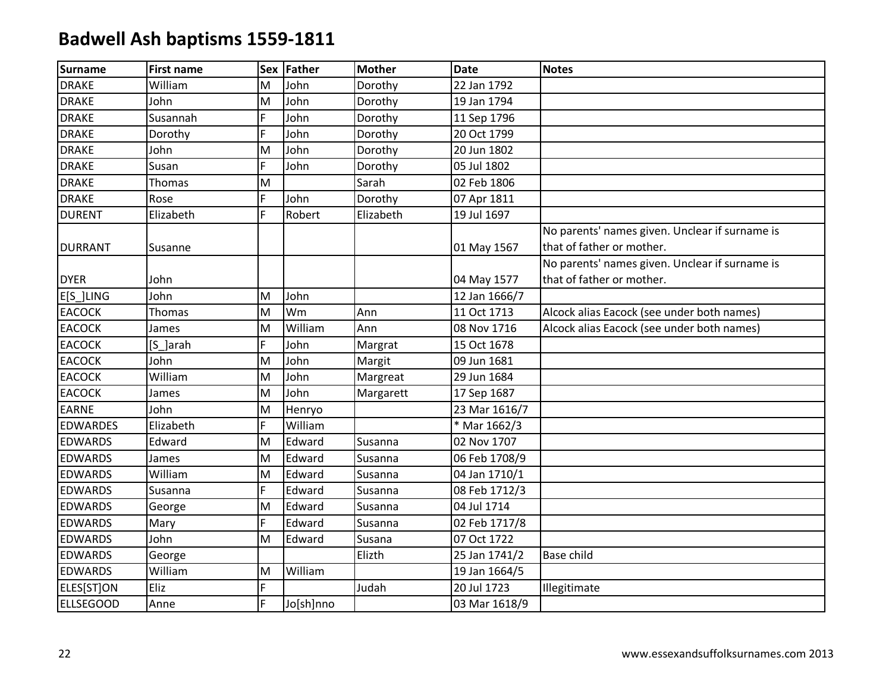| <b>Surname</b>   | <b>First name</b> |    | Sex Father | <b>Mother</b> | <b>Date</b>   | <b>Notes</b>                                   |
|------------------|-------------------|----|------------|---------------|---------------|------------------------------------------------|
| <b>DRAKE</b>     | William           | M  | John       | Dorothy       | 22 Jan 1792   |                                                |
| <b>DRAKE</b>     | John              | M  | John       | Dorothy       | 19 Jan 1794   |                                                |
| <b>DRAKE</b>     | Susannah          | F  | John       | Dorothy       | 11 Sep 1796   |                                                |
| <b>DRAKE</b>     | Dorothy           | F  | John       | Dorothy       | 20 Oct 1799   |                                                |
| <b>DRAKE</b>     | John              | M  | John       | Dorothy       | 20 Jun 1802   |                                                |
| <b>DRAKE</b>     | Susan             | F. | John       | Dorothy       | 05 Jul 1802   |                                                |
| <b>DRAKE</b>     | Thomas            | M  |            | Sarah         | 02 Feb 1806   |                                                |
| <b>DRAKE</b>     | Rose              | F  | John       | Dorothy       | 07 Apr 1811   |                                                |
| <b>DURENT</b>    | Elizabeth         | F. | Robert     | Elizabeth     | 19 Jul 1697   |                                                |
|                  |                   |    |            |               |               | No parents' names given. Unclear if surname is |
| <b>DURRANT</b>   | Susanne           |    |            |               | 01 May 1567   | that of father or mother.                      |
|                  |                   |    |            |               |               | No parents' names given. Unclear if surname is |
| <b>DYER</b>      | John              |    |            |               | 04 May 1577   | that of father or mother.                      |
| E[S_]LING        | John              | M  | John       |               | 12 Jan 1666/7 |                                                |
| <b>EACOCK</b>    | Thomas            | M  | Wm         | Ann           | 11 Oct 1713   | Alcock alias Eacock (see under both names)     |
| <b>EACOCK</b>    | James             | M  | William    | Ann           | 08 Nov 1716   | Alcock alias Eacock (see under both names)     |
| <b>EACOCK</b>    | [S_]arah          | F. | John       | Margrat       | 15 Oct 1678   |                                                |
| <b>EACOCK</b>    | John              | M  | John       | Margit        | 09 Jun 1681   |                                                |
| <b>EACOCK</b>    | William           | M  | John       | Margreat      | 29 Jun 1684   |                                                |
| <b>EACOCK</b>    | James             | M  | John       | Margarett     | 17 Sep 1687   |                                                |
| <b>EARNE</b>     | John              | M  | Henryo     |               | 23 Mar 1616/7 |                                                |
| <b>EDWARDES</b>  | Elizabeth         | F. | William    |               | * Mar 1662/3  |                                                |
| <b>EDWARDS</b>   | Edward            | M  | Edward     | Susanna       | 02 Nov 1707   |                                                |
| <b>EDWARDS</b>   | James             | M  | Edward     | Susanna       | 06 Feb 1708/9 |                                                |
| <b>EDWARDS</b>   | William           | M  | Edward     | Susanna       | 04 Jan 1710/1 |                                                |
| <b>EDWARDS</b>   | Susanna           | F. | Edward     | Susanna       | 08 Feb 1712/3 |                                                |
| <b>EDWARDS</b>   | George            | M  | Edward     | Susanna       | 04 Jul 1714   |                                                |
| <b>EDWARDS</b>   | Mary              | F. | Edward     | Susanna       | 02 Feb 1717/8 |                                                |
| <b>EDWARDS</b>   | John              | M  | Edward     | Susana        | 07 Oct 1722   |                                                |
| <b>EDWARDS</b>   | George            |    |            | Elizth        | 25 Jan 1741/2 | Base child                                     |
| <b>EDWARDS</b>   | William           | M  | William    |               | 19 Jan 1664/5 |                                                |
| ELES[ST]ON       | Eliz              | F. |            | Judah         | 20 Jul 1723   | Illegitimate                                   |
| <b>ELLSEGOOD</b> | Anne              | F. | Jo[sh]nno  |               | 03 Mar 1618/9 |                                                |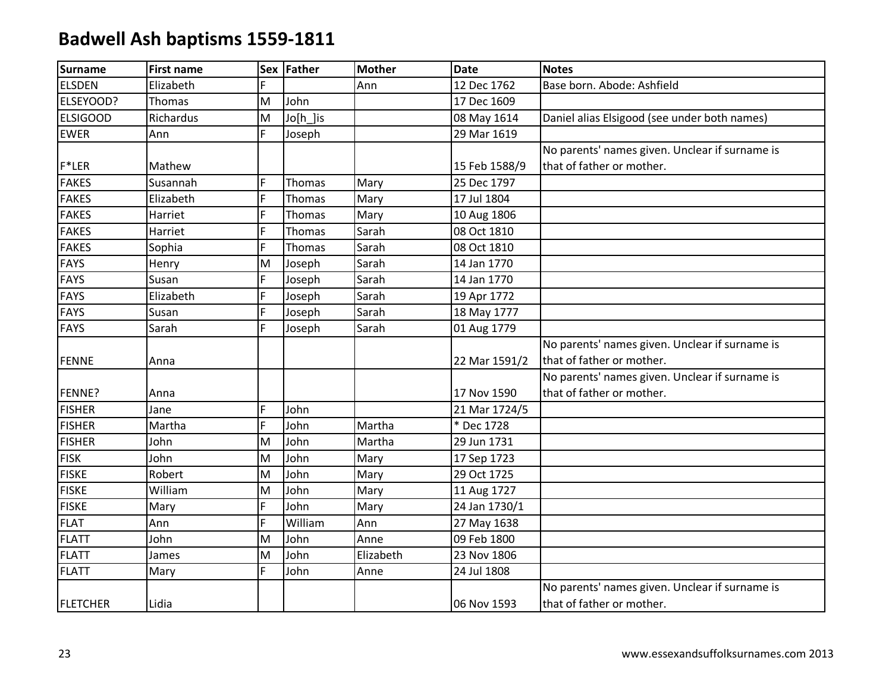| <b>Surname</b>  | <b>First name</b> |    | Sex Father | <b>Mother</b> | <b>Date</b>   | <b>Notes</b>                                   |
|-----------------|-------------------|----|------------|---------------|---------------|------------------------------------------------|
| <b>ELSDEN</b>   | Elizabeth         | F. |            | Ann           | 12 Dec 1762   | Base born. Abode: Ashfield                     |
| ELSEYOOD?       | Thomas            | M  | John       |               | 17 Dec 1609   |                                                |
| <b>ELSIGOOD</b> | Richardus         | M  | Jo[h_]is   |               | 08 May 1614   | Daniel alias Elsigood (see under both names)   |
| <b>EWER</b>     | Ann               | F. | Joseph     |               | 29 Mar 1619   |                                                |
|                 |                   |    |            |               |               | No parents' names given. Unclear if surname is |
| F*LER           | Mathew            |    |            |               | 15 Feb 1588/9 | that of father or mother.                      |
| <b>FAKES</b>    | Susannah          | F. | Thomas     | Mary          | 25 Dec 1797   |                                                |
| <b>FAKES</b>    | Elizabeth         | F  | Thomas     | Mary          | 17 Jul 1804   |                                                |
| <b>FAKES</b>    | Harriet           | F  | Thomas     | Mary          | 10 Aug 1806   |                                                |
| <b>FAKES</b>    | Harriet           | F. | Thomas     | Sarah         | 08 Oct 1810   |                                                |
| <b>FAKES</b>    | Sophia            | F. | Thomas     | Sarah         | 08 Oct 1810   |                                                |
| <b>FAYS</b>     | Henry             | M  | Joseph     | Sarah         | 14 Jan 1770   |                                                |
| <b>FAYS</b>     | Susan             | F. | Joseph     | Sarah         | 14 Jan 1770   |                                                |
| <b>FAYS</b>     | Elizabeth         | F  | Joseph     | Sarah         | 19 Apr 1772   |                                                |
| <b>FAYS</b>     | Susan             | F. | Joseph     | Sarah         | 18 May 1777   |                                                |
| <b>FAYS</b>     | Sarah             | F. | Joseph     | Sarah         | 01 Aug 1779   |                                                |
|                 |                   |    |            |               |               | No parents' names given. Unclear if surname is |
| <b>FENNE</b>    | Anna              |    |            |               | 22 Mar 1591/2 | that of father or mother.                      |
|                 |                   |    |            |               |               | No parents' names given. Unclear if surname is |
| FENNE?          | Anna              |    |            |               | 17 Nov 1590   | that of father or mother.                      |
| <b>FISHER</b>   | Jane              | F. | John       |               | 21 Mar 1724/5 |                                                |
| <b>FISHER</b>   | Martha            | F. | John       | Martha        | * Dec 1728    |                                                |
| <b>FISHER</b>   | John              | M  | John       | Martha        | 29 Jun 1731   |                                                |
| <b>FISK</b>     | John              | M  | John       | Mary          | 17 Sep 1723   |                                                |
| <b>FISKE</b>    | Robert            | M  | John       | Mary          | 29 Oct 1725   |                                                |
| <b>FISKE</b>    | William           | M  | John       | Mary          | 11 Aug 1727   |                                                |
| <b>FISKE</b>    | Mary              | F. | John       | Mary          | 24 Jan 1730/1 |                                                |
| <b>FLAT</b>     | Ann               | F  | William    | Ann           | 27 May 1638   |                                                |
| <b>FLATT</b>    | John              | M  | John       | Anne          | 09 Feb 1800   |                                                |
| <b>FLATT</b>    | James             | M  | John       | Elizabeth     | 23 Nov 1806   |                                                |
| <b>FLATT</b>    | Mary              | F. | John       | Anne          | 24 Jul 1808   |                                                |
|                 |                   |    |            |               |               | No parents' names given. Unclear if surname is |
| <b>FLETCHER</b> | Lidia             |    |            |               | 06 Nov 1593   | that of father or mother.                      |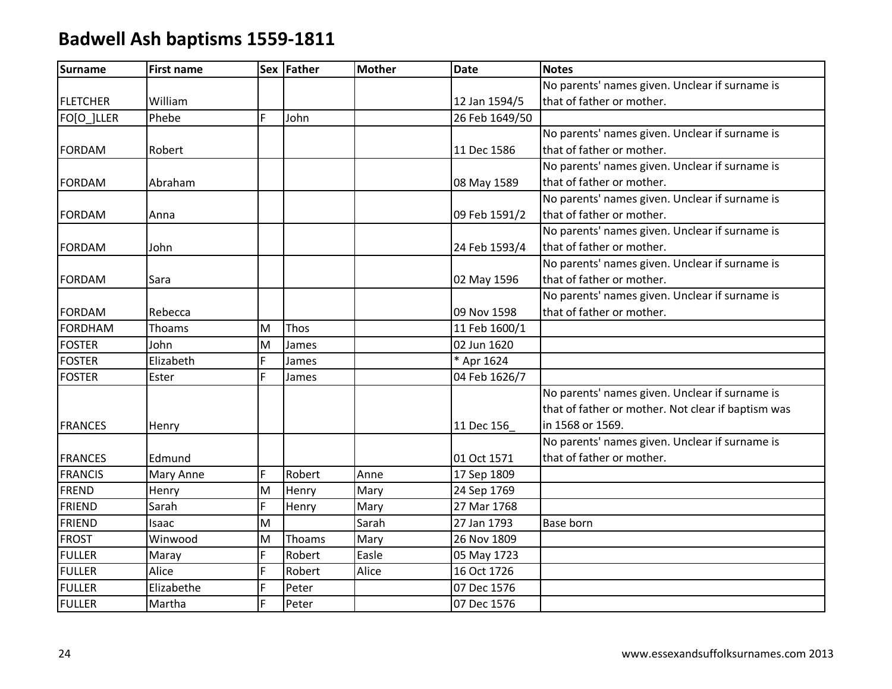| <b>Surname</b>  | <b>First name</b> |   | Sex Father | <b>Mother</b> | <b>Date</b>    | <b>Notes</b>                                       |
|-----------------|-------------------|---|------------|---------------|----------------|----------------------------------------------------|
|                 |                   |   |            |               |                | No parents' names given. Unclear if surname is     |
| <b>FLETCHER</b> | William           |   |            |               | 12 Jan 1594/5  | that of father or mother.                          |
| FO[O_]LLER      | Phebe             | F | John       |               | 26 Feb 1649/50 |                                                    |
|                 |                   |   |            |               |                | No parents' names given. Unclear if surname is     |
| <b>FORDAM</b>   | Robert            |   |            |               | 11 Dec 1586    | that of father or mother.                          |
|                 |                   |   |            |               |                | No parents' names given. Unclear if surname is     |
| <b>FORDAM</b>   | Abraham           |   |            |               | 08 May 1589    | that of father or mother.                          |
|                 |                   |   |            |               |                | No parents' names given. Unclear if surname is     |
| <b>FORDAM</b>   | Anna              |   |            |               | 09 Feb 1591/2  | that of father or mother.                          |
|                 |                   |   |            |               |                | No parents' names given. Unclear if surname is     |
| <b>FORDAM</b>   | John              |   |            |               | 24 Feb 1593/4  | that of father or mother.                          |
|                 |                   |   |            |               |                | No parents' names given. Unclear if surname is     |
| <b>FORDAM</b>   | Sara              |   |            |               | 02 May 1596    | that of father or mother.                          |
|                 |                   |   |            |               |                | No parents' names given. Unclear if surname is     |
| <b>FORDAM</b>   | Rebecca           |   |            |               | 09 Nov 1598    | that of father or mother.                          |
| <b>FORDHAM</b>  | Thoams            | M | Thos       |               | 11 Feb 1600/1  |                                                    |
| <b>FOSTER</b>   | John              | M | James      |               | 02 Jun 1620    |                                                    |
| <b>FOSTER</b>   | Elizabeth         | F | James      |               | * Apr 1624     |                                                    |
| <b>FOSTER</b>   | Ester             | F | James      |               | 04 Feb 1626/7  |                                                    |
|                 |                   |   |            |               |                | No parents' names given. Unclear if surname is     |
|                 |                   |   |            |               |                | that of father or mother. Not clear if baptism was |
| <b>FRANCES</b>  | Henry             |   |            |               | 11 Dec 156     | in 1568 or 1569.                                   |
|                 |                   |   |            |               |                | No parents' names given. Unclear if surname is     |
| <b>FRANCES</b>  | Edmund            |   |            |               | 01 Oct 1571    | that of father or mother.                          |
| <b>FRANCIS</b>  | Mary Anne         | F | Robert     | Anne          | 17 Sep 1809    |                                                    |
| <b>FREND</b>    | Henry             | M | Henry      | Mary          | 24 Sep 1769    |                                                    |
| <b>FRIEND</b>   | Sarah             | F | Henry      | Mary          | 27 Mar 1768    |                                                    |
| <b>FRIEND</b>   | Isaac             | M |            | Sarah         | 27 Jan 1793    | Base born                                          |
| <b>FROST</b>    | Winwood           | M | Thoams     | Mary          | 26 Nov 1809    |                                                    |
| <b>FULLER</b>   | Maray             | F | Robert     | Easle         | 05 May 1723    |                                                    |
| <b>FULLER</b>   | Alice             | F | Robert     | Alice         | 16 Oct 1726    |                                                    |
| <b>FULLER</b>   | Elizabethe        | F | Peter      |               | 07 Dec 1576    |                                                    |
| <b>FULLER</b>   | Martha            | F | Peter      |               | 07 Dec 1576    |                                                    |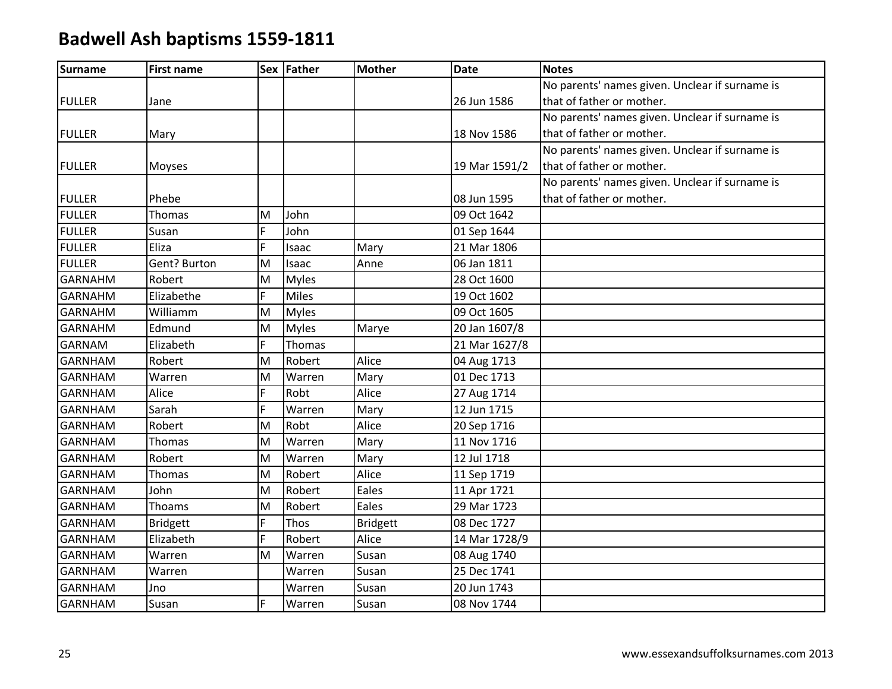| <b>Surname</b> | <b>First name</b> |   | Sex Father   | <b>Mother</b>   | <b>Date</b>   | <b>Notes</b>                                   |
|----------------|-------------------|---|--------------|-----------------|---------------|------------------------------------------------|
|                |                   |   |              |                 |               | No parents' names given. Unclear if surname is |
| <b>FULLER</b>  | Jane              |   |              |                 | 26 Jun 1586   | that of father or mother.                      |
|                |                   |   |              |                 |               | No parents' names given. Unclear if surname is |
| <b>FULLER</b>  | Mary              |   |              |                 | 18 Nov 1586   | that of father or mother.                      |
|                |                   |   |              |                 |               | No parents' names given. Unclear if surname is |
| <b>FULLER</b>  | Moyses            |   |              |                 | 19 Mar 1591/2 | that of father or mother.                      |
|                |                   |   |              |                 |               | No parents' names given. Unclear if surname is |
| <b>FULLER</b>  | Phebe             |   |              |                 | 08 Jun 1595   | that of father or mother.                      |
| <b>FULLER</b>  | Thomas            | M | John         |                 | 09 Oct 1642   |                                                |
| <b>FULLER</b>  | Susan             | F | John         |                 | 01 Sep 1644   |                                                |
| <b>FULLER</b>  | Eliza             | F | Isaac        | Mary            | 21 Mar 1806   |                                                |
| <b>FULLER</b>  | Gent? Burton      | M | Isaac        | Anne            | 06 Jan 1811   |                                                |
| <b>GARNAHM</b> | Robert            | M | <b>Myles</b> |                 | 28 Oct 1600   |                                                |
| <b>GARNAHM</b> | Elizabethe        | F | <b>Miles</b> |                 | 19 Oct 1602   |                                                |
| <b>GARNAHM</b> | Williamm          | M | <b>Myles</b> |                 | 09 Oct 1605   |                                                |
| <b>GARNAHM</b> | Edmund            | M | <b>Myles</b> | Marye           | 20 Jan 1607/8 |                                                |
| <b>GARNAM</b>  | Elizabeth         | F | Thomas       |                 | 21 Mar 1627/8 |                                                |
| <b>GARNHAM</b> | Robert            | M | Robert       | Alice           | 04 Aug 1713   |                                                |
| <b>GARNHAM</b> | Warren            | M | Warren       | Mary            | 01 Dec 1713   |                                                |
| <b>GARNHAM</b> | Alice             | F | Robt         | Alice           | 27 Aug 1714   |                                                |
| <b>GARNHAM</b> | Sarah             | F | Warren       | Mary            | 12 Jun 1715   |                                                |
| <b>GARNHAM</b> | Robert            | M | Robt         | Alice           | 20 Sep 1716   |                                                |
| <b>GARNHAM</b> | Thomas            | M | Warren       | Mary            | 11 Nov 1716   |                                                |
| <b>GARNHAM</b> | Robert            | M | Warren       | Mary            | 12 Jul 1718   |                                                |
| <b>GARNHAM</b> | Thomas            | M | Robert       | Alice           | 11 Sep 1719   |                                                |
| <b>GARNHAM</b> | John              | M | Robert       | Eales           | 11 Apr 1721   |                                                |
| <b>GARNHAM</b> | Thoams            | M | Robert       | Eales           | 29 Mar 1723   |                                                |
| <b>GARNHAM</b> | <b>Bridgett</b>   | F | Thos         | <b>Bridgett</b> | 08 Dec 1727   |                                                |
| <b>GARNHAM</b> | Elizabeth         | F | Robert       | Alice           | 14 Mar 1728/9 |                                                |
| <b>GARNHAM</b> | Warren            | M | Warren       | Susan           | 08 Aug 1740   |                                                |
| <b>GARNHAM</b> | Warren            |   | Warren       | Susan           | 25 Dec 1741   |                                                |
| <b>GARNHAM</b> | Jno               |   | Warren       | Susan           | 20 Jun 1743   |                                                |
| <b>GARNHAM</b> | Susan             | F | Warren       | Susan           | 08 Nov 1744   |                                                |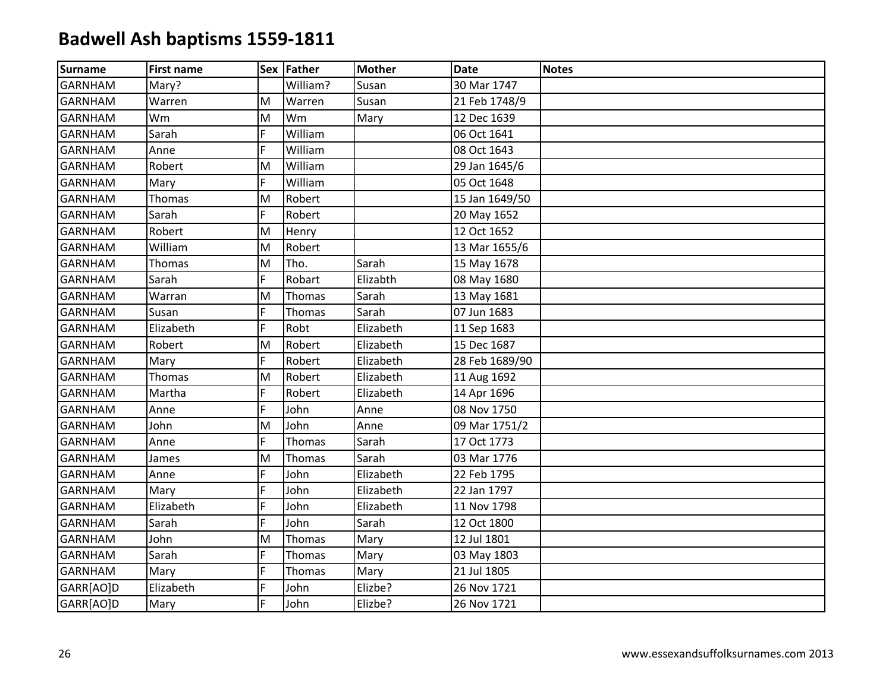| Surname        | <b>First name</b> |    | Sex Father | <b>Mother</b> | Date           | <b>Notes</b> |
|----------------|-------------------|----|------------|---------------|----------------|--------------|
| <b>GARNHAM</b> | Mary?             |    | William?   | Susan         | 30 Mar 1747    |              |
| <b>GARNHAM</b> | Warren            | M  | Warren     | Susan         | 21 Feb 1748/9  |              |
| <b>GARNHAM</b> | Wm                | M  | Wm         | Mary          | 12 Dec 1639    |              |
| <b>GARNHAM</b> | Sarah             | F  | William    |               | 06 Oct 1641    |              |
| <b>GARNHAM</b> | Anne              | F  | William    |               | 08 Oct 1643    |              |
| <b>GARNHAM</b> | Robert            | M  | William    |               | 29 Jan 1645/6  |              |
| <b>GARNHAM</b> | Mary              | F  | William    |               | 05 Oct 1648    |              |
| <b>GARNHAM</b> | Thomas            | M  | Robert     |               | 15 Jan 1649/50 |              |
| <b>GARNHAM</b> | Sarah             | F  | Robert     |               | 20 May 1652    |              |
| <b>GARNHAM</b> | Robert            | M  | Henry      |               | 12 Oct 1652    |              |
| <b>GARNHAM</b> | William           | M  | Robert     |               | 13 Mar 1655/6  |              |
| <b>GARNHAM</b> | Thomas            | M  | Tho.       | Sarah         | 15 May 1678    |              |
| <b>GARNHAM</b> | Sarah             | F  | Robart     | Elizabth      | 08 May 1680    |              |
| <b>GARNHAM</b> | Warran            | M  | Thomas     | Sarah         | 13 May 1681    |              |
| <b>GARNHAM</b> | Susan             | F  | Thomas     | Sarah         | 07 Jun 1683    |              |
| <b>GARNHAM</b> | Elizabeth         | F  | Robt       | Elizabeth     | 11 Sep 1683    |              |
| <b>GARNHAM</b> | Robert            | M  | Robert     | Elizabeth     | 15 Dec 1687    |              |
| <b>GARNHAM</b> | Mary              | F  | Robert     | Elizabeth     | 28 Feb 1689/90 |              |
| <b>GARNHAM</b> | Thomas            | M  | Robert     | Elizabeth     | 11 Aug 1692    |              |
| <b>GARNHAM</b> | Martha            | F  | Robert     | Elizabeth     | 14 Apr 1696    |              |
| <b>GARNHAM</b> | Anne              | F  | John       | Anne          | 08 Nov 1750    |              |
| <b>GARNHAM</b> | John              | M  | John       | Anne          | 09 Mar 1751/2  |              |
| <b>GARNHAM</b> | Anne              | F  | Thomas     | Sarah         | 17 Oct 1773    |              |
| <b>GARNHAM</b> | James             | M  | Thomas     | Sarah         | 03 Mar 1776    |              |
| <b>GARNHAM</b> | Anne              | F  | John       | Elizabeth     | 22 Feb 1795    |              |
| <b>GARNHAM</b> | Mary              | F  | John       | Elizabeth     | 22 Jan 1797    |              |
| <b>GARNHAM</b> | Elizabeth         | F  | John       | Elizabeth     | 11 Nov 1798    |              |
| <b>GARNHAM</b> | Sarah             | F  | John       | Sarah         | 12 Oct 1800    |              |
| <b>GARNHAM</b> | John              | M  | Thomas     | Mary          | 12 Jul 1801    |              |
| <b>GARNHAM</b> | Sarah             | F  | Thomas     | Mary          | 03 May 1803    |              |
| <b>GARNHAM</b> | Mary              | F  | Thomas     | Mary          | 21 Jul 1805    |              |
| GARR[AO]D      | Elizabeth         | F  | John       | Elizbe?       | 26 Nov 1721    |              |
| GARR[AO]D      | Mary              | F. | John       | Elizbe?       | 26 Nov 1721    |              |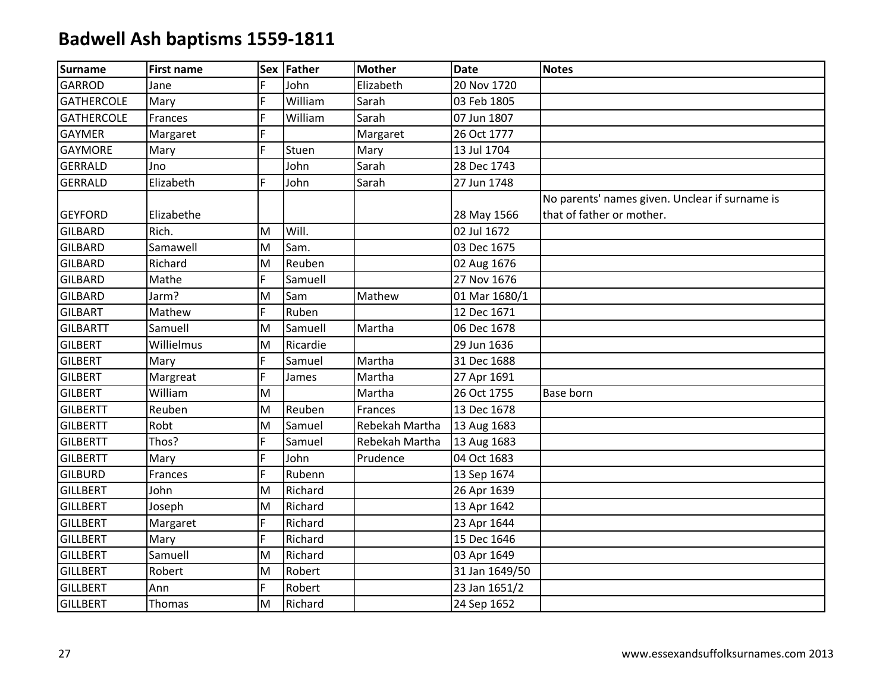| <b>Surname</b>    | <b>First name</b> |   | Sex Father | <b>Mother</b>  | <b>Date</b>    | <b>Notes</b>                                   |
|-------------------|-------------------|---|------------|----------------|----------------|------------------------------------------------|
| <b>GARROD</b>     | Jane              | F | John       | Elizabeth      | 20 Nov 1720    |                                                |
| <b>GATHERCOLE</b> | Mary              | F | William    | Sarah          | 03 Feb 1805    |                                                |
| <b>GATHERCOLE</b> | Frances           | F | William    | Sarah          | 07 Jun 1807    |                                                |
| <b>GAYMER</b>     | Margaret          | F |            | Margaret       | 26 Oct 1777    |                                                |
| <b>GAYMORE</b>    | Mary              | F | Stuen      | Mary           | 13 Jul 1704    |                                                |
| <b>GERRALD</b>    | Jno               |   | John       | Sarah          | 28 Dec 1743    |                                                |
| <b>GERRALD</b>    | Elizabeth         | F | John       | Sarah          | 27 Jun 1748    |                                                |
|                   |                   |   |            |                |                | No parents' names given. Unclear if surname is |
| <b>GEYFORD</b>    | Elizabethe        |   |            |                | 28 May 1566    | that of father or mother.                      |
| <b>GILBARD</b>    | Rich.             | M | Will.      |                | 02 Jul 1672    |                                                |
| <b>GILBARD</b>    | Samawell          | M | Sam.       |                | 03 Dec 1675    |                                                |
| <b>GILBARD</b>    | Richard           | M | Reuben     |                | 02 Aug 1676    |                                                |
| <b>GILBARD</b>    | Mathe             | F | Samuell    |                | 27 Nov 1676    |                                                |
| <b>GILBARD</b>    | Jarm?             | M | Sam        | Mathew         | 01 Mar 1680/1  |                                                |
| <b>GILBART</b>    | Mathew            | F | Ruben      |                | 12 Dec 1671    |                                                |
| <b>GILBARTT</b>   | Samuell           | M | Samuell    | Martha         | 06 Dec 1678    |                                                |
| <b>GILBERT</b>    | Willielmus        | M | Ricardie   |                | 29 Jun 1636    |                                                |
| <b>GILBERT</b>    | Mary              | F | Samuel     | Martha         | 31 Dec 1688    |                                                |
| <b>GILBERT</b>    | Margreat          | F | James      | Martha         | 27 Apr 1691    |                                                |
| <b>GILBERT</b>    | William           | M |            | Martha         | 26 Oct 1755    | Base born                                      |
| <b>GILBERTT</b>   | Reuben            | M | Reuben     | Frances        | 13 Dec 1678    |                                                |
| <b>GILBERTT</b>   | Robt              | M | Samuel     | Rebekah Martha | 13 Aug 1683    |                                                |
| <b>GILBERTT</b>   | Thos?             | F | Samuel     | Rebekah Martha | 13 Aug 1683    |                                                |
| <b>GILBERTT</b>   | Mary              | F | John       | Prudence       | 04 Oct 1683    |                                                |
| <b>GILBURD</b>    | Frances           | F | Rubenn     |                | 13 Sep 1674    |                                                |
| <b>GILLBERT</b>   | John              | M | Richard    |                | 26 Apr 1639    |                                                |
| <b>GILLBERT</b>   | Joseph            | M | Richard    |                | 13 Apr 1642    |                                                |
| <b>GILLBERT</b>   | Margaret          | F | Richard    |                | 23 Apr 1644    |                                                |
| <b>GILLBERT</b>   | Mary              | F | Richard    |                | 15 Dec 1646    |                                                |
| <b>GILLBERT</b>   | Samuell           | M | Richard    |                | 03 Apr 1649    |                                                |
| <b>GILLBERT</b>   | Robert            | M | Robert     |                | 31 Jan 1649/50 |                                                |
| <b>GILLBERT</b>   | Ann               | F | Robert     |                | 23 Jan 1651/2  |                                                |
| <b>GILLBERT</b>   | Thomas            | M | Richard    |                | 24 Sep 1652    |                                                |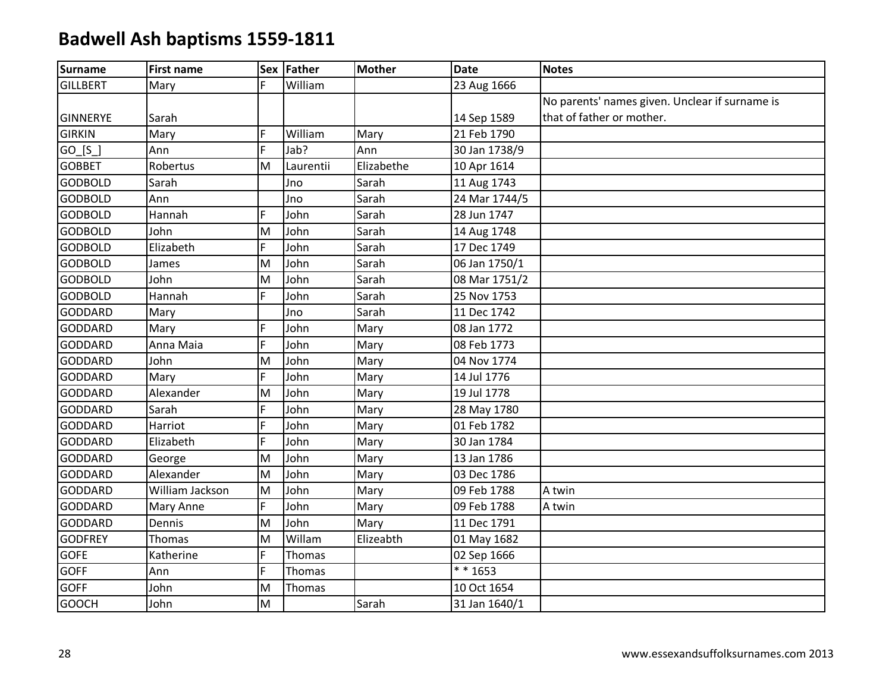| <b>Surname</b>  | <b>First name</b> |    | Sex Father | <b>Mother</b> | <b>Date</b>   | <b>Notes</b>                                   |
|-----------------|-------------------|----|------------|---------------|---------------|------------------------------------------------|
| <b>GILLBERT</b> | Mary              | F  | William    |               | 23 Aug 1666   |                                                |
|                 |                   |    |            |               |               | No parents' names given. Unclear if surname is |
| <b>GINNERYE</b> | Sarah             |    |            |               | 14 Sep 1589   | that of father or mother.                      |
| <b>GIRKIN</b>   | Mary              | F  | William    | Mary          | 21 Feb 1790   |                                                |
| $GO_{S}$        | Ann               | F  | Jab?       | Ann           | 30 Jan 1738/9 |                                                |
| <b>GOBBET</b>   | Robertus          | M  | Laurentii  | Elizabethe    | 10 Apr 1614   |                                                |
| <b>GODBOLD</b>  | Sarah             |    | Jno        | Sarah         | 11 Aug 1743   |                                                |
| <b>GODBOLD</b>  | Ann               |    | Jno        | Sarah         | 24 Mar 1744/5 |                                                |
| <b>GODBOLD</b>  | Hannah            | F  | John       | Sarah         | 28 Jun 1747   |                                                |
| <b>GODBOLD</b>  | John              | M  | John       | Sarah         | 14 Aug 1748   |                                                |
| <b>GODBOLD</b>  | Elizabeth         | F  | John       | Sarah         | 17 Dec 1749   |                                                |
| <b>GODBOLD</b>  | James             | M  | John       | Sarah         | 06 Jan 1750/1 |                                                |
| <b>GODBOLD</b>  | John              | M  | John       | Sarah         | 08 Mar 1751/2 |                                                |
| <b>GODBOLD</b>  | Hannah            | F  | John       | Sarah         | 25 Nov 1753   |                                                |
| <b>GODDARD</b>  | Mary              |    | Jno        | Sarah         | 11 Dec 1742   |                                                |
| <b>GODDARD</b>  | Mary              | F  | John       | Mary          | 08 Jan 1772   |                                                |
| <b>GODDARD</b>  | Anna Maia         | F. | John       | Mary          | 08 Feb 1773   |                                                |
| <b>GODDARD</b>  | John              | M  | John       | Mary          | 04 Nov 1774   |                                                |
| <b>GODDARD</b>  | Mary              | F  | John       | Mary          | 14 Jul 1776   |                                                |
| <b>GODDARD</b>  | Alexander         | M  | John       | Mary          | 19 Jul 1778   |                                                |
| <b>GODDARD</b>  | Sarah             | F  | John       | Mary          | 28 May 1780   |                                                |
| <b>GODDARD</b>  | Harriot           | F. | John       | Mary          | 01 Feb 1782   |                                                |
| <b>GODDARD</b>  | Elizabeth         | F  | John       | Mary          | 30 Jan 1784   |                                                |
| <b>GODDARD</b>  | George            | M  | John       | Mary          | 13 Jan 1786   |                                                |
| <b>GODDARD</b>  | Alexander         | M  | John       | Mary          | 03 Dec 1786   |                                                |
| <b>GODDARD</b>  | William Jackson   | M  | John       | Mary          | 09 Feb 1788   | A twin                                         |
| <b>GODDARD</b>  | Mary Anne         | F  | John       | Mary          | 09 Feb 1788   | A twin                                         |
| <b>GODDARD</b>  | Dennis            | M  | John       | Mary          | 11 Dec 1791   |                                                |
| <b>GODFREY</b>  | <b>Thomas</b>     | M  | Willam     | Elizeabth     | 01 May 1682   |                                                |
| <b>GOFE</b>     | Katherine         | F  | Thomas     |               | 02 Sep 1666   |                                                |
| <b>GOFF</b>     | Ann               | F  | Thomas     |               | $* * 1653$    |                                                |
| <b>GOFF</b>     | John              | M  | Thomas     |               | 10 Oct 1654   |                                                |
| <b>GOOCH</b>    | John              | M  |            | Sarah         | 31 Jan 1640/1 |                                                |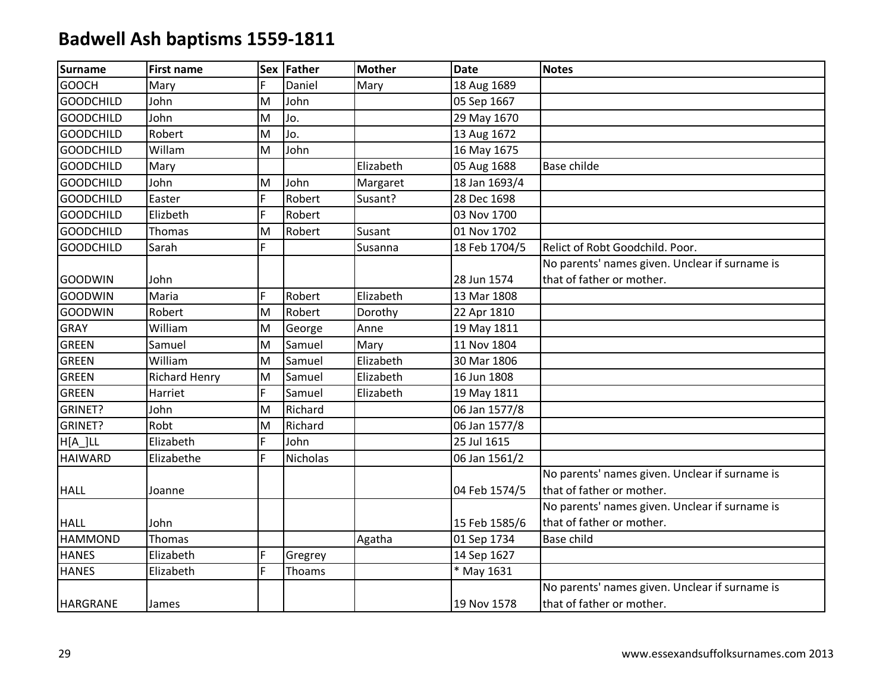| Surname          | <b>First name</b>    |    | Sex Father | <b>Mother</b> | <b>Date</b>   | <b>Notes</b>                                   |
|------------------|----------------------|----|------------|---------------|---------------|------------------------------------------------|
| <b>GOOCH</b>     | Mary                 | F  | Daniel     | Mary          | 18 Aug 1689   |                                                |
| <b>GOODCHILD</b> | John                 | M  | John       |               | 05 Sep 1667   |                                                |
| <b>GOODCHILD</b> | John                 | M  | Jo.        |               | 29 May 1670   |                                                |
| <b>GOODCHILD</b> | Robert               | M  | Jo.        |               | 13 Aug 1672   |                                                |
| <b>GOODCHILD</b> | Willam               | M  | John       |               | 16 May 1675   |                                                |
| <b>GOODCHILD</b> | Mary                 |    |            | Elizabeth     | 05 Aug 1688   | <b>Base childe</b>                             |
| <b>GOODCHILD</b> | John                 | M  | John       | Margaret      | 18 Jan 1693/4 |                                                |
| <b>GOODCHILD</b> | Easter               | F  | Robert     | Susant?       | 28 Dec 1698   |                                                |
| <b>GOODCHILD</b> | Elizbeth             | F  | Robert     |               | 03 Nov 1700   |                                                |
| <b>GOODCHILD</b> | Thomas               | M  | Robert     | Susant        | 01 Nov 1702   |                                                |
| <b>GOODCHILD</b> | Sarah                | F  |            | Susanna       | 18 Feb 1704/5 | Relict of Robt Goodchild. Poor.                |
|                  |                      |    |            |               |               | No parents' names given. Unclear if surname is |
| <b>GOODWIN</b>   | John                 |    |            |               | 28 Jun 1574   | that of father or mother.                      |
| <b>GOODWIN</b>   | Maria                | F  | Robert     | Elizabeth     | 13 Mar 1808   |                                                |
| <b>GOODWIN</b>   | Robert               | M  | Robert     | Dorothy       | 22 Apr 1810   |                                                |
| <b>GRAY</b>      | William              | M  | George     | Anne          | 19 May 1811   |                                                |
| <b>GREEN</b>     | Samuel               | M  | Samuel     | Mary          | 11 Nov 1804   |                                                |
| <b>GREEN</b>     | William              | M  | Samuel     | Elizabeth     | 30 Mar 1806   |                                                |
| <b>GREEN</b>     | <b>Richard Henry</b> | M  | Samuel     | Elizabeth     | 16 Jun 1808   |                                                |
| <b>GREEN</b>     | Harriet              | F. | Samuel     | Elizabeth     | 19 May 1811   |                                                |
| GRINET?          | John                 | M  | Richard    |               | 06 Jan 1577/8 |                                                |
| GRINET?          | Robt                 | M  | Richard    |               | 06 Jan 1577/8 |                                                |
| $H[A_]LL$        | Elizabeth            | F  | John       |               | 25 Jul 1615   |                                                |
| <b>HAIWARD</b>   | Elizabethe           | F  | Nicholas   |               | 06 Jan 1561/2 |                                                |
|                  |                      |    |            |               |               | No parents' names given. Unclear if surname is |
| <b>HALL</b>      | Joanne               |    |            |               | 04 Feb 1574/5 | that of father or mother.                      |
|                  |                      |    |            |               |               | No parents' names given. Unclear if surname is |
| <b>HALL</b>      | John                 |    |            |               | 15 Feb 1585/6 | that of father or mother.                      |
| <b>HAMMOND</b>   | Thomas               |    |            | Agatha        | 01 Sep 1734   | Base child                                     |
| <b>HANES</b>     | Elizabeth            | F  | Gregrey    |               | 14 Sep 1627   |                                                |
| <b>HANES</b>     | Elizabeth            | F  | Thoams     |               | * May 1631    |                                                |
|                  |                      |    |            |               |               | No parents' names given. Unclear if surname is |
| <b>HARGRANE</b>  | James                |    |            |               | 19 Nov 1578   | that of father or mother.                      |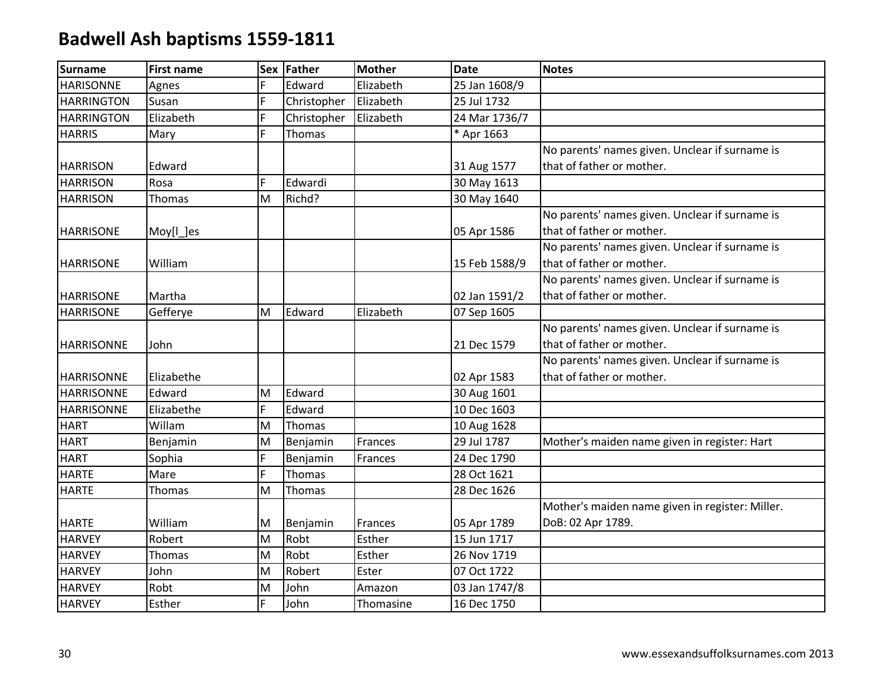| <b>Surname</b>    | <b>First name</b> | <b>Sex</b> | <b>Father</b> | <b>Mother</b> | <b>Date</b>   | <b>Notes</b>                                    |
|-------------------|-------------------|------------|---------------|---------------|---------------|-------------------------------------------------|
| <b>HARISONNE</b>  | Agnes             | F          | Edward        | Elizabeth     | 25 Jan 1608/9 |                                                 |
| <b>HARRINGTON</b> | Susan             | F          | Christopher   | Elizabeth     | 25 Jul 1732   |                                                 |
| <b>HARRINGTON</b> | Elizabeth         | Ë          | Christopher   | Elizabeth     | 24 Mar 1736/7 |                                                 |
| <b>HARRIS</b>     | Mary              | F          | Thomas        |               | * Apr 1663    |                                                 |
|                   |                   |            |               |               |               | No parents' names given. Unclear if surname is  |
| <b>HARRISON</b>   | Edward            |            |               |               | 31 Aug 1577   | that of father or mother.                       |
| <b>HARRISON</b>   | Rosa              | F          | Edwardi       |               | 30 May 1613   |                                                 |
| <b>HARRISON</b>   | Thomas            | M          | Richd?        |               | 30 May 1640   |                                                 |
|                   |                   |            |               |               |               | No parents' names given. Unclear if surname is  |
| <b>HARRISONE</b>  | Moy[l_]es         |            |               |               | 05 Apr 1586   | that of father or mother.                       |
|                   |                   |            |               |               |               | No parents' names given. Unclear if surname is  |
| <b>HARRISONE</b>  | William           |            |               |               | 15 Feb 1588/9 | that of father or mother.                       |
|                   |                   |            |               |               |               | No parents' names given. Unclear if surname is  |
| <b>HARRISONE</b>  | Martha            |            |               |               | 02 Jan 1591/2 | that of father or mother.                       |
| <b>HARRISONE</b>  | Gefferye          | M          | Edward        | Elizabeth     | 07 Sep 1605   |                                                 |
|                   |                   |            |               |               |               | No parents' names given. Unclear if surname is  |
| <b>HARRISONNE</b> | John              |            |               |               | 21 Dec 1579   | that of father or mother.                       |
|                   |                   |            |               |               |               | No parents' names given. Unclear if surname is  |
| <b>HARRISONNE</b> | Elizabethe        |            |               |               | 02 Apr 1583   | that of father or mother.                       |
| <b>HARRISONNE</b> | Edward            | M          | Edward        |               | 30 Aug 1601   |                                                 |
| <b>HARRISONNE</b> | Elizabethe        | F          | Edward        |               | 10 Dec 1603   |                                                 |
| <b>HART</b>       | Willam            | M          | Thomas        |               | 10 Aug 1628   |                                                 |
| <b>HART</b>       | Benjamin          | M          | Benjamin      | Frances       | 29 Jul 1787   | Mother's maiden name given in register: Hart    |
| <b>HART</b>       | Sophia            | F          | Benjamin      | Frances       | 24 Dec 1790   |                                                 |
| <b>HARTE</b>      | Mare              | F          | Thomas        |               | 28 Oct 1621   |                                                 |
| <b>HARTE</b>      | Thomas            | M          | Thomas        |               | 28 Dec 1626   |                                                 |
|                   |                   |            |               |               |               | Mother's maiden name given in register: Miller. |
| <b>HARTE</b>      | William           | M          | Benjamin      | Frances       | 05 Apr 1789   | DoB: 02 Apr 1789.                               |
| <b>HARVEY</b>     | Robert            | M          | Robt          | Esther        | 15 Jun 1717   |                                                 |
| <b>HARVEY</b>     | Thomas            | M          | Robt          | Esther        | 26 Nov 1719   |                                                 |
| <b>HARVEY</b>     | John              | M          | Robert        | Ester         | 07 Oct 1722   |                                                 |
| <b>HARVEY</b>     | Robt              | M          | John          | Amazon        | 03 Jan 1747/8 |                                                 |
| <b>HARVEY</b>     | Esther            | F          | John          | Thomasine     | 16 Dec 1750   |                                                 |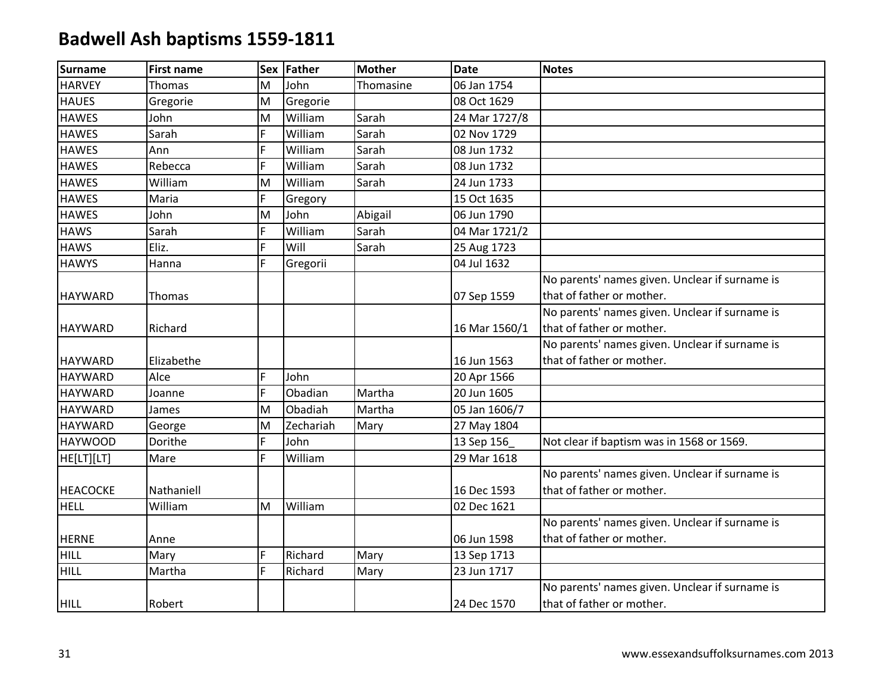| <b>Surname</b>  | <b>First name</b> |   | Sex Father | <b>Mother</b> | <b>Date</b>   | <b>Notes</b>                                   |
|-----------------|-------------------|---|------------|---------------|---------------|------------------------------------------------|
| <b>HARVEY</b>   | Thomas            | M | John       | Thomasine     | 06 Jan 1754   |                                                |
| <b>HAUES</b>    | Gregorie          | M | Gregorie   |               | 08 Oct 1629   |                                                |
| <b>HAWES</b>    | John              | M | William    | Sarah         | 24 Mar 1727/8 |                                                |
| <b>HAWES</b>    | Sarah             | F | William    | Sarah         | 02 Nov 1729   |                                                |
| <b>HAWES</b>    | Ann               | F | William    | Sarah         | 08 Jun 1732   |                                                |
| <b>HAWES</b>    | Rebecca           | F | William    | Sarah         | 08 Jun 1732   |                                                |
| <b>HAWES</b>    | William           | M | William    | Sarah         | 24 Jun 1733   |                                                |
| <b>HAWES</b>    | Maria             | F | Gregory    |               | 15 Oct 1635   |                                                |
| <b>HAWES</b>    | John              | M | John       | Abigail       | 06 Jun 1790   |                                                |
| <b>HAWS</b>     | Sarah             | F | William    | Sarah         | 04 Mar 1721/2 |                                                |
| <b>HAWS</b>     | Eliz.             | F | Will       | Sarah         | 25 Aug 1723   |                                                |
| <b>HAWYS</b>    | Hanna             | F | Gregorii   |               | 04 Jul 1632   |                                                |
|                 |                   |   |            |               |               | No parents' names given. Unclear if surname is |
| <b>HAYWARD</b>  | Thomas            |   |            |               | 07 Sep 1559   | that of father or mother.                      |
|                 |                   |   |            |               |               | No parents' names given. Unclear if surname is |
| <b>HAYWARD</b>  | Richard           |   |            |               | 16 Mar 1560/1 | that of father or mother.                      |
|                 |                   |   |            |               |               | No parents' names given. Unclear if surname is |
| <b>HAYWARD</b>  | Elizabethe        |   |            |               | 16 Jun 1563   | that of father or mother.                      |
| <b>HAYWARD</b>  | Alce              | F | John       |               | 20 Apr 1566   |                                                |
| <b>HAYWARD</b>  | Joanne            | F | Obadian    | Martha        | 20 Jun 1605   |                                                |
| <b>HAYWARD</b>  | James             | M | Obadiah    | Martha        | 05 Jan 1606/7 |                                                |
| <b>HAYWARD</b>  | George            | M | Zechariah  | Mary          | 27 May 1804   |                                                |
| <b>HAYWOOD</b>  | Dorithe           | F | John       |               | 13 Sep 156    | Not clear if baptism was in 1568 or 1569.      |
| HE[LT][LT]      | Mare              | F | William    |               | 29 Mar 1618   |                                                |
|                 |                   |   |            |               |               | No parents' names given. Unclear if surname is |
| <b>HEACOCKE</b> | Nathaniell        |   |            |               | 16 Dec 1593   | that of father or mother.                      |
| <b>HELL</b>     | William           | M | William    |               | 02 Dec 1621   |                                                |
|                 |                   |   |            |               |               | No parents' names given. Unclear if surname is |
| <b>HERNE</b>    | Anne              |   |            |               | 06 Jun 1598   | that of father or mother.                      |
| <b>HILL</b>     | Mary              | F | Richard    | Mary          | 13 Sep 1713   |                                                |
| <b>HILL</b>     | Martha            | F | Richard    | Mary          | 23 Jun 1717   |                                                |
|                 |                   |   |            |               |               | No parents' names given. Unclear if surname is |
| <b>HILL</b>     | Robert            |   |            |               | 24 Dec 1570   | that of father or mother.                      |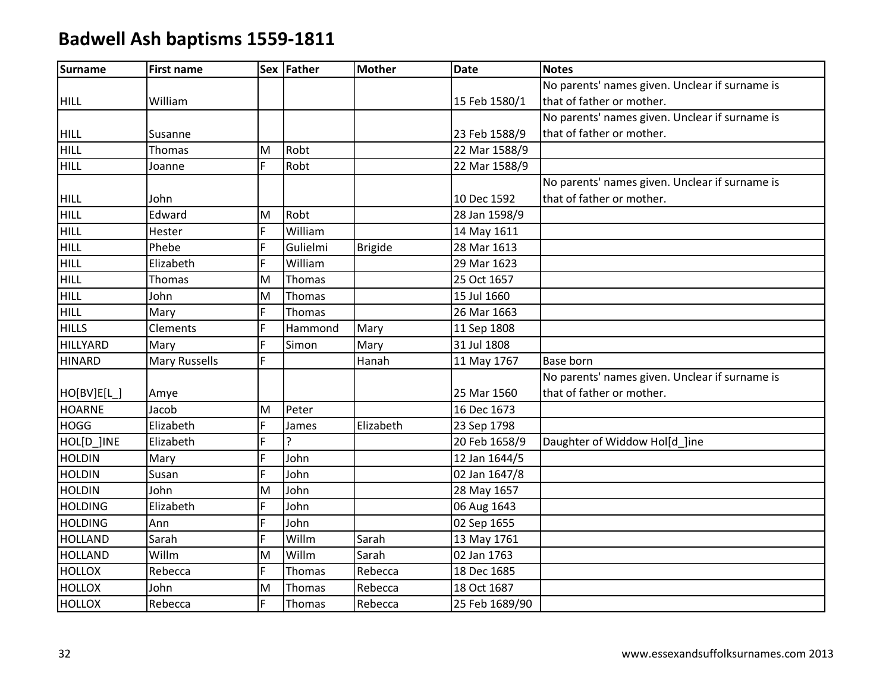| <b>Surname</b>  | <b>First name</b>    |    | Sex Father   | <b>Mother</b>  | <b>Date</b>    | <b>Notes</b>                                   |
|-----------------|----------------------|----|--------------|----------------|----------------|------------------------------------------------|
|                 |                      |    |              |                |                | No parents' names given. Unclear if surname is |
| <b>HILL</b>     | William              |    |              |                | 15 Feb 1580/1  | that of father or mother.                      |
|                 |                      |    |              |                |                | No parents' names given. Unclear if surname is |
| <b>HILL</b>     | Susanne              |    |              |                | 23 Feb 1588/9  | that of father or mother.                      |
| <b>HILL</b>     | Thomas               | M  | Robt         |                | 22 Mar 1588/9  |                                                |
| <b>HILL</b>     | Joanne               | F. | Robt         |                | 22 Mar 1588/9  |                                                |
|                 |                      |    |              |                |                | No parents' names given. Unclear if surname is |
| <b>HILL</b>     | John                 |    |              |                | 10 Dec 1592    | that of father or mother.                      |
| <b>HILL</b>     | Edward               | M  | Robt         |                | 28 Jan 1598/9  |                                                |
| <b>HILL</b>     | Hester               | F  | William      |                | 14 May 1611    |                                                |
| <b>HILL</b>     | Phebe                | F. | Gulielmi     | <b>Brigide</b> | 28 Mar 1613    |                                                |
| <b>HILL</b>     | Elizabeth            | F. | William      |                | 29 Mar 1623    |                                                |
| <b>HILL</b>     | Thomas               | M  | Thomas       |                | 25 Oct 1657    |                                                |
| <b>HILL</b>     | John                 | M  | Thomas       |                | 15 Jul 1660    |                                                |
| <b>HILL</b>     | Mary                 | F  | Thomas       |                | 26 Mar 1663    |                                                |
| <b>HILLS</b>    | Clements             | F. | Hammond      | Mary           | 11 Sep 1808    |                                                |
| <b>HILLYARD</b> | Mary                 | F  | Simon        | Mary           | 31 Jul 1808    |                                                |
| <b>HINARD</b>   | <b>Mary Russells</b> | F. |              | Hanah          | 11 May 1767    | Base born                                      |
|                 |                      |    |              |                |                | No parents' names given. Unclear if surname is |
| HO[BV]E[L_]     | Amye                 |    |              |                | 25 Mar 1560    | that of father or mother.                      |
| <b>HOARNE</b>   | Jacob                | M  | Peter        |                | 16 Dec 1673    |                                                |
| <b>HOGG</b>     | Elizabeth            | F. | James        | Elizabeth      | 23 Sep 1798    |                                                |
| HOL[D_]INE      | Elizabeth            | F. | <sub>2</sub> |                | 20 Feb 1658/9  | Daughter of Widdow Hol[d ]ine                  |
| <b>HOLDIN</b>   | Mary                 | F. | John         |                | 12 Jan 1644/5  |                                                |
| <b>HOLDIN</b>   | Susan                | F  | John         |                | 02 Jan 1647/8  |                                                |
| <b>HOLDIN</b>   | John                 | M  | John         |                | 28 May 1657    |                                                |
| <b>HOLDING</b>  | Elizabeth            | F. | John         |                | 06 Aug 1643    |                                                |
| <b>HOLDING</b>  | Ann                  | F. | John         |                | 02 Sep 1655    |                                                |
| <b>HOLLAND</b>  | Sarah                | F  | Willm        | Sarah          | 13 May 1761    |                                                |
| <b>HOLLAND</b>  | Willm                | M  | Willm        | Sarah          | 02 Jan 1763    |                                                |
| <b>HOLLOX</b>   | Rebecca              | F. | Thomas       | Rebecca        | 18 Dec 1685    |                                                |
| <b>HOLLOX</b>   | John                 | M  | Thomas       | Rebecca        | 18 Oct 1687    |                                                |
| <b>HOLLOX</b>   | Rebecca              | F  | Thomas       | Rebecca        | 25 Feb 1689/90 |                                                |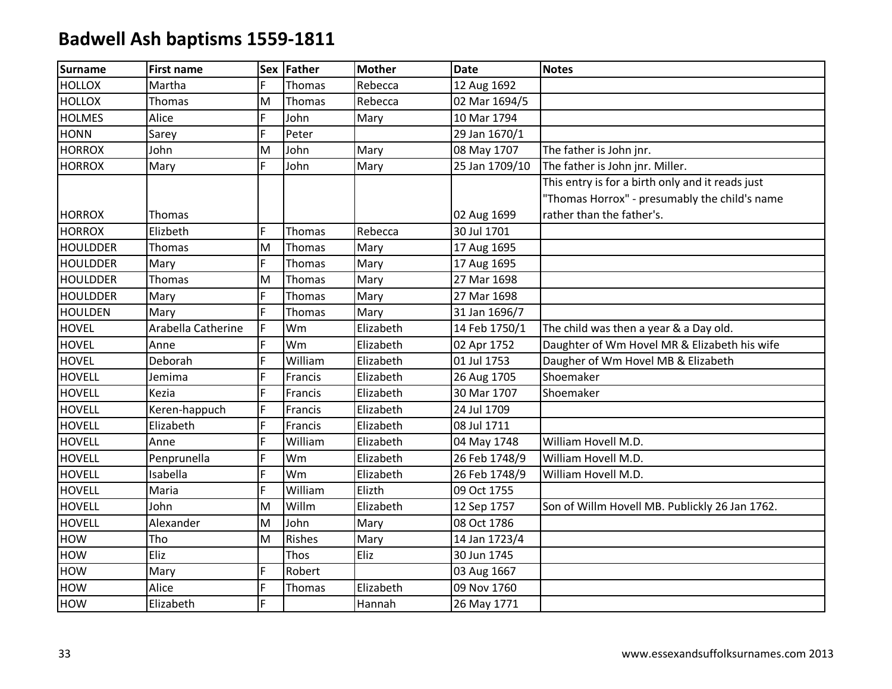| <b>Surname</b>  | <b>First name</b>  |   | Sex Father    | <b>Mother</b> | <b>Date</b>    | <b>Notes</b>                                     |
|-----------------|--------------------|---|---------------|---------------|----------------|--------------------------------------------------|
| <b>HOLLOX</b>   | Martha             | F | Thomas        | Rebecca       | 12 Aug 1692    |                                                  |
| <b>HOLLOX</b>   | Thomas             | M | Thomas        | Rebecca       | 02 Mar 1694/5  |                                                  |
| <b>HOLMES</b>   | Alice              | F | John          | Mary          | 10 Mar 1794    |                                                  |
| <b>HONN</b>     | Sarey              | F | Peter         |               | 29 Jan 1670/1  |                                                  |
| <b>HORROX</b>   | John               | M | John          | Mary          | 08 May 1707    | The father is John jnr.                          |
| <b>HORROX</b>   | Mary               | F | John          | Mary          | 25 Jan 1709/10 | The father is John jnr. Miller.                  |
|                 |                    |   |               |               |                | This entry is for a birth only and it reads just |
|                 |                    |   |               |               |                | "Thomas Horrox" - presumably the child's name    |
| <b>HORROX</b>   | Thomas             |   |               |               | 02 Aug 1699    | rather than the father's.                        |
| <b>HORROX</b>   | Elizbeth           | F | Thomas        | Rebecca       | 30 Jul 1701    |                                                  |
| <b>HOULDDER</b> | Thomas             | M | Thomas        | Mary          | 17 Aug 1695    |                                                  |
| <b>HOULDDER</b> | Mary               | F | Thomas        | Mary          | 17 Aug 1695    |                                                  |
| <b>HOULDDER</b> | Thomas             | M | Thomas        | Mary          | 27 Mar 1698    |                                                  |
| <b>HOULDDER</b> | Mary               | F | Thomas        | Mary          | 27 Mar 1698    |                                                  |
| <b>HOULDEN</b>  | Mary               | F | Thomas        | Mary          | 31 Jan 1696/7  |                                                  |
| <b>HOVEL</b>    | Arabella Catherine | F | Wm            | Elizabeth     | 14 Feb 1750/1  | The child was then a year & a Day old.           |
| <b>HOVEL</b>    | Anne               | F | Wm            | Elizabeth     | 02 Apr 1752    | Daughter of Wm Hovel MR & Elizabeth his wife     |
| <b>HOVEL</b>    | Deborah            | F | William       | Elizabeth     | 01 Jul 1753    | Daugher of Wm Hovel MB & Elizabeth               |
| <b>HOVELL</b>   | Jemima             | F | Francis       | Elizabeth     | 26 Aug 1705    | Shoemaker                                        |
| <b>HOVELL</b>   | Kezia              | F | Francis       | Elizabeth     | 30 Mar 1707    | Shoemaker                                        |
| <b>HOVELL</b>   | Keren-happuch      | F | Francis       | Elizabeth     | 24 Jul 1709    |                                                  |
| <b>HOVELL</b>   | Elizabeth          | F | Francis       | Elizabeth     | 08 Jul 1711    |                                                  |
| <b>HOVELL</b>   | Anne               | F | William       | Elizabeth     | 04 May 1748    | William Hovell M.D.                              |
| <b>HOVELL</b>   | Penprunella        | F | Wm            | Elizabeth     | 26 Feb 1748/9  | William Hovell M.D.                              |
| <b>HOVELL</b>   | Isabella           | F | Wm            | Elizabeth     | 26 Feb 1748/9  | William Hovell M.D.                              |
| <b>HOVELL</b>   | Maria              | F | William       | Elizth        | 09 Oct 1755    |                                                  |
| <b>HOVELL</b>   | John               | M | Willm         | Elizabeth     | 12 Sep 1757    | Son of Willm Hovell MB. Publickly 26 Jan 1762.   |
| <b>HOVELL</b>   | Alexander          | M | John          | Mary          | 08 Oct 1786    |                                                  |
| <b>HOW</b>      | Tho                | M | <b>Rishes</b> | Mary          | 14 Jan 1723/4  |                                                  |
| <b>HOW</b>      | Eliz               |   | Thos          | Eliz          | 30 Jun 1745    |                                                  |
| HOW             | Mary               | F | Robert        |               | 03 Aug 1667    |                                                  |
| <b>HOW</b>      | Alice              | F | Thomas        | Elizabeth     | 09 Nov 1760    |                                                  |
| <b>HOW</b>      | Elizabeth          | F |               | Hannah        | 26 May 1771    |                                                  |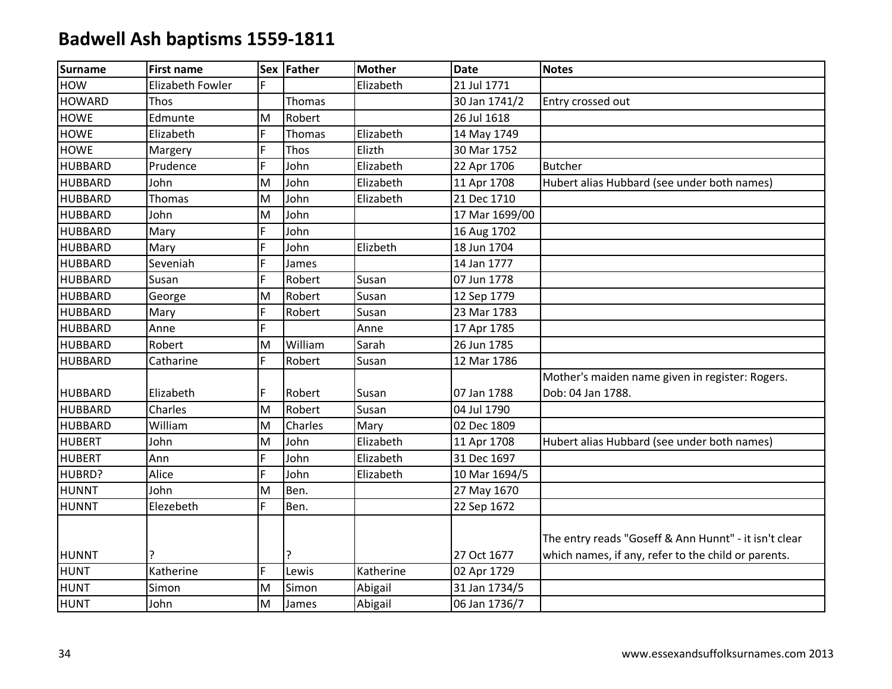| Surname        | <b>First name</b>       |   | Sex Father | <b>Mother</b> | <b>Date</b>    | <b>Notes</b>                                                                                                 |
|----------------|-------------------------|---|------------|---------------|----------------|--------------------------------------------------------------------------------------------------------------|
| <b>HOW</b>     | <b>Elizabeth Fowler</b> | F |            | Elizabeth     | 21 Jul 1771    |                                                                                                              |
| <b>HOWARD</b>  | Thos                    |   | Thomas     |               | 30 Jan 1741/2  | Entry crossed out                                                                                            |
| <b>HOWE</b>    | Edmunte                 | M | Robert     |               | 26 Jul 1618    |                                                                                                              |
| <b>HOWE</b>    | Elizabeth               | F | Thomas     | Elizabeth     | 14 May 1749    |                                                                                                              |
| <b>HOWE</b>    | Margery                 | F | Thos       | Elizth        | 30 Mar 1752    |                                                                                                              |
| <b>HUBBARD</b> | Prudence                | F | John       | Elizabeth     | 22 Apr 1706    | <b>Butcher</b>                                                                                               |
| <b>HUBBARD</b> | John                    | M | John       | Elizabeth     | 11 Apr 1708    | Hubert alias Hubbard (see under both names)                                                                  |
| <b>HUBBARD</b> | Thomas                  | M | John       | Elizabeth     | 21 Dec 1710    |                                                                                                              |
| <b>HUBBARD</b> | John                    | M | John       |               | 17 Mar 1699/00 |                                                                                                              |
| <b>HUBBARD</b> | Mary                    | F | John       |               | 16 Aug 1702    |                                                                                                              |
| <b>HUBBARD</b> | Mary                    | F | John       | Elizbeth      | 18 Jun 1704    |                                                                                                              |
| <b>HUBBARD</b> | Seveniah                | Ë | James      |               | 14 Jan 1777    |                                                                                                              |
| <b>HUBBARD</b> | Susan                   | F | Robert     | Susan         | 07 Jun 1778    |                                                                                                              |
| <b>HUBBARD</b> | George                  | M | Robert     | Susan         | 12 Sep 1779    |                                                                                                              |
| <b>HUBBARD</b> | Mary                    | F | Robert     | Susan         | 23 Mar 1783    |                                                                                                              |
| <b>HUBBARD</b> | Anne                    | F |            | Anne          | 17 Apr 1785    |                                                                                                              |
| <b>HUBBARD</b> | Robert                  | M | William    | Sarah         | 26 Jun 1785    |                                                                                                              |
| <b>HUBBARD</b> | Catharine               | F | Robert     | Susan         | 12 Mar 1786    |                                                                                                              |
|                |                         |   |            |               |                | Mother's maiden name given in register: Rogers.                                                              |
| <b>HUBBARD</b> | Elizabeth               | F | Robert     | Susan         | 07 Jan 1788    | Dob: 04 Jan 1788.                                                                                            |
| <b>HUBBARD</b> | Charles                 | M | Robert     | Susan         | 04 Jul 1790    |                                                                                                              |
| <b>HUBBARD</b> | William                 | M | Charles    | Mary          | 02 Dec 1809    |                                                                                                              |
| <b>HUBERT</b>  | John                    | M | John       | Elizabeth     | 11 Apr 1708    | Hubert alias Hubbard (see under both names)                                                                  |
| <b>HUBERT</b>  | Ann                     | F | John       | Elizabeth     | 31 Dec 1697    |                                                                                                              |
| HUBRD?         | Alice                   | F | John       | Elizabeth     | 10 Mar 1694/5  |                                                                                                              |
| <b>HUNNT</b>   | John                    | M | Ben.       |               | 27 May 1670    |                                                                                                              |
| <b>HUNNT</b>   | Elezebeth               | F | Ben.       |               | 22 Sep 1672    |                                                                                                              |
| <b>HUNNT</b>   |                         |   | 7          |               | 27 Oct 1677    | The entry reads "Goseff & Ann Hunnt" - it isn't clear<br>which names, if any, refer to the child or parents. |
| <b>HUNT</b>    | Katherine               | F | Lewis      | Katherine     | 02 Apr 1729    |                                                                                                              |
| <b>HUNT</b>    | Simon                   | M | Simon      | Abigail       | 31 Jan 1734/5  |                                                                                                              |
| <b>HUNT</b>    | John                    | M | James      | Abigail       | 06 Jan 1736/7  |                                                                                                              |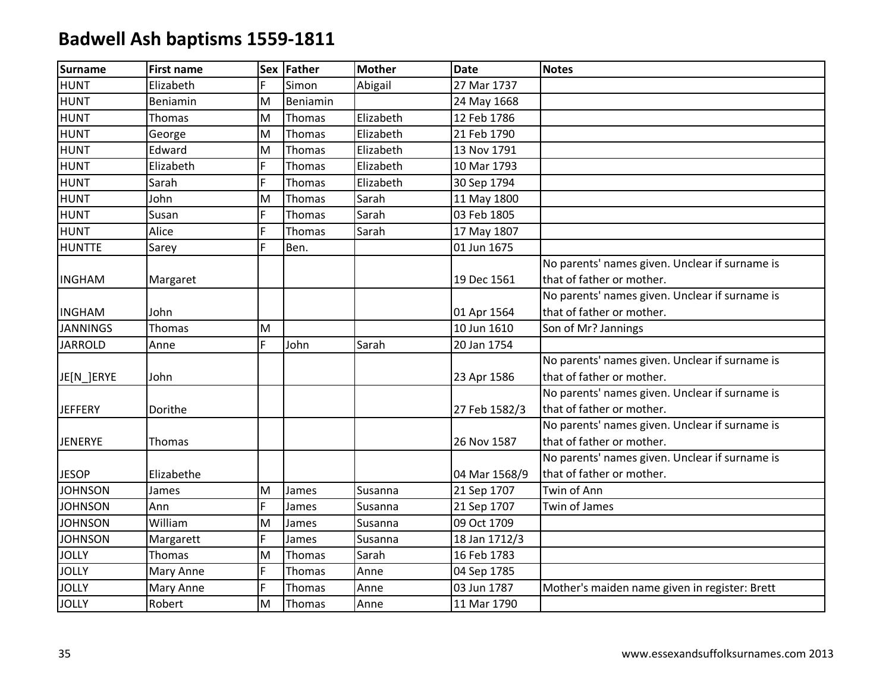| <b>Surname</b>  | <b>First name</b> |    | Sex Father    | <b>Mother</b> | <b>Date</b>   | <b>Notes</b>                                   |
|-----------------|-------------------|----|---------------|---------------|---------------|------------------------------------------------|
| <b>HUNT</b>     | Elizabeth         | F  | Simon         | Abigail       | 27 Mar 1737   |                                                |
| <b>HUNT</b>     | Beniamin          | M  | Beniamin      |               | 24 May 1668   |                                                |
| <b>HUNT</b>     | Thomas            | M  | Thomas        | Elizabeth     | 12 Feb 1786   |                                                |
| <b>HUNT</b>     | George            | M  | <b>Thomas</b> | Elizabeth     | 21 Feb 1790   |                                                |
| <b>HUNT</b>     | Edward            | M  | Thomas        | Elizabeth     | 13 Nov 1791   |                                                |
| <b>HUNT</b>     | Elizabeth         | F  | Thomas        | Elizabeth     | 10 Mar 1793   |                                                |
| <b>HUNT</b>     | Sarah             | F. | Thomas        | Elizabeth     | 30 Sep 1794   |                                                |
| <b>HUNT</b>     | John              | M  | <b>Thomas</b> | Sarah         | 11 May 1800   |                                                |
| <b>HUNT</b>     | Susan             | F  | <b>Thomas</b> | Sarah         | 03 Feb 1805   |                                                |
| <b>HUNT</b>     | Alice             | F  | Thomas        | Sarah         | 17 May 1807   |                                                |
| <b>HUNTTE</b>   | Sarey             | Ē. | Ben.          |               | 01 Jun 1675   |                                                |
|                 |                   |    |               |               |               | No parents' names given. Unclear if surname is |
| <b>INGHAM</b>   | Margaret          |    |               |               | 19 Dec 1561   | that of father or mother.                      |
|                 |                   |    |               |               |               | No parents' names given. Unclear if surname is |
| <b>INGHAM</b>   | John              |    |               |               | 01 Apr 1564   | that of father or mother.                      |
| <b>JANNINGS</b> | Thomas            | M  |               |               | 10 Jun 1610   | Son of Mr? Jannings                            |
| <b>JARROLD</b>  | Anne              | F. | John          | Sarah         | 20 Jan 1754   |                                                |
|                 |                   |    |               |               |               | No parents' names given. Unclear if surname is |
| JE[N_]ERYE      | John              |    |               |               | 23 Apr 1586   | that of father or mother.                      |
|                 |                   |    |               |               |               | No parents' names given. Unclear if surname is |
| <b>JEFFERY</b>  | Dorithe           |    |               |               | 27 Feb 1582/3 | that of father or mother.                      |
|                 |                   |    |               |               |               | No parents' names given. Unclear if surname is |
| <b>JENERYE</b>  | Thomas            |    |               |               | 26 Nov 1587   | that of father or mother.                      |
|                 |                   |    |               |               |               | No parents' names given. Unclear if surname is |
| <b>JESOP</b>    | Elizabethe        |    |               |               | 04 Mar 1568/9 | that of father or mother.                      |
| <b>JOHNSON</b>  | James             | M  | James         | Susanna       | 21 Sep 1707   | Twin of Ann                                    |
| <b>JOHNSON</b>  | Ann               | F  | James         | Susanna       | 21 Sep 1707   | Twin of James                                  |
| <b>JOHNSON</b>  | William           | M  | James         | Susanna       | 09 Oct 1709   |                                                |
| <b>JOHNSON</b>  | Margarett         | E. | James         | Susanna       | 18 Jan 1712/3 |                                                |
| <b>JOLLY</b>    | <b>Thomas</b>     | M  | Thomas        | Sarah         | 16 Feb 1783   |                                                |
| <b>JOLLY</b>    | Mary Anne         | F  | Thomas        | Anne          | 04 Sep 1785   |                                                |
| <b>JOLLY</b>    | Mary Anne         | F  | Thomas        | Anne          | 03 Jun 1787   | Mother's maiden name given in register: Brett  |
| <b>JOLLY</b>    | Robert            | M  | Thomas        | Anne          | 11 Mar 1790   |                                                |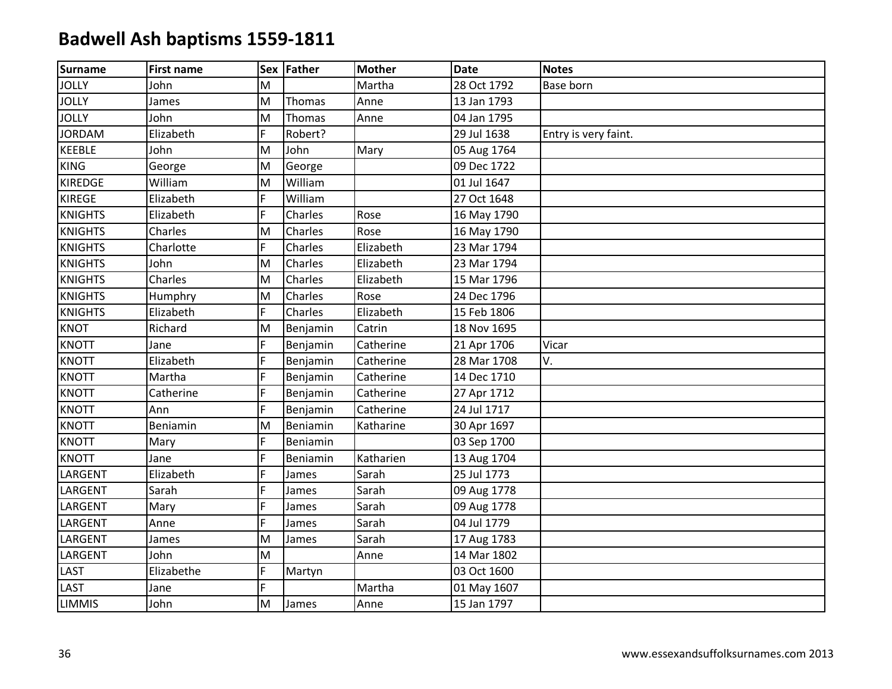| <b>Surname</b> | <b>First name</b> |   | Sex Father | <b>Mother</b> | <b>Date</b> | <b>Notes</b>         |
|----------------|-------------------|---|------------|---------------|-------------|----------------------|
| <b>JOLLY</b>   | John              | M |            | Martha        | 28 Oct 1792 | Base born            |
| <b>JOLLY</b>   | James             | M | Thomas     | Anne          | 13 Jan 1793 |                      |
| <b>JOLLY</b>   | John              | M | Thomas     | Anne          | 04 Jan 1795 |                      |
| <b>JORDAM</b>  | Elizabeth         | F | Robert?    |               | 29 Jul 1638 | Entry is very faint. |
| <b>KEEBLE</b>  | John              | M | John       | Mary          | 05 Aug 1764 |                      |
| <b>KING</b>    | George            | M | George     |               | 09 Dec 1722 |                      |
| <b>KIREDGE</b> | William           | M | William    |               | 01 Jul 1647 |                      |
| <b>KIREGE</b>  | Elizabeth         | F | William    |               | 27 Oct 1648 |                      |
| <b>KNIGHTS</b> | Elizabeth         | F | Charles    | Rose          | 16 May 1790 |                      |
| <b>KNIGHTS</b> | Charles           | M | Charles    | Rose          | 16 May 1790 |                      |
| <b>KNIGHTS</b> | Charlotte         | F | Charles    | Elizabeth     | 23 Mar 1794 |                      |
| <b>KNIGHTS</b> | John              | M | Charles    | Elizabeth     | 23 Mar 1794 |                      |
| <b>KNIGHTS</b> | Charles           | M | Charles    | Elizabeth     | 15 Mar 1796 |                      |
| <b>KNIGHTS</b> | Humphry           | M | Charles    | Rose          | 24 Dec 1796 |                      |
| <b>KNIGHTS</b> | Elizabeth         | F | Charles    | Elizabeth     | 15 Feb 1806 |                      |
| <b>KNOT</b>    | Richard           | M | Benjamin   | Catrin        | 18 Nov 1695 |                      |
| <b>KNOTT</b>   | Jane              | F | Benjamin   | Catherine     | 21 Apr 1706 | Vicar                |
| <b>KNOTT</b>   | Elizabeth         | F | Benjamin   | Catherine     | 28 Mar 1708 | V.                   |
| <b>KNOTT</b>   | Martha            | F | Benjamin   | Catherine     | 14 Dec 1710 |                      |
| <b>KNOTT</b>   | Catherine         | F | Benjamin   | Catherine     | 27 Apr 1712 |                      |
| <b>KNOTT</b>   | Ann               | F | Benjamin   | Catherine     | 24 Jul 1717 |                      |
| <b>KNOTT</b>   | Beniamin          | M | Beniamin   | Katharine     | 30 Apr 1697 |                      |
| <b>KNOTT</b>   | Mary              | F | Beniamin   |               | 03 Sep 1700 |                      |
| <b>KNOTT</b>   | Jane              | F | Beniamin   | Katharien     | 13 Aug 1704 |                      |
| LARGENT        | Elizabeth         | F | James      | Sarah         | 25 Jul 1773 |                      |
| LARGENT        | Sarah             | F | James      | Sarah         | 09 Aug 1778 |                      |
| LARGENT        | Mary              | F | James      | Sarah         | 09 Aug 1778 |                      |
| LARGENT        | Anne              | F | James      | Sarah         | 04 Jul 1779 |                      |
| LARGENT        | James             | M | James      | Sarah         | 17 Aug 1783 |                      |
| LARGENT        | John              | M |            | Anne          | 14 Mar 1802 |                      |
| LAST           | Elizabethe        | F | Martyn     |               | 03 Oct 1600 |                      |
| <b>LAST</b>    | Jane              | F |            | Martha        | 01 May 1607 |                      |
| <b>LIMMIS</b>  | John              | M | James      | Anne          | 15 Jan 1797 |                      |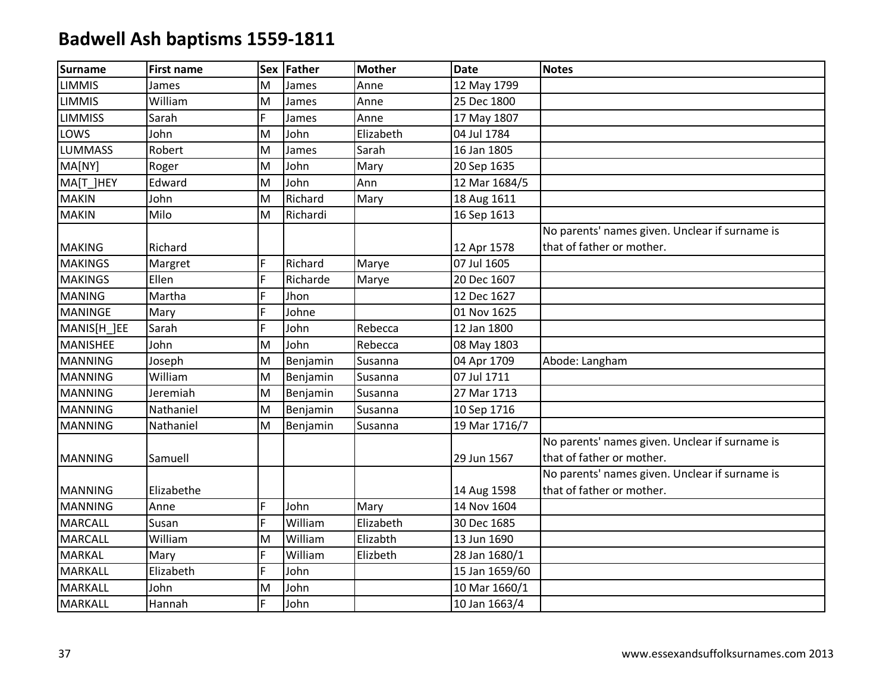| <b>Surname</b>  | <b>First name</b> |   | Sex Father | <b>Mother</b> | <b>Date</b>    | <b>Notes</b>                                   |
|-----------------|-------------------|---|------------|---------------|----------------|------------------------------------------------|
| <b>LIMMIS</b>   | James             | M | James      | Anne          | 12 May 1799    |                                                |
| <b>LIMMIS</b>   | William           | M | James      | Anne          | 25 Dec 1800    |                                                |
| <b>LIMMISS</b>  | Sarah             | F | James      | Anne          | 17 May 1807    |                                                |
| LOWS            | John              | M | John       | Elizabeth     | 04 Jul 1784    |                                                |
| <b>LUMMASS</b>  | Robert            | M | James      | Sarah         | 16 Jan 1805    |                                                |
| MA[NY]          | Roger             | M | John       | Mary          | 20 Sep 1635    |                                                |
| MA[T ]HEY       | Edward            | M | John       | Ann           | 12 Mar 1684/5  |                                                |
| <b>MAKIN</b>    | John              | M | Richard    | Mary          | 18 Aug 1611    |                                                |
| <b>MAKIN</b>    | Milo              | M | Richardi   |               | 16 Sep 1613    |                                                |
|                 |                   |   |            |               |                | No parents' names given. Unclear if surname is |
| <b>MAKING</b>   | Richard           |   |            |               | 12 Apr 1578    | that of father or mother.                      |
| <b>MAKINGS</b>  | Margret           | F | Richard    | Marye         | 07 Jul 1605    |                                                |
| <b>MAKINGS</b>  | Ellen             | F | Richarde   | Marye         | 20 Dec 1607    |                                                |
| <b>MANING</b>   | Martha            | F | Jhon       |               | 12 Dec 1627    |                                                |
| <b>MANINGE</b>  | Mary              | F | Johne      |               | 01 Nov 1625    |                                                |
| MANIS[H_]EE     | Sarah             | F | John       | Rebecca       | 12 Jan 1800    |                                                |
| <b>MANISHEE</b> | John              | M | John       | Rebecca       | 08 May 1803    |                                                |
| <b>MANNING</b>  | Joseph            | M | Benjamin   | Susanna       | 04 Apr 1709    | Abode: Langham                                 |
| <b>MANNING</b>  | William           | M | Benjamin   | Susanna       | 07 Jul 1711    |                                                |
| <b>MANNING</b>  | Jeremiah          | M | Benjamin   | Susanna       | 27 Mar 1713    |                                                |
| <b>MANNING</b>  | Nathaniel         | M | Benjamin   | Susanna       | 10 Sep 1716    |                                                |
| <b>MANNING</b>  | Nathaniel         | M | Benjamin   | Susanna       | 19 Mar 1716/7  |                                                |
|                 |                   |   |            |               |                | No parents' names given. Unclear if surname is |
| <b>MANNING</b>  | Samuell           |   |            |               | 29 Jun 1567    | that of father or mother.                      |
|                 |                   |   |            |               |                | No parents' names given. Unclear if surname is |
| <b>MANNING</b>  | Elizabethe        |   |            |               | 14 Aug 1598    | that of father or mother.                      |
| <b>MANNING</b>  | Anne              | F | John       | Mary          | 14 Nov 1604    |                                                |
| <b>MARCALL</b>  | Susan             | F | William    | Elizabeth     | 30 Dec 1685    |                                                |
| <b>MARCALL</b>  | William           | M | William    | Elizabth      | 13 Jun 1690    |                                                |
| MARKAL          | Mary              | F | William    | Elizbeth      | 28 Jan 1680/1  |                                                |
| <b>MARKALL</b>  | Elizabeth         | F | John       |               | 15 Jan 1659/60 |                                                |
| <b>MARKALL</b>  | John              | M | John       |               | 10 Mar 1660/1  |                                                |
| MARKALL         | Hannah            | F | John       |               | 10 Jan 1663/4  |                                                |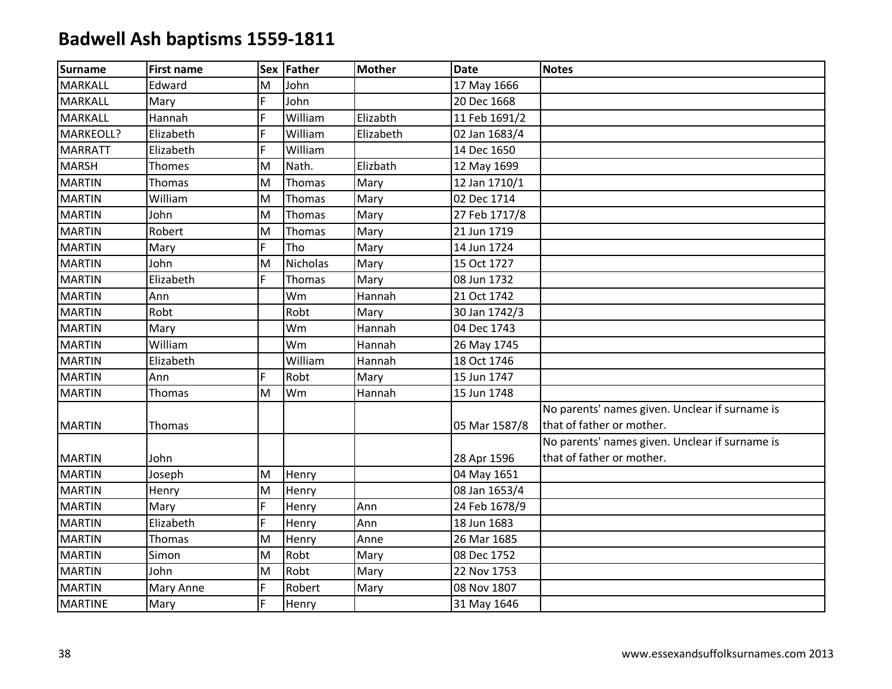| <b>Surname</b> | <b>First name</b> |    | Sex Father | <b>Mother</b> | <b>Date</b>   | <b>Notes</b>                                   |
|----------------|-------------------|----|------------|---------------|---------------|------------------------------------------------|
| <b>MARKALL</b> | Edward            | M  | John       |               | 17 May 1666   |                                                |
| <b>MARKALL</b> | Mary              | F. | John       |               | 20 Dec 1668   |                                                |
| <b>MARKALL</b> | Hannah            | F  | William    | Elizabth      | 11 Feb 1691/2 |                                                |
| MARKEOLL?      | Elizabeth         | F  | William    | Elizabeth     | 02 Jan 1683/4 |                                                |
| <b>MARRATT</b> | Elizabeth         | F. | William    |               | 14 Dec 1650   |                                                |
| <b>MARSH</b>   | Thomes            | M  | Nath.      | Elizbath      | 12 May 1699   |                                                |
| <b>MARTIN</b>  | Thomas            | M  | Thomas     | Mary          | 12 Jan 1710/1 |                                                |
| <b>MARTIN</b>  | William           | M  | Thomas     | Mary          | 02 Dec 1714   |                                                |
| <b>MARTIN</b>  | John              | M  | Thomas     | Mary          | 27 Feb 1717/8 |                                                |
| <b>MARTIN</b>  | Robert            | M  | Thomas     | Mary          | 21 Jun 1719   |                                                |
| <b>MARTIN</b>  | Mary              | F. | Tho        | Mary          | 14 Jun 1724   |                                                |
| <b>MARTIN</b>  | John              | M  | Nicholas   | Mary          | 15 Oct 1727   |                                                |
| <b>MARTIN</b>  | Elizabeth         | E. | Thomas     | Mary          | 08 Jun 1732   |                                                |
| <b>MARTIN</b>  | Ann               |    | Wm         | Hannah        | 21 Oct 1742   |                                                |
| <b>MARTIN</b>  | Robt              |    | Robt       | Mary          | 30 Jan 1742/3 |                                                |
| <b>MARTIN</b>  | Mary              |    | Wm         | Hannah        | 04 Dec 1743   |                                                |
| <b>MARTIN</b>  | William           |    | Wm         | Hannah        | 26 May 1745   |                                                |
| <b>MARTIN</b>  | Elizabeth         |    | William    | Hannah        | 18 Oct 1746   |                                                |
| <b>MARTIN</b>  | Ann               | F. | Robt       | Mary          | 15 Jun 1747   |                                                |
| <b>MARTIN</b>  | Thomas            | M  | Wm         | Hannah        | 15 Jun 1748   |                                                |
|                |                   |    |            |               |               | No parents' names given. Unclear if surname is |
| <b>MARTIN</b>  | Thomas            |    |            |               | 05 Mar 1587/8 | that of father or mother.                      |
|                |                   |    |            |               |               | No parents' names given. Unclear if surname is |
| <b>MARTIN</b>  | John              |    |            |               | 28 Apr 1596   | that of father or mother.                      |
| <b>MARTIN</b>  | Joseph            | M  | Henry      |               | 04 May 1651   |                                                |
| <b>MARTIN</b>  | Henry             | M  | Henry      |               | 08 Jan 1653/4 |                                                |
| <b>MARTIN</b>  | Mary              | F  | Henry      | Ann           | 24 Feb 1678/9 |                                                |
| <b>MARTIN</b>  | Elizabeth         | F. | Henry      | Ann           | 18 Jun 1683   |                                                |
| <b>MARTIN</b>  | Thomas            | M  | Henry      | Anne          | 26 Mar 1685   |                                                |
| <b>MARTIN</b>  | Simon             | M  | Robt       | Mary          | 08 Dec 1752   |                                                |
| <b>MARTIN</b>  | John              | M  | Robt       | Mary          | 22 Nov 1753   |                                                |
| <b>MARTIN</b>  | Mary Anne         | F  | Robert     | Mary          | 08 Nov 1807   |                                                |
| <b>MARTINE</b> | Mary              | F. | Henry      |               | 31 May 1646   |                                                |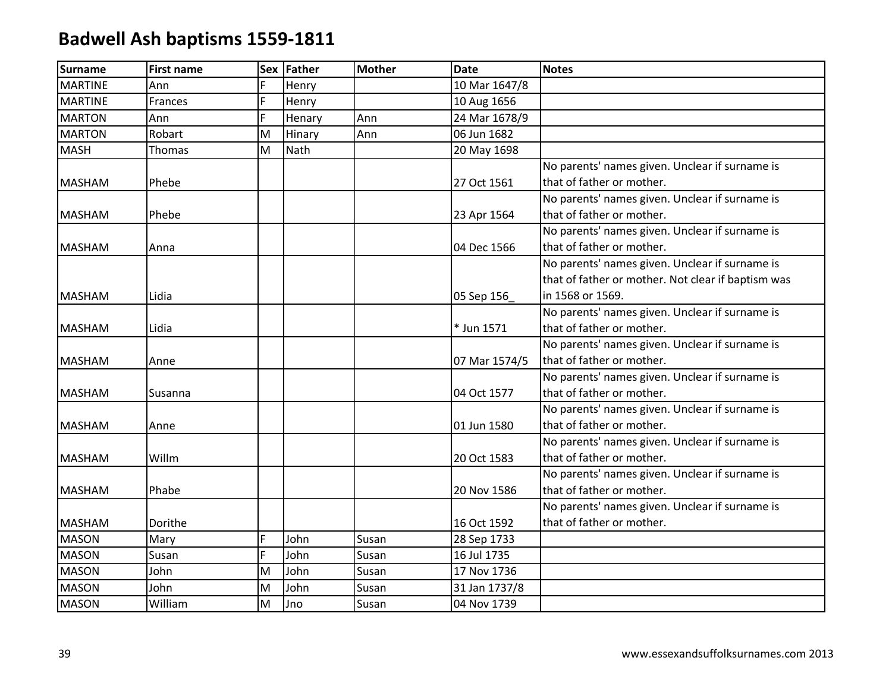| <b>Surname</b> | <b>First name</b> | <b>Sex</b> | <b>Father</b> | <b>Mother</b> | <b>Date</b>   | <b>Notes</b>                                       |
|----------------|-------------------|------------|---------------|---------------|---------------|----------------------------------------------------|
| <b>MARTINE</b> | Ann               |            | Henry         |               | 10 Mar 1647/8 |                                                    |
| <b>MARTINE</b> | Frances           | F          | Henry         |               | 10 Aug 1656   |                                                    |
| <b>MARTON</b>  | Ann               | F          | Henary        | Ann           | 24 Mar 1678/9 |                                                    |
| <b>MARTON</b>  | Robart            | M          | Hinary        | Ann           | 06 Jun 1682   |                                                    |
| <b>MASH</b>    | Thomas            | M          | Nath          |               | 20 May 1698   |                                                    |
|                |                   |            |               |               |               | No parents' names given. Unclear if surname is     |
| <b>MASHAM</b>  | Phebe             |            |               |               | 27 Oct 1561   | that of father or mother.                          |
|                |                   |            |               |               |               | No parents' names given. Unclear if surname is     |
| <b>MASHAM</b>  | Phebe             |            |               |               | 23 Apr 1564   | that of father or mother.                          |
|                |                   |            |               |               |               | No parents' names given. Unclear if surname is     |
| <b>MASHAM</b>  | Anna              |            |               |               | 04 Dec 1566   | that of father or mother.                          |
|                |                   |            |               |               |               | No parents' names given. Unclear if surname is     |
|                |                   |            |               |               |               | that of father or mother. Not clear if baptism was |
| <b>MASHAM</b>  | Lidia             |            |               |               | 05 Sep 156    | in 1568 or 1569.                                   |
|                |                   |            |               |               |               | No parents' names given. Unclear if surname is     |
| <b>MASHAM</b>  | Lidia             |            |               |               | * Jun 1571    | that of father or mother.                          |
|                |                   |            |               |               |               | No parents' names given. Unclear if surname is     |
| <b>MASHAM</b>  | Anne              |            |               |               | 07 Mar 1574/5 | that of father or mother.                          |
|                |                   |            |               |               |               | No parents' names given. Unclear if surname is     |
| <b>MASHAM</b>  | Susanna           |            |               |               | 04 Oct 1577   | that of father or mother.                          |
|                |                   |            |               |               |               | No parents' names given. Unclear if surname is     |
| <b>MASHAM</b>  | Anne              |            |               |               | 01 Jun 1580   | that of father or mother.                          |
|                |                   |            |               |               |               | No parents' names given. Unclear if surname is     |
| <b>MASHAM</b>  | Willm             |            |               |               | 20 Oct 1583   | that of father or mother.                          |
|                |                   |            |               |               |               | No parents' names given. Unclear if surname is     |
| <b>MASHAM</b>  | Phabe             |            |               |               | 20 Nov 1586   | that of father or mother.                          |
|                |                   |            |               |               |               | No parents' names given. Unclear if surname is     |
| <b>MASHAM</b>  | Dorithe           |            |               |               | 16 Oct 1592   | that of father or mother.                          |
| <b>MASON</b>   | Mary              | Ë          | John          | Susan         | 28 Sep 1733   |                                                    |
| <b>MASON</b>   | Susan             | F          | John          | Susan         | 16 Jul 1735   |                                                    |
| <b>MASON</b>   | John              | M          | John          | Susan         | 17 Nov 1736   |                                                    |
| <b>MASON</b>   | John              | M          | John          | Susan         | 31 Jan 1737/8 |                                                    |
| <b>MASON</b>   | William           | M          | Jno           | Susan         | 04 Nov 1739   |                                                    |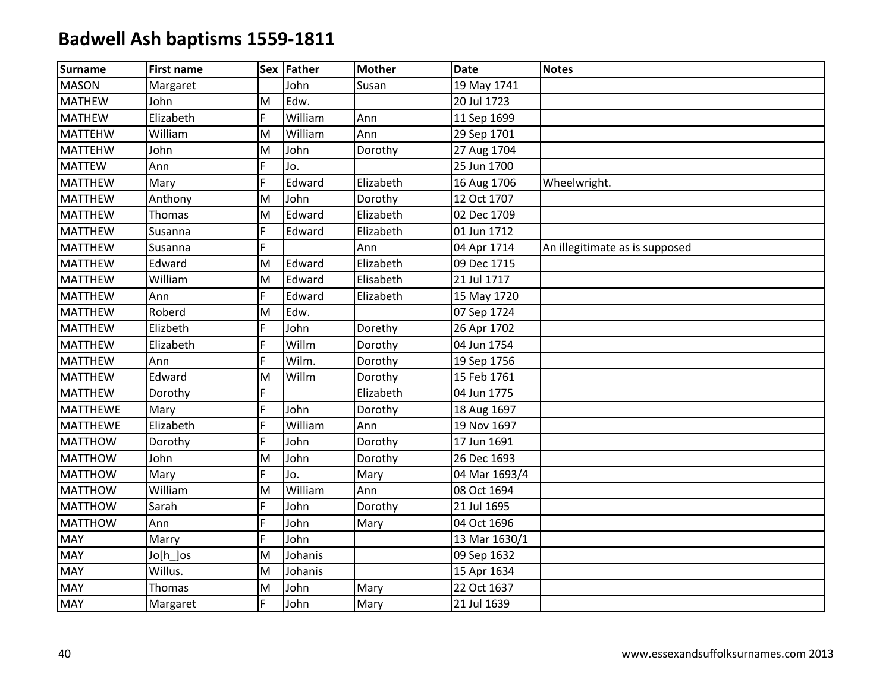| <b>Surname</b>  | <b>First name</b> |    | Sex Father | <b>Mother</b> | <b>Date</b>   | <b>Notes</b>                   |
|-----------------|-------------------|----|------------|---------------|---------------|--------------------------------|
| <b>MASON</b>    | Margaret          |    | John       | Susan         | 19 May 1741   |                                |
| <b>MATHEW</b>   | John              | M  | Edw.       |               | 20 Jul 1723   |                                |
| <b>MATHEW</b>   | Elizabeth         | F  | William    | Ann           | 11 Sep 1699   |                                |
| <b>MATTEHW</b>  | William           | M  | William    | Ann           | 29 Sep 1701   |                                |
| <b>MATTEHW</b>  | John              | M  | John       | Dorothy       | 27 Aug 1704   |                                |
| <b>MATTEW</b>   | Ann               | F. | Jo.        |               | 25 Jun 1700   |                                |
| <b>MATTHEW</b>  | Mary              | F. | Edward     | Elizabeth     | 16 Aug 1706   | Wheelwright.                   |
| <b>MATTHEW</b>  | Anthony           | M  | John       | Dorothy       | 12 Oct 1707   |                                |
| <b>MATTHEW</b>  | Thomas            | M  | Edward     | Elizabeth     | 02 Dec 1709   |                                |
| <b>MATTHEW</b>  | Susanna           | F  | Edward     | Elizabeth     | 01 Jun 1712   |                                |
| <b>MATTHEW</b>  | Susanna           | F. |            | Ann           | 04 Apr 1714   | An illegitimate as is supposed |
| <b>MATTHEW</b>  | Edward            | M  | Edward     | Elizabeth     | 09 Dec 1715   |                                |
| <b>MATTHEW</b>  | William           | M  | Edward     | Elisabeth     | 21 Jul 1717   |                                |
| <b>MATTHEW</b>  | Ann               | E. | Edward     | Elizabeth     | 15 May 1720   |                                |
| <b>MATTHEW</b>  | Roberd            | M  | Edw.       |               | 07 Sep 1724   |                                |
| <b>MATTHEW</b>  | Elizbeth          | E. | John       | Dorethy       | 26 Apr 1702   |                                |
| <b>MATTHEW</b>  | Elizabeth         | F. | Willm      | Dorothy       | 04 Jun 1754   |                                |
| <b>MATTHEW</b>  | Ann               | F  | Wilm.      | Dorothy       | 19 Sep 1756   |                                |
| <b>MATTHEW</b>  | Edward            | M  | Willm      | Dorothy       | 15 Feb 1761   |                                |
| <b>MATTHEW</b>  | Dorothy           | Ë  |            | Elizabeth     | 04 Jun 1775   |                                |
| <b>MATTHEWE</b> | Mary              | F. | John       | Dorothy       | 18 Aug 1697   |                                |
| <b>MATTHEWE</b> | Elizabeth         | F. | William    | Ann           | 19 Nov 1697   |                                |
| <b>MATTHOW</b>  | Dorothy           | Ē. | John       | Dorothy       | 17 Jun 1691   |                                |
| <b>MATTHOW</b>  | John              | M  | John       | Dorothy       | 26 Dec 1693   |                                |
| <b>MATTHOW</b>  | Mary              | E. | Jo.        | Mary          | 04 Mar 1693/4 |                                |
| <b>MATTHOW</b>  | William           | M  | William    | Ann           | 08 Oct 1694   |                                |
| <b>MATTHOW</b>  | Sarah             | F  | John       | Dorothy       | 21 Jul 1695   |                                |
| <b>MATTHOW</b>  | Ann               | E. | John       | Mary          | 04 Oct 1696   |                                |
| <b>MAY</b>      | Marry             | F  | John       |               | 13 Mar 1630/1 |                                |
| <b>MAY</b>      | Jo[h_]os          | M  | Johanis    |               | 09 Sep 1632   |                                |
| <b>MAY</b>      | Willus.           | M  | Johanis    |               | 15 Apr 1634   |                                |
| <b>MAY</b>      | Thomas            | M  | John       | Mary          | 22 Oct 1637   |                                |
| <b>MAY</b>      | Margaret          | F. | John       | Mary          | 21 Jul 1639   |                                |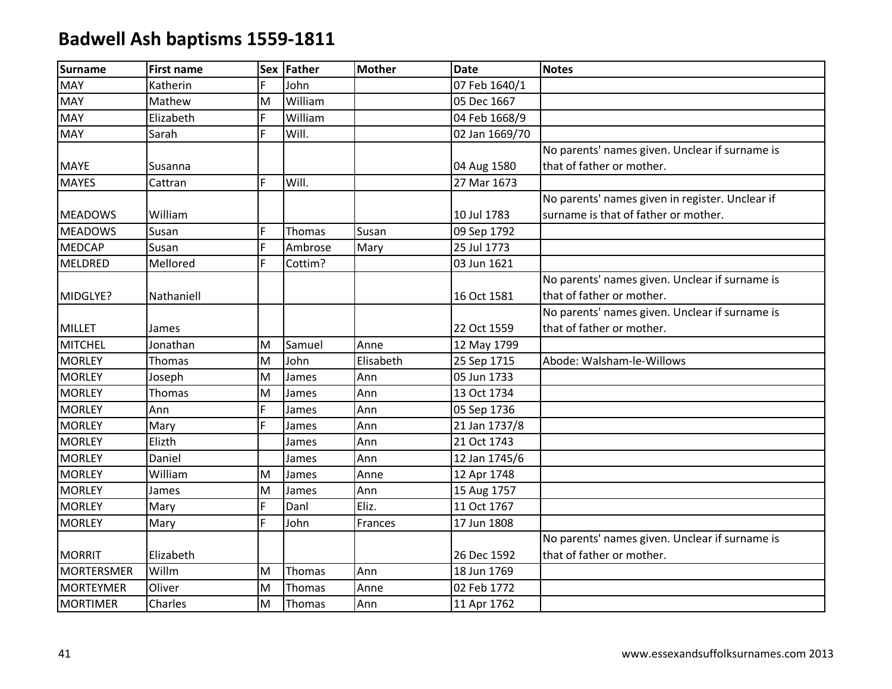| Surname           | <b>First name</b> | <b>Sex</b> | Father  | <b>Mother</b> | <b>Date</b>    | <b>Notes</b>                                    |
|-------------------|-------------------|------------|---------|---------------|----------------|-------------------------------------------------|
| <b>MAY</b>        | Katherin          | F.         | John    |               | 07 Feb 1640/1  |                                                 |
| <b>MAY</b>        | Mathew            | M          | William |               | 05 Dec 1667    |                                                 |
| <b>MAY</b>        | Elizabeth         | F          | William |               | 04 Feb 1668/9  |                                                 |
| <b>MAY</b>        | Sarah             | F          | Will.   |               | 02 Jan 1669/70 |                                                 |
|                   |                   |            |         |               |                | No parents' names given. Unclear if surname is  |
| <b>MAYE</b>       | Susanna           |            |         |               | 04 Aug 1580    | that of father or mother.                       |
| <b>MAYES</b>      | Cattran           | F.         | Will.   |               | 27 Mar 1673    |                                                 |
|                   |                   |            |         |               |                | No parents' names given in register. Unclear if |
| <b>MEADOWS</b>    | William           |            |         |               | 10 Jul 1783    | surname is that of father or mother.            |
| <b>MEADOWS</b>    | Susan             | F          | Thomas  | Susan         | 09 Sep 1792    |                                                 |
| <b>MEDCAP</b>     | Susan             | F.         | Ambrose | Mary          | 25 Jul 1773    |                                                 |
| <b>MELDRED</b>    | Mellored          | F.         | Cottim? |               | 03 Jun 1621    |                                                 |
|                   |                   |            |         |               |                | No parents' names given. Unclear if surname is  |
| MIDGLYE?          | Nathaniell        |            |         |               | 16 Oct 1581    | that of father or mother.                       |
|                   |                   |            |         |               |                | No parents' names given. Unclear if surname is  |
| <b>MILLET</b>     | James             |            |         |               | 22 Oct 1559    | that of father or mother.                       |
| <b>MITCHEL</b>    | Jonathan          | M          | Samuel  | Anne          | 12 May 1799    |                                                 |
| <b>MORLEY</b>     | Thomas            | M          | John    | Elisabeth     | 25 Sep 1715    | Abode: Walsham-le-Willows                       |
| <b>MORLEY</b>     | Joseph            | M          | James   | Ann           | 05 Jun 1733    |                                                 |
| <b>MORLEY</b>     | Thomas            | M          | James   | Ann           | 13 Oct 1734    |                                                 |
| <b>MORLEY</b>     | Ann               | F.         | James   | Ann           | 05 Sep 1736    |                                                 |
| <b>MORLEY</b>     | Mary              | F          | James   | Ann           | 21 Jan 1737/8  |                                                 |
| <b>MORLEY</b>     | Elizth            |            | James   | Ann           | 21 Oct 1743    |                                                 |
| <b>MORLEY</b>     | Daniel            |            | James   | Ann           | 12 Jan 1745/6  |                                                 |
| <b>MORLEY</b>     | William           | M          | James   | Anne          | 12 Apr 1748    |                                                 |
| <b>MORLEY</b>     | James             | M          | James   | Ann           | 15 Aug 1757    |                                                 |
| <b>MORLEY</b>     | Mary              | F.         | Danl    | Eliz.         | 11 Oct 1767    |                                                 |
| <b>MORLEY</b>     | Mary              | F.         | John    | Frances       | 17 Jun 1808    |                                                 |
|                   |                   |            |         |               |                | No parents' names given. Unclear if surname is  |
| <b>MORRIT</b>     | Elizabeth         |            |         |               | 26 Dec 1592    | that of father or mother.                       |
| <b>MORTERSMER</b> | Willm             | M          | Thomas  | Ann           | 18 Jun 1769    |                                                 |
| <b>MORTEYMER</b>  | Oliver            | M          | Thomas  | Anne          | 02 Feb 1772    |                                                 |
| <b>MORTIMER</b>   | Charles           | M          | Thomas  | Ann           | 11 Apr 1762    |                                                 |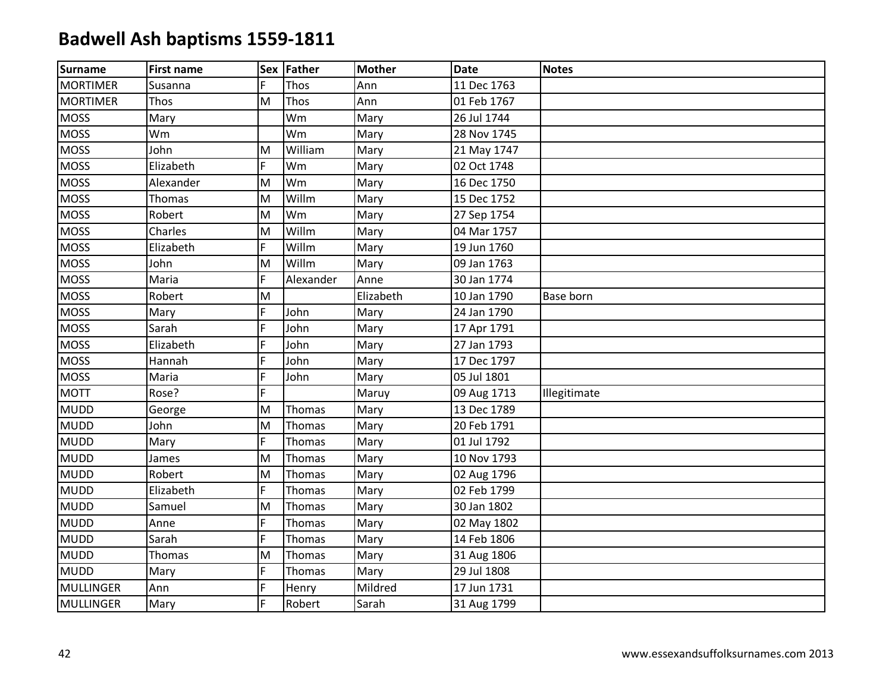| Surname          | <b>First name</b> |    | Sex Father | <b>Mother</b> | <b>Date</b> | <b>Notes</b> |
|------------------|-------------------|----|------------|---------------|-------------|--------------|
| <b>MORTIMER</b>  | Susanna           | F  | Thos       | Ann           | 11 Dec 1763 |              |
| <b>MORTIMER</b>  | Thos              | M  | Thos       | Ann           | 01 Feb 1767 |              |
| <b>MOSS</b>      | Mary              |    | Wm         | Mary          | 26 Jul 1744 |              |
| <b>MOSS</b>      | Wm                |    | Wm         | Mary          | 28 Nov 1745 |              |
| <b>MOSS</b>      | John              | M  | William    | Mary          | 21 May 1747 |              |
| <b>MOSS</b>      | Elizabeth         | F  | Wm         | Mary          | 02 Oct 1748 |              |
| <b>MOSS</b>      | Alexander         | M  | Wm         | Mary          | 16 Dec 1750 |              |
| <b>MOSS</b>      | Thomas            | M  | Willm      | Mary          | 15 Dec 1752 |              |
| <b>MOSS</b>      | Robert            | M  | Wm         | Mary          | 27 Sep 1754 |              |
| <b>MOSS</b>      | Charles           | M  | Willm      | Mary          | 04 Mar 1757 |              |
| <b>MOSS</b>      | Elizabeth         | F. | Willm      | Mary          | 19 Jun 1760 |              |
| <b>MOSS</b>      | John              | M  | Willm      | Mary          | 09 Jan 1763 |              |
| <b>MOSS</b>      | Maria             | F  | Alexander  | Anne          | 30 Jan 1774 |              |
| <b>MOSS</b>      | Robert            | M  |            | Elizabeth     | 10 Jan 1790 | Base born    |
| <b>MOSS</b>      | Mary              | F. | John       | Mary          | 24 Jan 1790 |              |
| <b>MOSS</b>      | Sarah             | F  | John       | Mary          | 17 Apr 1791 |              |
| <b>MOSS</b>      | Elizabeth         | F  | John       | Mary          | 27 Jan 1793 |              |
| <b>MOSS</b>      | Hannah            | F  | John       | Mary          | 17 Dec 1797 |              |
| <b>MOSS</b>      | Maria             | F  | John       | Mary          | 05 Jul 1801 |              |
| <b>MOTT</b>      | Rose?             | F  |            | Maruy         | 09 Aug 1713 | Illegitimate |
| <b>MUDD</b>      | George            | M  | Thomas     | Mary          | 13 Dec 1789 |              |
| <b>MUDD</b>      | John              | M  | Thomas     | Mary          | 20 Feb 1791 |              |
| <b>MUDD</b>      | Mary              | F  | Thomas     | Mary          | 01 Jul 1792 |              |
| <b>MUDD</b>      | James             | M  | Thomas     | Mary          | 10 Nov 1793 |              |
| <b>MUDD</b>      | Robert            | M  | Thomas     | Mary          | 02 Aug 1796 |              |
| <b>MUDD</b>      | Elizabeth         | F. | Thomas     | Mary          | 02 Feb 1799 |              |
| <b>MUDD</b>      | Samuel            | M  | Thomas     | Mary          | 30 Jan 1802 |              |
| <b>MUDD</b>      | Anne              | F  | Thomas     | Mary          | 02 May 1802 |              |
| <b>MUDD</b>      | Sarah             | F  | Thomas     | Mary          | 14 Feb 1806 |              |
| <b>MUDD</b>      | Thomas            | M  | Thomas     | Mary          | 31 Aug 1806 |              |
| <b>MUDD</b>      | Mary              | F  | Thomas     | Mary          | 29 Jul 1808 |              |
| <b>MULLINGER</b> | Ann               | F  | Henry      | Mildred       | 17 Jun 1731 |              |
| MULLINGER        | Mary              | F  | Robert     | Sarah         | 31 Aug 1799 |              |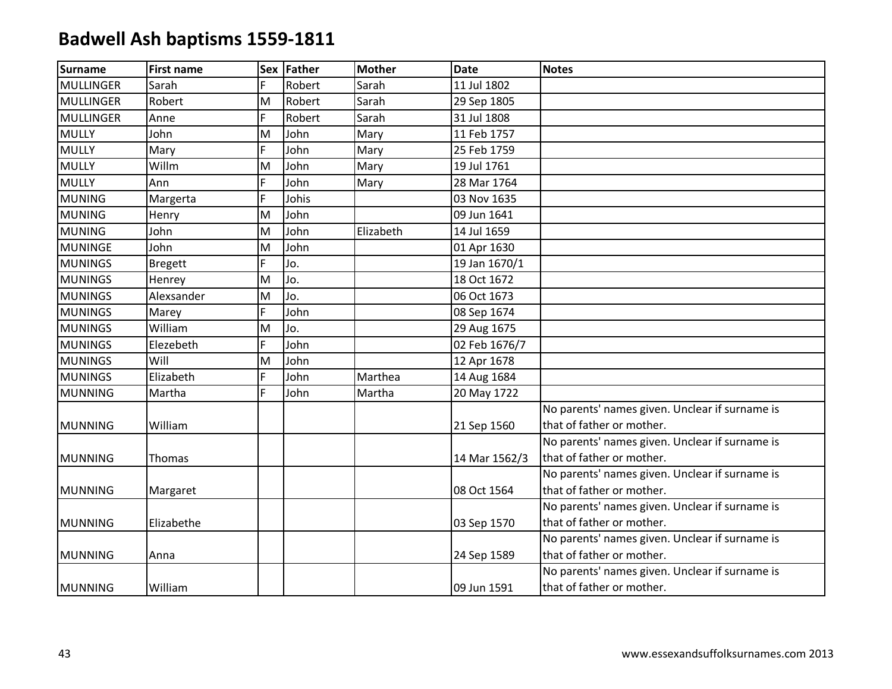| <b>Surname</b>   | <b>First name</b> |             | Sex Father | <b>Mother</b> | <b>Date</b>   | <b>Notes</b>                                   |
|------------------|-------------------|-------------|------------|---------------|---------------|------------------------------------------------|
| <b>MULLINGER</b> | Sarah             | F           | Robert     | Sarah         | 11 Jul 1802   |                                                |
| <b>MULLINGER</b> | Robert            | M           | Robert     | Sarah         | 29 Sep 1805   |                                                |
| <b>MULLINGER</b> | Anne              | $\mathsf F$ | Robert     | Sarah         | 31 Jul 1808   |                                                |
| <b>MULLY</b>     | John              | M           | John       | Mary          | 11 Feb 1757   |                                                |
| <b>MULLY</b>     | Mary              | F           | John       | Mary          | 25 Feb 1759   |                                                |
| <b>MULLY</b>     | Willm             | M           | John       | Mary          | 19 Jul 1761   |                                                |
| <b>MULLY</b>     | Ann               | F           | John       | Mary          | 28 Mar 1764   |                                                |
| <b>MUNING</b>    | Margerta          | F           | Johis      |               | 03 Nov 1635   |                                                |
| <b>MUNING</b>    | Henry             | M           | John       |               | 09 Jun 1641   |                                                |
| <b>MUNING</b>    | John              | M           | John       | Elizabeth     | 14 Jul 1659   |                                                |
| <b>MUNINGE</b>   | John              | M           | John       |               | 01 Apr 1630   |                                                |
| <b>MUNINGS</b>   | <b>Bregett</b>    | F           | Jo.        |               | 19 Jan 1670/1 |                                                |
| <b>MUNINGS</b>   | Henrey            | ΙM          | Jo.        |               | 18 Oct 1672   |                                                |
| <b>MUNINGS</b>   | Alexsander        | M           | Jo.        |               | 06 Oct 1673   |                                                |
| <b>MUNINGS</b>   | Marey             | F           | John       |               | 08 Sep 1674   |                                                |
| <b>MUNINGS</b>   | William           | M           | Jo.        |               | 29 Aug 1675   |                                                |
| <b>MUNINGS</b>   | Elezebeth         | F           | John       |               | 02 Feb 1676/7 |                                                |
| <b>MUNINGS</b>   | Will              | M           | John       |               | 12 Apr 1678   |                                                |
| <b>MUNINGS</b>   | Elizabeth         | F           | John       | Marthea       | 14 Aug 1684   |                                                |
| <b>MUNNING</b>   | Martha            | F           | John       | Martha        | 20 May 1722   |                                                |
|                  |                   |             |            |               |               | No parents' names given. Unclear if surname is |
| <b>MUNNING</b>   | William           |             |            |               | 21 Sep 1560   | that of father or mother.                      |
|                  |                   |             |            |               |               | No parents' names given. Unclear if surname is |
| <b>MUNNING</b>   | <b>Thomas</b>     |             |            |               | 14 Mar 1562/3 | that of father or mother.                      |
|                  |                   |             |            |               |               | No parents' names given. Unclear if surname is |
| <b>MUNNING</b>   | Margaret          |             |            |               | 08 Oct 1564   | that of father or mother.                      |
|                  |                   |             |            |               |               | No parents' names given. Unclear if surname is |
| <b>MUNNING</b>   | Elizabethe        |             |            |               | 03 Sep 1570   | that of father or mother.                      |
|                  |                   |             |            |               |               | No parents' names given. Unclear if surname is |
| <b>MUNNING</b>   | Anna              |             |            |               | 24 Sep 1589   | that of father or mother.                      |
|                  |                   |             |            |               |               | No parents' names given. Unclear if surname is |
| <b>MUNNING</b>   | William           |             |            |               | 09 Jun 1591   | that of father or mother.                      |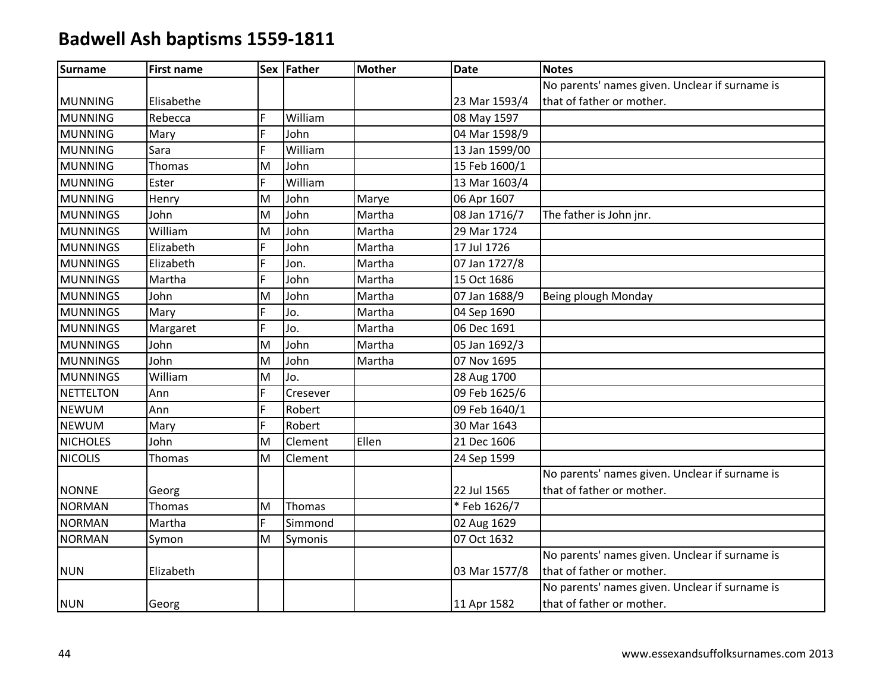| <b>Surname</b>   | <b>First name</b> |   | Sex Father | <b>Mother</b> | <b>Date</b>    | <b>Notes</b>                                   |
|------------------|-------------------|---|------------|---------------|----------------|------------------------------------------------|
|                  |                   |   |            |               |                | No parents' names given. Unclear if surname is |
| <b>MUNNING</b>   | Elisabethe        |   |            |               | 23 Mar 1593/4  | that of father or mother.                      |
| <b>MUNNING</b>   | Rebecca           | F | William    |               | 08 May 1597    |                                                |
| <b>MUNNING</b>   | Mary              | F | John       |               | 04 Mar 1598/9  |                                                |
| <b>MUNNING</b>   | Sara              | F | William    |               | 13 Jan 1599/00 |                                                |
| <b>MUNNING</b>   | Thomas            | M | John       |               | 15 Feb 1600/1  |                                                |
| <b>MUNNING</b>   | Ester             | F | William    |               | 13 Mar 1603/4  |                                                |
| <b>MUNNING</b>   | Henry             | M | John       | Marye         | 06 Apr 1607    |                                                |
| <b>MUNNINGS</b>  | John              | M | John       | Martha        | 08 Jan 1716/7  | The father is John jnr.                        |
| <b>MUNNINGS</b>  | William           | M | John       | Martha        | 29 Mar 1724    |                                                |
| <b>MUNNINGS</b>  | Elizabeth         | F | John       | Martha        | 17 Jul 1726    |                                                |
| <b>MUNNINGS</b>  | Elizabeth         | F | Jon.       | Martha        | 07 Jan 1727/8  |                                                |
| <b>MUNNINGS</b>  | Martha            | F | John       | Martha        | 15 Oct 1686    |                                                |
| <b>MUNNINGS</b>  | John              | M | John       | Martha        | 07 Jan 1688/9  | Being plough Monday                            |
| <b>MUNNINGS</b>  | Mary              | F | Jo.        | Martha        | 04 Sep 1690    |                                                |
| <b>MUNNINGS</b>  | Margaret          | F | Jo.        | Martha        | 06 Dec 1691    |                                                |
| <b>MUNNINGS</b>  | John              | M | John       | Martha        | 05 Jan 1692/3  |                                                |
| <b>MUNNINGS</b>  | John              | M | John       | Martha        | 07 Nov 1695    |                                                |
| <b>MUNNINGS</b>  | William           | M | Jo.        |               | 28 Aug 1700    |                                                |
| <b>NETTELTON</b> | Ann               | F | Cresever   |               | 09 Feb 1625/6  |                                                |
| <b>NEWUM</b>     | Ann               | F | Robert     |               | 09 Feb 1640/1  |                                                |
| <b>NEWUM</b>     | Mary              | F | Robert     |               | 30 Mar 1643    |                                                |
| <b>NICHOLES</b>  | John              | M | Clement    | Ellen         | 21 Dec 1606    |                                                |
| <b>NICOLIS</b>   | Thomas            | M | Clement    |               | 24 Sep 1599    |                                                |
|                  |                   |   |            |               |                | No parents' names given. Unclear if surname is |
| <b>NONNE</b>     | Georg             |   |            |               | 22 Jul 1565    | that of father or mother.                      |
| <b>NORMAN</b>    | Thomas            | M | Thomas     |               | *Feb 1626/7    |                                                |
| <b>NORMAN</b>    | Martha            | F | Simmond    |               | 02 Aug 1629    |                                                |
| <b>NORMAN</b>    | Symon             | M | Symonis    |               | 07 Oct 1632    |                                                |
|                  |                   |   |            |               |                | No parents' names given. Unclear if surname is |
| <b>NUN</b>       | Elizabeth         |   |            |               | 03 Mar 1577/8  | that of father or mother.                      |
|                  |                   |   |            |               |                | No parents' names given. Unclear if surname is |
| <b>NUN</b>       | Georg             |   |            |               | 11 Apr 1582    | that of father or mother.                      |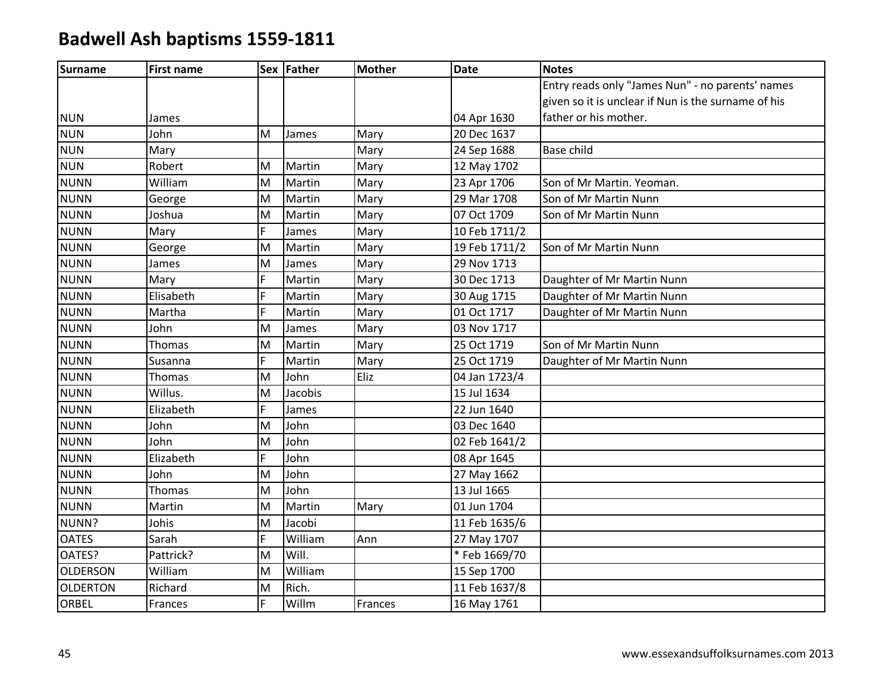| Surname         | <b>First name</b> |    | Sex Father | <b>Mother</b> | <b>Date</b>   | <b>Notes</b>                                        |
|-----------------|-------------------|----|------------|---------------|---------------|-----------------------------------------------------|
|                 |                   |    |            |               |               | Entry reads only "James Nun" - no parents' names    |
|                 |                   |    |            |               |               | given so it is unclear if Nun is the surname of his |
| <b>NUN</b>      | James             |    |            |               | 04 Apr 1630   | father or his mother.                               |
| <b>NUN</b>      | John              | M  | James      | Mary          | 20 Dec 1637   |                                                     |
| <b>NUN</b>      | Mary              |    |            | Mary          | 24 Sep 1688   | Base child                                          |
| <b>NUN</b>      | Robert            | M  | Martin     | Mary          | 12 May 1702   |                                                     |
| <b>NUNN</b>     | William           | M  | Martin     | Mary          | 23 Apr 1706   | Son of Mr Martin. Yeoman.                           |
| <b>NUNN</b>     | George            | M  | Martin     | Mary          | 29 Mar 1708   | Son of Mr Martin Nunn                               |
| <b>NUNN</b>     | Joshua            | M  | Martin     | Mary          | 07 Oct 1709   | Son of Mr Martin Nunn                               |
| <b>NUNN</b>     | Mary              | F. | James      | Mary          | 10 Feb 1711/2 |                                                     |
| <b>NUNN</b>     | George            | M  | Martin     | Mary          | 19 Feb 1711/2 | Son of Mr Martin Nunn                               |
| <b>NUNN</b>     | James             | M  | James      | Mary          | 29 Nov 1713   |                                                     |
| <b>NUNN</b>     | Mary              | F. | Martin     | Mary          | 30 Dec 1713   | Daughter of Mr Martin Nunn                          |
| <b>NUNN</b>     | Elisabeth         | F  | Martin     | Mary          | 30 Aug 1715   | Daughter of Mr Martin Nunn                          |
| <b>NUNN</b>     | Martha            | F  | Martin     | Mary          | 01 Oct 1717   | Daughter of Mr Martin Nunn                          |
| <b>NUNN</b>     | John              | M  | James      | Mary          | 03 Nov 1717   |                                                     |
| <b>NUNN</b>     | Thomas            | M  | Martin     | Mary          | 25 Oct 1719   | Son of Mr Martin Nunn                               |
| <b>NUNN</b>     | Susanna           | F  | Martin     | Mary          | 25 Oct 1719   | Daughter of Mr Martin Nunn                          |
| <b>NUNN</b>     | Thomas            | M  | John       | Eliz          | 04 Jan 1723/4 |                                                     |
| <b>NUNN</b>     | Willus.           | M  | Jacobis    |               | 15 Jul 1634   |                                                     |
| <b>NUNN</b>     | Elizabeth         | F. | James      |               | 22 Jun 1640   |                                                     |
| <b>NUNN</b>     | John              | M  | John       |               | 03 Dec 1640   |                                                     |
| <b>NUNN</b>     | John              | M  | John       |               | 02 Feb 1641/2 |                                                     |
| <b>NUNN</b>     | Elizabeth         | F  | John       |               | 08 Apr 1645   |                                                     |
| <b>NUNN</b>     | John              | M  | John       |               | 27 May 1662   |                                                     |
| <b>NUNN</b>     | Thomas            | M  | John       |               | 13 Jul 1665   |                                                     |
| <b>NUNN</b>     | Martin            | M  | Martin     | Mary          | 01 Jun 1704   |                                                     |
| NUNN?           | Johis             | M  | Jacobi     |               | 11 Feb 1635/6 |                                                     |
| <b>OATES</b>    | Sarah             | F. | William    | Ann           | 27 May 1707   |                                                     |
| OATES?          | Pattrick?         | M  | Will.      |               | * Feb 1669/70 |                                                     |
| <b>OLDERSON</b> | William           | M  | William    |               | 15 Sep 1700   |                                                     |
| <b>OLDERTON</b> | Richard           | M  | Rich.      |               | 11 Feb 1637/8 |                                                     |
| <b>ORBEL</b>    | Frances           | F. | Willm      | Frances       | 16 May 1761   |                                                     |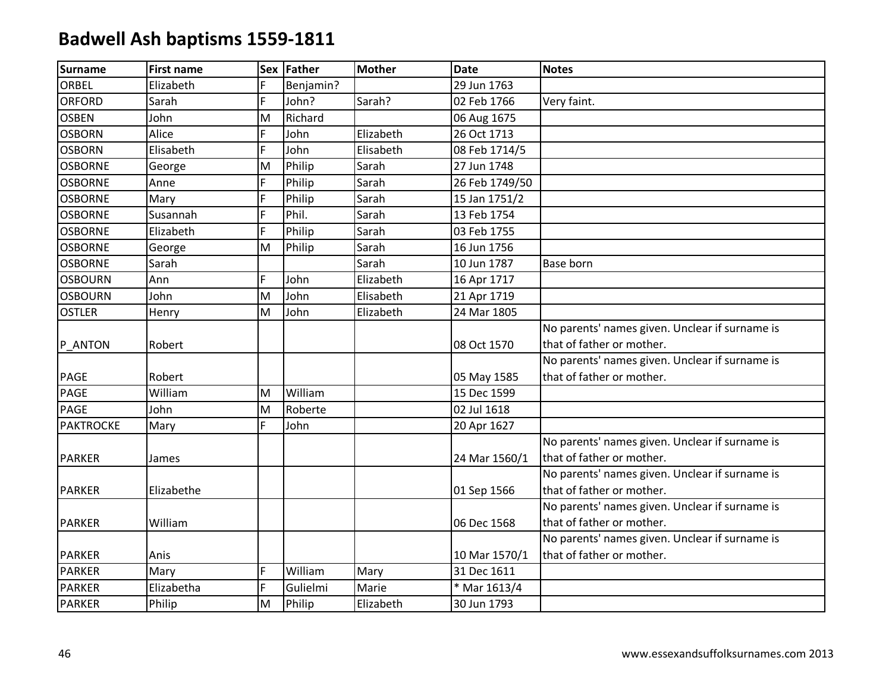| <b>Surname</b>   | <b>First name</b> |   | Sex Father | Mother    | <b>Date</b>    | <b>Notes</b>                                   |
|------------------|-------------------|---|------------|-----------|----------------|------------------------------------------------|
| ORBEL            | Elizabeth         | F | Benjamin?  |           | 29 Jun 1763    |                                                |
| <b>ORFORD</b>    | Sarah             | F | John?      | Sarah?    | 02 Feb 1766    | Very faint.                                    |
| <b>OSBEN</b>     | John              | M | Richard    |           | 06 Aug 1675    |                                                |
| <b>OSBORN</b>    | Alice             | F | John       | Elizabeth | 26 Oct 1713    |                                                |
| <b>OSBORN</b>    | Elisabeth         | F | John       | Elisabeth | 08 Feb 1714/5  |                                                |
| <b>OSBORNE</b>   | George            | M | Philip     | Sarah     | 27 Jun 1748    |                                                |
| <b>OSBORNE</b>   | Anne              | F | Philip     | Sarah     | 26 Feb 1749/50 |                                                |
| <b>OSBORNE</b>   | Mary              | F | Philip     | Sarah     | 15 Jan 1751/2  |                                                |
| <b>OSBORNE</b>   | Susannah          | F | Phil.      | Sarah     | 13 Feb 1754    |                                                |
| <b>OSBORNE</b>   | Elizabeth         | F | Philip     | Sarah     | 03 Feb 1755    |                                                |
| <b>OSBORNE</b>   | George            | M | Philip     | Sarah     | 16 Jun 1756    |                                                |
| <b>OSBORNE</b>   | Sarah             |   |            | Sarah     | 10 Jun 1787    | <b>Base born</b>                               |
| <b>OSBOURN</b>   | Ann               | F | John       | Elizabeth | 16 Apr 1717    |                                                |
| <b>OSBOURN</b>   | John              | M | John       | Elisabeth | 21 Apr 1719    |                                                |
| <b>OSTLER</b>    | Henry             | M | John       | Elizabeth | 24 Mar 1805    |                                                |
|                  |                   |   |            |           |                | No parents' names given. Unclear if surname is |
| P ANTON          | Robert            |   |            |           | 08 Oct 1570    | that of father or mother.                      |
|                  |                   |   |            |           |                | No parents' names given. Unclear if surname is |
| <b>PAGE</b>      | Robert            |   |            |           | 05 May 1585    | that of father or mother.                      |
| <b>PAGE</b>      | William           | M | William    |           | 15 Dec 1599    |                                                |
| <b>PAGE</b>      | John              | M | Roberte    |           | 02 Jul 1618    |                                                |
| <b>PAKTROCKE</b> | Mary              | F | John       |           | 20 Apr 1627    |                                                |
|                  |                   |   |            |           |                | No parents' names given. Unclear if surname is |
| <b>PARKER</b>    | James             |   |            |           | 24 Mar 1560/1  | that of father or mother.                      |
|                  |                   |   |            |           |                | No parents' names given. Unclear if surname is |
| <b>PARKER</b>    | Elizabethe        |   |            |           | 01 Sep 1566    | that of father or mother.                      |
|                  |                   |   |            |           |                | No parents' names given. Unclear if surname is |
| <b>PARKER</b>    | William           |   |            |           | 06 Dec 1568    | that of father or mother.                      |
|                  |                   |   |            |           |                | No parents' names given. Unclear if surname is |
| <b>PARKER</b>    | Anis              |   |            |           | 10 Mar 1570/1  | that of father or mother.                      |
| <b>PARKER</b>    | Mary              | F | William    | Mary      | 31 Dec 1611    |                                                |
| <b>PARKER</b>    | Elizabetha        | F | Gulielmi   | Marie     | * Mar 1613/4   |                                                |
| <b>PARKER</b>    | Philip            | M | Philip     | Elizabeth | 30 Jun 1793    |                                                |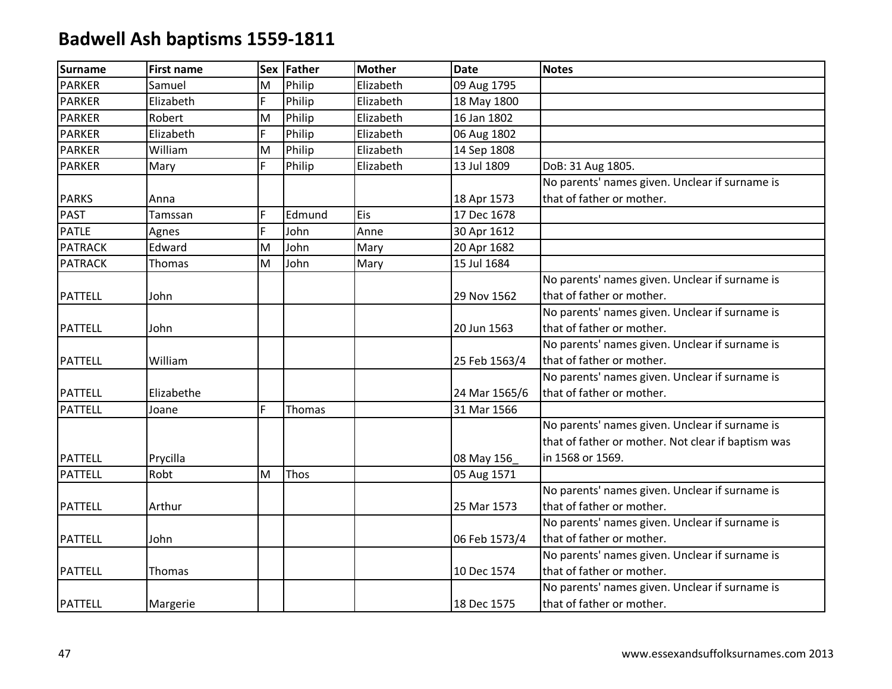| <b>Surname</b> | <b>First name</b> | <b>Sex</b> | <b>Father</b> | <b>Mother</b> | <b>Date</b>   | <b>Notes</b>                                       |
|----------------|-------------------|------------|---------------|---------------|---------------|----------------------------------------------------|
| <b>PARKER</b>  | Samuel            | M          | Philip        | Elizabeth     | 09 Aug 1795   |                                                    |
| <b>PARKER</b>  | Elizabeth         | F          | Philip        | Elizabeth     | 18 May 1800   |                                                    |
| <b>PARKER</b>  | Robert            | M          | Philip        | Elizabeth     | 16 Jan 1802   |                                                    |
| <b>PARKER</b>  | Elizabeth         | F          | Philip        | Elizabeth     | 06 Aug 1802   |                                                    |
| <b>PARKER</b>  | William           | M          | Philip        | Elizabeth     | 14 Sep 1808   |                                                    |
| <b>PARKER</b>  | Mary              | F          | Philip        | Elizabeth     | 13 Jul 1809   | DoB: 31 Aug 1805.                                  |
|                |                   |            |               |               |               | No parents' names given. Unclear if surname is     |
| <b>PARKS</b>   | Anna              |            |               |               | 18 Apr 1573   | that of father or mother.                          |
| <b>PAST</b>    | Tamssan           | F          | Edmund        | <b>Eis</b>    | 17 Dec 1678   |                                                    |
| <b>PATLE</b>   | Agnes             | F          | John          | Anne          | 30 Apr 1612   |                                                    |
| <b>PATRACK</b> | Edward            | M          | John          | Mary          | 20 Apr 1682   |                                                    |
| <b>PATRACK</b> | Thomas            | M          | John          | Mary          | 15 Jul 1684   |                                                    |
|                |                   |            |               |               |               | No parents' names given. Unclear if surname is     |
| <b>PATTELL</b> | John              |            |               |               | 29 Nov 1562   | that of father or mother.                          |
|                |                   |            |               |               |               | No parents' names given. Unclear if surname is     |
| <b>PATTELL</b> | John              |            |               |               | 20 Jun 1563   | that of father or mother.                          |
|                |                   |            |               |               |               | No parents' names given. Unclear if surname is     |
| <b>PATTELL</b> | William           |            |               |               | 25 Feb 1563/4 | that of father or mother.                          |
|                |                   |            |               |               |               | No parents' names given. Unclear if surname is     |
| <b>PATTELL</b> | Elizabethe        |            |               |               | 24 Mar 1565/6 | that of father or mother.                          |
| <b>PATTELL</b> | Joane             | F          | Thomas        |               | 31 Mar 1566   |                                                    |
|                |                   |            |               |               |               | No parents' names given. Unclear if surname is     |
|                |                   |            |               |               |               | that of father or mother. Not clear if baptism was |
| <b>PATTELL</b> | Prycilla          |            |               |               | 08 May 156    | in 1568 or 1569.                                   |
| <b>PATTELL</b> | Robt              | M          | Thos          |               | 05 Aug 1571   |                                                    |
|                |                   |            |               |               |               | No parents' names given. Unclear if surname is     |
| <b>PATTELL</b> | Arthur            |            |               |               | 25 Mar 1573   | that of father or mother.                          |
|                |                   |            |               |               |               | No parents' names given. Unclear if surname is     |
| <b>PATTELL</b> | John              |            |               |               | 06 Feb 1573/4 | that of father or mother.                          |
|                |                   |            |               |               |               | No parents' names given. Unclear if surname is     |
| <b>PATTELL</b> | Thomas            |            |               |               | 10 Dec 1574   | that of father or mother.                          |
|                |                   |            |               |               |               | No parents' names given. Unclear if surname is     |
| <b>PATTELL</b> | Margerie          |            |               |               | 18 Dec 1575   | that of father or mother.                          |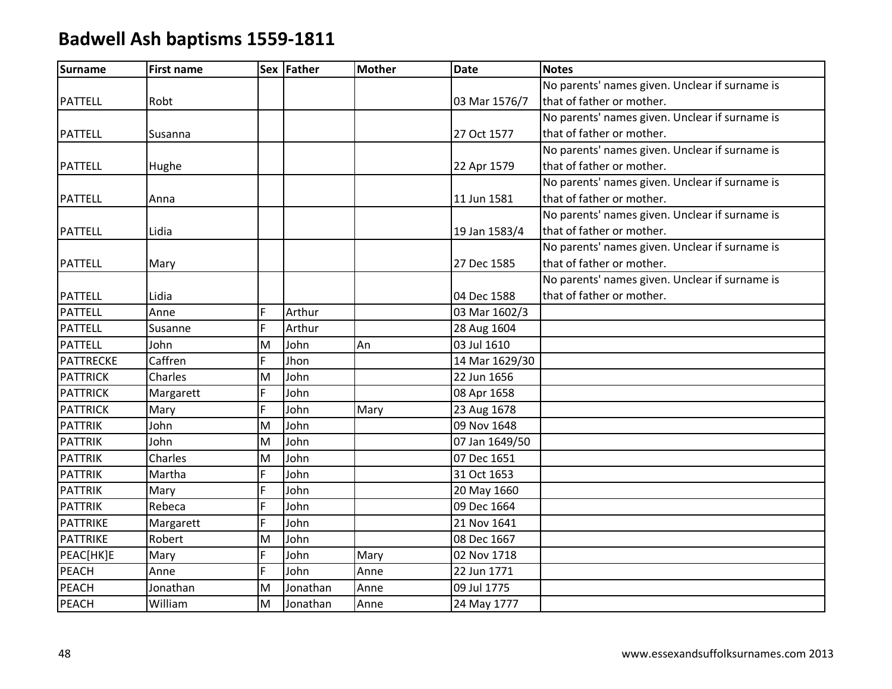| <b>Surname</b>   | <b>First name</b> |   | Sex Father | <b>Mother</b> | <b>Date</b>    | <b>Notes</b>                                   |
|------------------|-------------------|---|------------|---------------|----------------|------------------------------------------------|
|                  |                   |   |            |               |                | No parents' names given. Unclear if surname is |
| <b>PATTELL</b>   | Robt              |   |            |               | 03 Mar 1576/7  | that of father or mother.                      |
|                  |                   |   |            |               |                | No parents' names given. Unclear if surname is |
| <b>PATTELL</b>   | Susanna           |   |            |               | 27 Oct 1577    | that of father or mother.                      |
|                  |                   |   |            |               |                | No parents' names given. Unclear if surname is |
| <b>PATTELL</b>   | Hughe             |   |            |               | 22 Apr 1579    | that of father or mother.                      |
|                  |                   |   |            |               |                | No parents' names given. Unclear if surname is |
| <b>PATTELL</b>   | Anna              |   |            |               | 11 Jun 1581    | that of father or mother.                      |
|                  |                   |   |            |               |                | No parents' names given. Unclear if surname is |
| <b>PATTELL</b>   | Lidia             |   |            |               | 19 Jan 1583/4  | that of father or mother.                      |
|                  |                   |   |            |               |                | No parents' names given. Unclear if surname is |
| <b>PATTELL</b>   | Mary              |   |            |               | 27 Dec 1585    | that of father or mother.                      |
|                  |                   |   |            |               |                | No parents' names given. Unclear if surname is |
| <b>PATTELL</b>   | Lidia             |   |            |               | 04 Dec 1588    | that of father or mother.                      |
| <b>PATTELL</b>   | Anne              | F | Arthur     |               | 03 Mar 1602/3  |                                                |
| <b>PATTELL</b>   | Susanne           | F | Arthur     |               | 28 Aug 1604    |                                                |
| PATTELL          | John              | M | John       | An            | 03 Jul 1610    |                                                |
| <b>PATTRECKE</b> | Caffren           | F | Jhon       |               | 14 Mar 1629/30 |                                                |
| <b>PATTRICK</b>  | Charles           | M | John       |               | 22 Jun 1656    |                                                |
| <b>PATTRICK</b>  | Margarett         | F | John       |               | 08 Apr 1658    |                                                |
| <b>PATTRICK</b>  | Mary              | F | John       | Mary          | 23 Aug 1678    |                                                |
| <b>PATTRIK</b>   | John              | M | John       |               | 09 Nov 1648    |                                                |
| <b>PATTRIK</b>   | John              | M | John       |               | 07 Jan 1649/50 |                                                |
| <b>PATTRIK</b>   | Charles           | M | John       |               | 07 Dec 1651    |                                                |
| <b>PATTRIK</b>   | Martha            | F | John       |               | 31 Oct 1653    |                                                |
| <b>PATTRIK</b>   | Mary              | F | John       |               | 20 May 1660    |                                                |
| <b>PATTRIK</b>   | Rebeca            | F | John       |               | 09 Dec 1664    |                                                |
| <b>PATTRIKE</b>  | Margarett         | F | John       |               | 21 Nov 1641    |                                                |
| <b>PATTRIKE</b>  | Robert            | M | John       |               | 08 Dec 1667    |                                                |
| PEAC[HK]E        | Mary              | F | John       | Mary          | 02 Nov 1718    |                                                |
| <b>PEACH</b>     | Anne              | F | John       | Anne          | 22 Jun 1771    |                                                |
| <b>PEACH</b>     | Jonathan          | M | Jonathan   | Anne          | 09 Jul 1775    |                                                |
| PEACH            | William           | M | Jonathan   | Anne          | 24 May 1777    |                                                |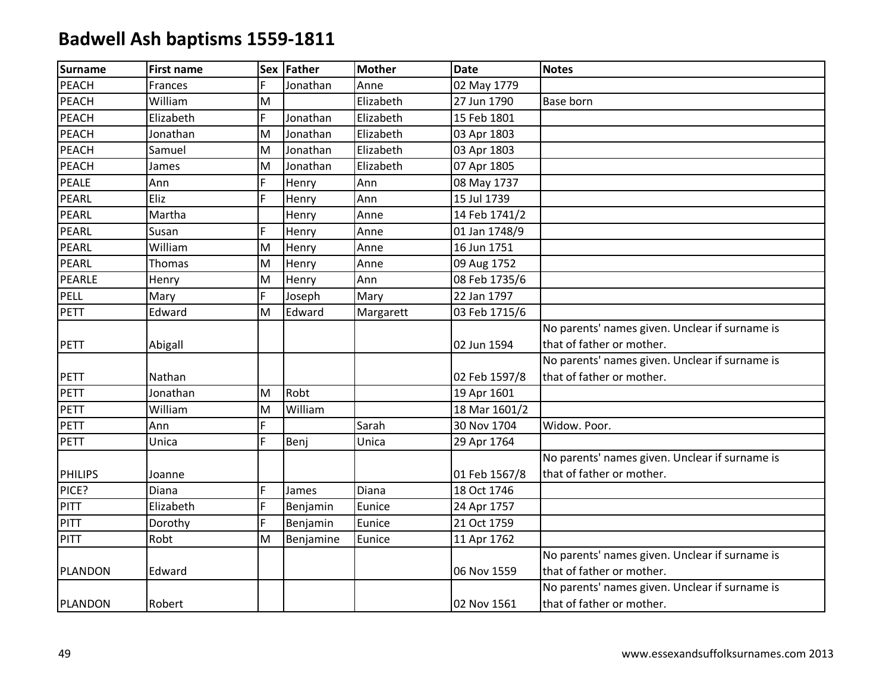| <b>Surname</b> | <b>First name</b> |    | Sex Father | <b>Mother</b> | <b>Date</b>   | <b>Notes</b>                                   |
|----------------|-------------------|----|------------|---------------|---------------|------------------------------------------------|
| PEACH          | Frances           | F  | Jonathan   | Anne          | 02 May 1779   |                                                |
| <b>PEACH</b>   | William           | M  |            | Elizabeth     | 27 Jun 1790   | <b>Base born</b>                               |
| <b>PEACH</b>   | Elizabeth         | F  | Jonathan   | Elizabeth     | 15 Feb 1801   |                                                |
| <b>PEACH</b>   | Jonathan          | M  | Jonathan   | Elizabeth     | 03 Apr 1803   |                                                |
| PEACH          | Samuel            | M  | Jonathan   | Elizabeth     | 03 Apr 1803   |                                                |
| <b>PEACH</b>   | James             | M  | Jonathan   | Elizabeth     | 07 Apr 1805   |                                                |
| <b>PEALE</b>   | Ann               | F. | Henry      | Ann           | 08 May 1737   |                                                |
| PEARL          | Eliz              | F  | Henry      | Ann           | 15 Jul 1739   |                                                |
| PEARL          | Martha            |    | Henry      | Anne          | 14 Feb 1741/2 |                                                |
| PEARL          | Susan             | F  | Henry      | Anne          | 01 Jan 1748/9 |                                                |
| PEARL          | William           | M  | Henry      | Anne          | 16 Jun 1751   |                                                |
| PEARL          | Thomas            | M  | Henry      | Anne          | 09 Aug 1752   |                                                |
| <b>PEARLE</b>  | Henry             | M  | Henry      | Ann           | 08 Feb 1735/6 |                                                |
| PELL           | Mary              | F  | Joseph     | Mary          | 22 Jan 1797   |                                                |
| PETT           | Edward            | M  | Edward     | Margarett     | 03 Feb 1715/6 |                                                |
|                |                   |    |            |               |               | No parents' names given. Unclear if surname is |
| PETT           | Abigall           |    |            |               | 02 Jun 1594   | that of father or mother.                      |
|                |                   |    |            |               |               | No parents' names given. Unclear if surname is |
| PETT           | Nathan            |    |            |               | 02 Feb 1597/8 | that of father or mother.                      |
| <b>PETT</b>    | Jonathan          | M  | Robt       |               | 19 Apr 1601   |                                                |
| <b>PETT</b>    | William           | M  | William    |               | 18 Mar 1601/2 |                                                |
| <b>PETT</b>    | Ann               | F. |            | Sarah         | 30 Nov 1704   | Widow. Poor.                                   |
| PETT           | Unica             | F  | Benj       | Unica         | 29 Apr 1764   |                                                |
|                |                   |    |            |               |               | No parents' names given. Unclear if surname is |
| <b>PHILIPS</b> | Joanne            |    |            |               | 01 Feb 1567/8 | that of father or mother.                      |
| PICE?          | Diana             | F. | James      | Diana         | 18 Oct 1746   |                                                |
| PITT           | Elizabeth         | F. | Benjamin   | Eunice        | 24 Apr 1757   |                                                |
| <b>PITT</b>    | Dorothy           | F  | Benjamin   | Eunice        | 21 Oct 1759   |                                                |
| PITT           | Robt              | M  | Benjamine  | Eunice        | 11 Apr 1762   |                                                |
|                |                   |    |            |               |               | No parents' names given. Unclear if surname is |
| PLANDON        | Edward            |    |            |               | 06 Nov 1559   | that of father or mother.                      |
|                |                   |    |            |               |               | No parents' names given. Unclear if surname is |
| PLANDON        | Robert            |    |            |               | 02 Nov 1561   | that of father or mother.                      |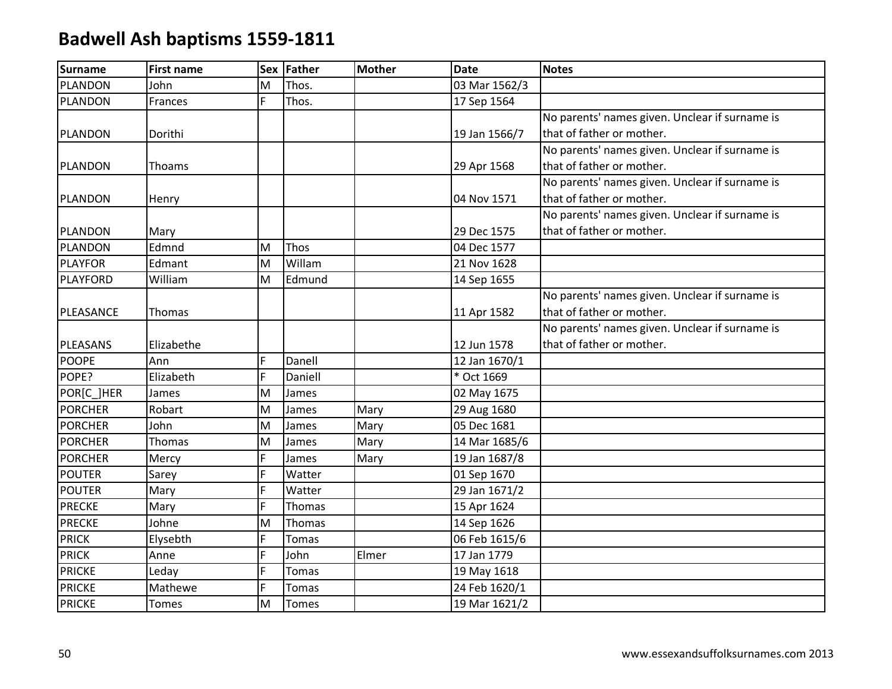| <b>Surname</b>  | <b>First name</b> | <b>Sex</b> | Father       | <b>Mother</b> | <b>Date</b>   | <b>Notes</b>                                   |
|-----------------|-------------------|------------|--------------|---------------|---------------|------------------------------------------------|
| <b>PLANDON</b>  | John              | M          | Thos.        |               | 03 Mar 1562/3 |                                                |
| <b>PLANDON</b>  | Frances           | F          | Thos.        |               | 17 Sep 1564   |                                                |
|                 |                   |            |              |               |               | No parents' names given. Unclear if surname is |
| <b>PLANDON</b>  | Dorithi           |            |              |               | 19 Jan 1566/7 | that of father or mother.                      |
|                 |                   |            |              |               |               | No parents' names given. Unclear if surname is |
| <b>PLANDON</b>  | Thoams            |            |              |               | 29 Apr 1568   | that of father or mother.                      |
|                 |                   |            |              |               |               | No parents' names given. Unclear if surname is |
| <b>PLANDON</b>  | Henry             |            |              |               | 04 Nov 1571   | that of father or mother.                      |
|                 |                   |            |              |               |               | No parents' names given. Unclear if surname is |
| <b>PLANDON</b>  | Mary              |            |              |               | 29 Dec 1575   | that of father or mother.                      |
| <b>PLANDON</b>  | Edmnd             | M          | Thos         |               | 04 Dec 1577   |                                                |
| <b>PLAYFOR</b>  | Edmant            | M          | Willam       |               | 21 Nov 1628   |                                                |
| <b>PLAYFORD</b> | William           | M          | Edmund       |               | 14 Sep 1655   |                                                |
|                 |                   |            |              |               |               | No parents' names given. Unclear if surname is |
| PLEASANCE       | Thomas            |            |              |               | 11 Apr 1582   | that of father or mother.                      |
|                 |                   |            |              |               |               | No parents' names given. Unclear if surname is |
| PLEASANS        | Elizabethe        |            |              |               | 12 Jun 1578   | that of father or mother.                      |
| <b>POOPE</b>    | Ann               | F          | Danell       |               | 12 Jan 1670/1 |                                                |
| POPE?           | Elizabeth         | Ë          | Daniell      |               | * Oct 1669    |                                                |
| POR[C_]HER      | James             | M          | James        |               | 02 May 1675   |                                                |
| <b>PORCHER</b>  | Robart            | M          | James        | Mary          | 29 Aug 1680   |                                                |
| <b>PORCHER</b>  | John              | M          | James        | Mary          | 05 Dec 1681   |                                                |
| <b>PORCHER</b>  | Thomas            | M          | James        | Mary          | 14 Mar 1685/6 |                                                |
| <b>PORCHER</b>  | Mercy             | F          | James        | Mary          | 19 Jan 1687/8 |                                                |
| <b>POUTER</b>   | Sarey             | Ë          | Watter       |               | 01 Sep 1670   |                                                |
| <b>POUTER</b>   | Mary              | F          | Watter       |               | 29 Jan 1671/2 |                                                |
| <b>PRECKE</b>   | Mary              | F          | Thomas       |               | 15 Apr 1624   |                                                |
| <b>PRECKE</b>   | Johne             | M          | Thomas       |               | 14 Sep 1626   |                                                |
| <b>PRICK</b>    | Elysebth          | F          | Tomas        |               | 06 Feb 1615/6 |                                                |
| <b>PRICK</b>    | Anne              | F          | John         | Elmer         | 17 Jan 1779   |                                                |
| <b>PRICKE</b>   | Leday             | F          | <b>Tomas</b> |               | 19 May 1618   |                                                |
| <b>PRICKE</b>   | Mathewe           | F          | Tomas        |               | 24 Feb 1620/1 |                                                |
| <b>PRICKE</b>   | Tomes             | M          | <b>Tomes</b> |               | 19 Mar 1621/2 |                                                |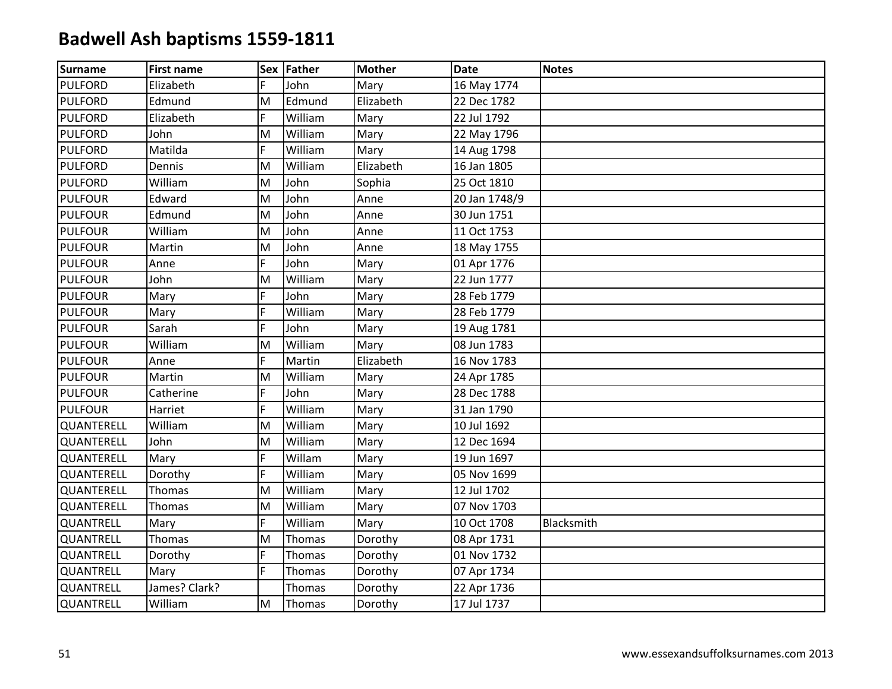| Surname        | <b>First name</b> |    | Sex Father | <b>Mother</b> | <b>Date</b>   | <b>Notes</b> |
|----------------|-------------------|----|------------|---------------|---------------|--------------|
| <b>PULFORD</b> | Elizabeth         | F  | John       | Mary          | 16 May 1774   |              |
| <b>PULFORD</b> | Edmund            | M  | Edmund     | Elizabeth     | 22 Dec 1782   |              |
| <b>PULFORD</b> | Elizabeth         | F  | William    | Mary          | 22 Jul 1792   |              |
| <b>PULFORD</b> | John              | M  | William    | Mary          | 22 May 1796   |              |
| <b>PULFORD</b> | Matilda           | F  | William    | Mary          | 14 Aug 1798   |              |
| <b>PULFORD</b> | Dennis            | M  | William    | Elizabeth     | 16 Jan 1805   |              |
| <b>PULFORD</b> | William           | M  | John       | Sophia        | 25 Oct 1810   |              |
| <b>PULFOUR</b> | Edward            | M  | John       | Anne          | 20 Jan 1748/9 |              |
| <b>PULFOUR</b> | Edmund            | M  | John       | Anne          | 30 Jun 1751   |              |
| <b>PULFOUR</b> | William           | M  | John       | Anne          | 11 Oct 1753   |              |
| <b>PULFOUR</b> | Martin            | M  | John       | Anne          | 18 May 1755   |              |
| <b>PULFOUR</b> | Anne              | F  | John       | Mary          | 01 Apr 1776   |              |
| <b>PULFOUR</b> | John              | M  | William    | Mary          | 22 Jun 1777   |              |
| <b>PULFOUR</b> | Mary              | F  | John       | Mary          | 28 Feb 1779   |              |
| <b>PULFOUR</b> | Mary              | F  | William    | Mary          | 28 Feb 1779   |              |
| <b>PULFOUR</b> | Sarah             | F. | John       | Mary          | 19 Aug 1781   |              |
| <b>PULFOUR</b> | William           | M  | William    | Mary          | 08 Jun 1783   |              |
| <b>PULFOUR</b> | Anne              | F  | Martin     | Elizabeth     | 16 Nov 1783   |              |
| <b>PULFOUR</b> | Martin            | M  | William    | Mary          | 24 Apr 1785   |              |
| <b>PULFOUR</b> | Catherine         | F  | John       | Mary          | 28 Dec 1788   |              |
| <b>PULFOUR</b> | Harriet           | F. | William    | Mary          | 31 Jan 1790   |              |
| QUANTERELL     | William           | M  | William    | Mary          | 10 Jul 1692   |              |
| QUANTERELL     | John              | M  | William    | Mary          | 12 Dec 1694   |              |
| QUANTERELL     | Mary              | F  | Willam     | Mary          | 19 Jun 1697   |              |
| QUANTERELL     | Dorothy           | F  | William    | Mary          | 05 Nov 1699   |              |
| QUANTERELL     | Thomas            | M  | William    | Mary          | 12 Jul 1702   |              |
| QUANTERELL     | Thomas            | M  | William    | Mary          | 07 Nov 1703   |              |
| QUANTRELL      | Mary              | F. | William    | Mary          | 10 Oct 1708   | Blacksmith   |
| QUANTRELL      | Thomas            | M  | Thomas     | Dorothy       | 08 Apr 1731   |              |
| QUANTRELL      | Dorothy           | F  | Thomas     | Dorothy       | 01 Nov 1732   |              |
| QUANTRELL      | Mary              | F. | Thomas     | Dorothy       | 07 Apr 1734   |              |
| QUANTRELL      | James? Clark?     |    | Thomas     | Dorothy       | 22 Apr 1736   |              |
| QUANTRELL      | William           | M  | Thomas     | Dorothy       | 17 Jul 1737   |              |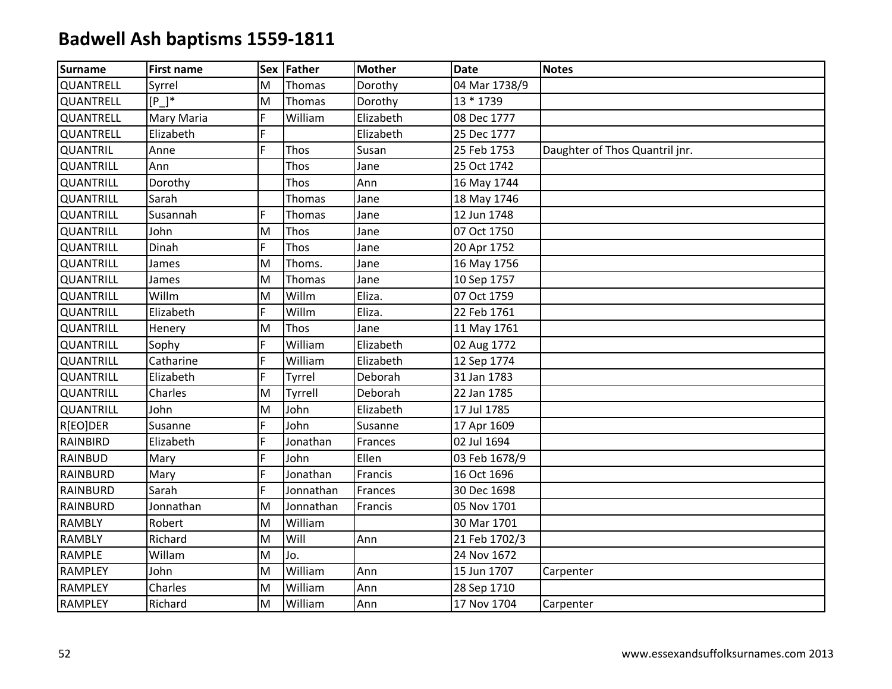| <b>Surname</b>   | <b>First name</b> |    | Sex Father    | <b>Mother</b> | <b>Date</b>   | <b>Notes</b>                   |
|------------------|-------------------|----|---------------|---------------|---------------|--------------------------------|
| QUANTRELL        | Syrrel            | M  | Thomas        | Dorothy       | 04 Mar 1738/9 |                                |
| QUANTRELL        | [P]               | M  | Thomas        | Dorothy       | 13 * 1739     |                                |
| QUANTRELL        | <b>Mary Maria</b> | F  | William       | Elizabeth     | 08 Dec 1777   |                                |
| QUANTRELL        | Elizabeth         | F  |               | Elizabeth     | 25 Dec 1777   |                                |
| <b>QUANTRIL</b>  | Anne              | F  | Thos          | Susan         | 25 Feb 1753   | Daughter of Thos Quantril jnr. |
| QUANTRILL        | Ann               |    | Thos          | Jane          | 25 Oct 1742   |                                |
| <b>QUANTRILL</b> | Dorothy           |    | Thos          | Ann           | 16 May 1744   |                                |
| <b>QUANTRILL</b> | Sarah             |    | <b>Thomas</b> | Jane          | 18 May 1746   |                                |
| QUANTRILL        | Susannah          | F  | Thomas        | Jane          | 12 Jun 1748   |                                |
| <b>QUANTRILL</b> | John              | M  | Thos          | Jane          | 07 Oct 1750   |                                |
| QUANTRILL        | Dinah             | F  | Thos          | Jane          | 20 Apr 1752   |                                |
| <b>QUANTRILL</b> | James             | M  | Thoms.        | Jane          | 16 May 1756   |                                |
| <b>QUANTRILL</b> | James             | M  | Thomas        | Jane          | 10 Sep 1757   |                                |
| <b>QUANTRILL</b> | Willm             | M  | Willm         | Eliza.        | 07 Oct 1759   |                                |
| <b>QUANTRILL</b> | Elizabeth         | F  | Willm         | Eliza.        | 22 Feb 1761   |                                |
| <b>QUANTRILL</b> | Henery            | M  | Thos          | Jane          | 11 May 1761   |                                |
| QUANTRILL        | Sophy             | F. | William       | Elizabeth     | 02 Aug 1772   |                                |
| <b>QUANTRILL</b> | Catharine         | F  | William       | Elizabeth     | 12 Sep 1774   |                                |
| <b>QUANTRILL</b> | Elizabeth         | F  | Tyrrel        | Deborah       | 31 Jan 1783   |                                |
| QUANTRILL        | Charles           | M  | Tyrrell       | Deborah       | 22 Jan 1785   |                                |
| <b>QUANTRILL</b> | John              | M  | John          | Elizabeth     | 17 Jul 1785   |                                |
| R[EO]DER         | Susanne           | E. | John          | Susanne       | 17 Apr 1609   |                                |
| RAINBIRD         | Elizabeth         | F  | Jonathan      | Frances       | 02 Jul 1694   |                                |
| RAINBUD          | Mary              | F  | John          | Ellen         | 03 Feb 1678/9 |                                |
| <b>RAINBURD</b>  | Mary              | F  | Jonathan      | Francis       | 16 Oct 1696   |                                |
| RAINBURD         | Sarah             | F  | Jonnathan     | Frances       | 30 Dec 1698   |                                |
| <b>RAINBURD</b>  | Jonnathan         | M  | Jonnathan     | Francis       | 05 Nov 1701   |                                |
| <b>RAMBLY</b>    | Robert            | M  | William       |               | 30 Mar 1701   |                                |
| <b>RAMBLY</b>    | Richard           | M  | Will          | Ann           | 21 Feb 1702/3 |                                |
| RAMPLE           | Willam            | M  | Jo.           |               | 24 Nov 1672   |                                |
| <b>RAMPLEY</b>   | John              | M  | William       | Ann           | 15 Jun 1707   | Carpenter                      |
| <b>RAMPLEY</b>   | Charles           | M  | William       | Ann           | 28 Sep 1710   |                                |
| <b>RAMPLEY</b>   | Richard           | M  | William       | Ann           | 17 Nov 1704   | Carpenter                      |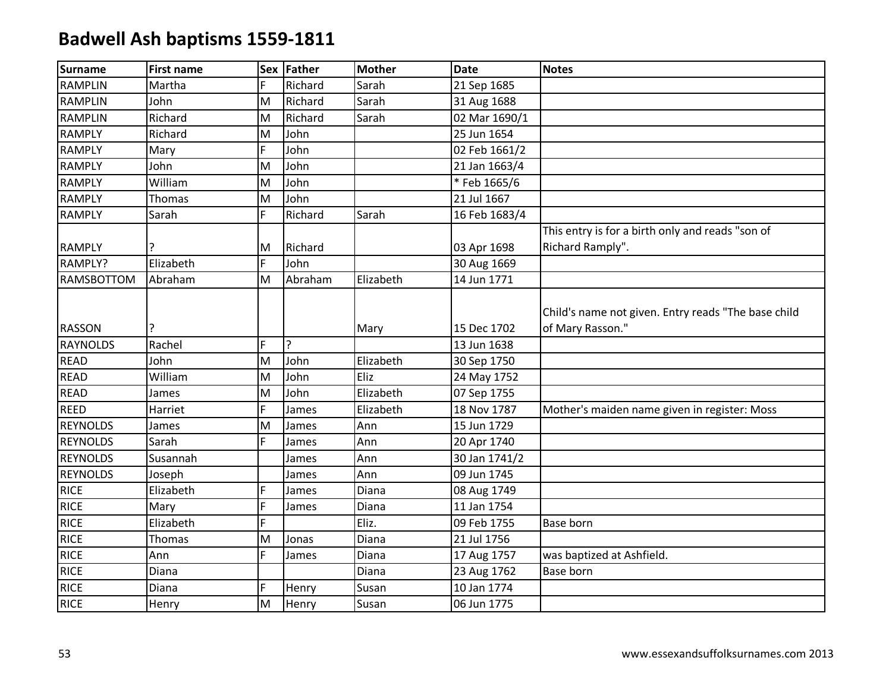| <b>Surname</b>    | <b>First name</b> |    | Sex Father     | <b>Mother</b> | <b>Date</b>   | <b>Notes</b>                                                            |
|-------------------|-------------------|----|----------------|---------------|---------------|-------------------------------------------------------------------------|
| <b>RAMPLIN</b>    | Martha            | F. | Richard        | Sarah         | 21 Sep 1685   |                                                                         |
| <b>RAMPLIN</b>    | John              | M  | Richard        | Sarah         | 31 Aug 1688   |                                                                         |
| <b>RAMPLIN</b>    | Richard           | M  | Richard        | Sarah         | 02 Mar 1690/1 |                                                                         |
| <b>RAMPLY</b>     | Richard           | M  | John           |               | 25 Jun 1654   |                                                                         |
| <b>RAMPLY</b>     | Mary              | F  | John           |               | 02 Feb 1661/2 |                                                                         |
| <b>RAMPLY</b>     | John              | M  | John           |               | 21 Jan 1663/4 |                                                                         |
| <b>RAMPLY</b>     | William           | M  | John           |               | *Feb 1665/6   |                                                                         |
| <b>RAMPLY</b>     | Thomas            | M  | John           |               | 21 Jul 1667   |                                                                         |
| <b>RAMPLY</b>     | Sarah             | F. | Richard        | Sarah         | 16 Feb 1683/4 |                                                                         |
|                   |                   |    |                |               |               | This entry is for a birth only and reads "son of                        |
| <b>RAMPLY</b>     |                   | M  | Richard        |               | 03 Apr 1698   | Richard Ramply".                                                        |
| RAMPLY?           | Elizabeth         | F. | John           |               | 30 Aug 1669   |                                                                         |
| <b>RAMSBOTTOM</b> | Abraham           | M  | Abraham        | Elizabeth     | 14 Jun 1771   |                                                                         |
| <b>RASSON</b>     |                   |    |                | Mary          | 15 Dec 1702   | Child's name not given. Entry reads "The base child<br>of Mary Rasson." |
| <b>RAYNOLDS</b>   | Rachel            | F. | $\overline{?}$ |               | 13 Jun 1638   |                                                                         |
| <b>READ</b>       | John              | M  | John           | Elizabeth     | 30 Sep 1750   |                                                                         |
| <b>READ</b>       | William           | M  | John           | Eliz          | 24 May 1752   |                                                                         |
| <b>READ</b>       | James             | M  | John           | Elizabeth     | 07 Sep 1755   |                                                                         |
| <b>REED</b>       | Harriet           | F  | James          | Elizabeth     | 18 Nov 1787   | Mother's maiden name given in register: Moss                            |
| <b>REYNOLDS</b>   | James             | M  | James          | Ann           | 15 Jun 1729   |                                                                         |
| <b>REYNOLDS</b>   | Sarah             | F. | James          | Ann           | 20 Apr 1740   |                                                                         |
| <b>REYNOLDS</b>   | Susannah          |    | James          | Ann           | 30 Jan 1741/2 |                                                                         |
| <b>REYNOLDS</b>   | Joseph            |    | James          | Ann           | 09 Jun 1745   |                                                                         |
| <b>RICE</b>       | Elizabeth         | F. | James          | Diana         | 08 Aug 1749   |                                                                         |
| <b>RICE</b>       | Mary              | F. | James          | Diana         | 11 Jan 1754   |                                                                         |
| <b>RICE</b>       | Elizabeth         | F. |                | Eliz.         | 09 Feb 1755   | <b>Base born</b>                                                        |
| <b>RICE</b>       | Thomas            | M  | Jonas          | Diana         | 21 Jul 1756   |                                                                         |
| <b>RICE</b>       | Ann               | F  | James          | Diana         | 17 Aug 1757   | was baptized at Ashfield.                                               |
| <b>RICE</b>       | Diana             |    |                | Diana         | 23 Aug 1762   | Base born                                                               |
| <b>RICE</b>       | Diana             | F. | Henry          | Susan         | 10 Jan 1774   |                                                                         |
| <b>RICE</b>       | Henry             | M  | Henry          | Susan         | 06 Jun 1775   |                                                                         |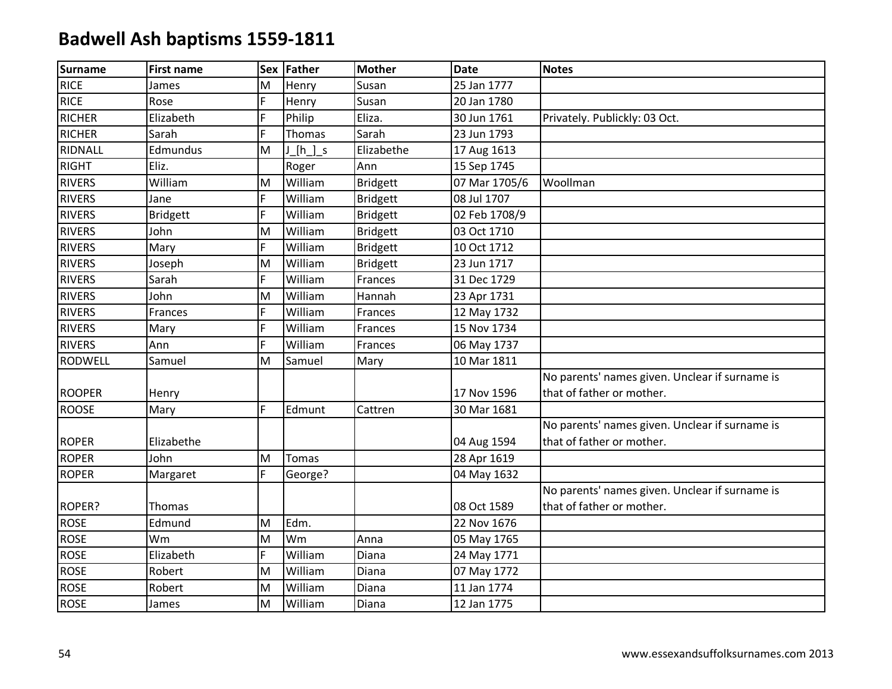| Surname       | <b>First name</b> |   | Sex Father   | <b>Mother</b>   | <b>Date</b>   | <b>Notes</b>                                   |
|---------------|-------------------|---|--------------|-----------------|---------------|------------------------------------------------|
| <b>RICE</b>   | James             | M | Henry        | Susan           | 25 Jan 1777   |                                                |
| <b>RICE</b>   | Rose              | F | Henry        | Susan           | 20 Jan 1780   |                                                |
| <b>RICHER</b> | Elizabeth         | F | Philip       | Eliza.          | 30 Jun 1761   | Privately. Publickly: 03 Oct.                  |
| <b>RICHER</b> | Sarah             | F | Thomas       | Sarah           | 23 Jun 1793   |                                                |
| RIDNALL       | Edmundus          | M | J[h]s        | Elizabethe      | 17 Aug 1613   |                                                |
| <b>RIGHT</b>  | Eliz.             |   | Roger        | Ann             | 15 Sep 1745   |                                                |
| <b>RIVERS</b> | William           | M | William      | <b>Bridgett</b> | 07 Mar 1705/6 | Woollman                                       |
| <b>RIVERS</b> | Jane              | F | William      | <b>Bridgett</b> | 08 Jul 1707   |                                                |
| <b>RIVERS</b> | <b>Bridgett</b>   | F | William      | <b>Bridgett</b> | 02 Feb 1708/9 |                                                |
| <b>RIVERS</b> | John              | M | William      | <b>Bridgett</b> | 03 Oct 1710   |                                                |
| <b>RIVERS</b> | Mary              | F | William      | <b>Bridgett</b> | 10 Oct 1712   |                                                |
| <b>RIVERS</b> | Joseph            | M | William      | <b>Bridgett</b> | 23 Jun 1717   |                                                |
| <b>RIVERS</b> | Sarah             | F | William      | Frances         | 31 Dec 1729   |                                                |
| <b>RIVERS</b> | John              | M | William      | Hannah          | 23 Apr 1731   |                                                |
| <b>RIVERS</b> | Frances           | F | William      | Frances         | 12 May 1732   |                                                |
| <b>RIVERS</b> | Mary              | F | William      | Frances         | 15 Nov 1734   |                                                |
| <b>RIVERS</b> | Ann               | F | William      | Frances         | 06 May 1737   |                                                |
| RODWELL       | Samuel            | M | Samuel       | Mary            | 10 Mar 1811   |                                                |
|               |                   |   |              |                 |               | No parents' names given. Unclear if surname is |
| <b>ROOPER</b> | Henry             |   |              |                 | 17 Nov 1596   | that of father or mother.                      |
| <b>ROOSE</b>  | Mary              | F | Edmunt       | Cattren         | 30 Mar 1681   |                                                |
|               |                   |   |              |                 |               | No parents' names given. Unclear if surname is |
| <b>ROPER</b>  | Elizabethe        |   |              |                 | 04 Aug 1594   | that of father or mother.                      |
| <b>ROPER</b>  | John              | M | <b>Tomas</b> |                 | 28 Apr 1619   |                                                |
| <b>ROPER</b>  | Margaret          | F | George?      |                 | 04 May 1632   |                                                |
|               |                   |   |              |                 |               | No parents' names given. Unclear if surname is |
| ROPER?        | Thomas            |   |              |                 | 08 Oct 1589   | that of father or mother.                      |
| <b>ROSE</b>   | Edmund            | M | Edm.         |                 | 22 Nov 1676   |                                                |
| <b>ROSE</b>   | Wm                | M | Wm           | Anna            | 05 May 1765   |                                                |
| <b>ROSE</b>   | Elizabeth         | F | William      | Diana           | 24 May 1771   |                                                |
| <b>ROSE</b>   | Robert            | M | William      | Diana           | 07 May 1772   |                                                |
| <b>ROSE</b>   | Robert            | M | William      | Diana           | 11 Jan 1774   |                                                |
| <b>ROSE</b>   | James             | M | William      | Diana           | 12 Jan 1775   |                                                |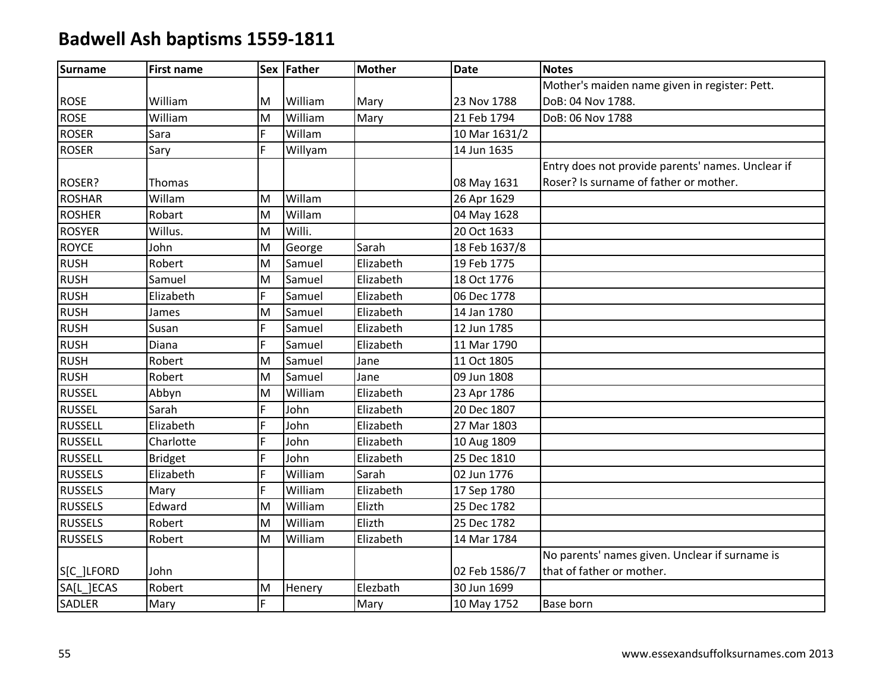| <b>Surname</b> | <b>First name</b> |    | Sex Father | <b>Mother</b> | <b>Date</b>   | <b>Notes</b>                                      |
|----------------|-------------------|----|------------|---------------|---------------|---------------------------------------------------|
|                |                   |    |            |               |               | Mother's maiden name given in register: Pett.     |
| <b>ROSE</b>    | William           | M  | William    | Mary          | 23 Nov 1788   | DoB: 04 Nov 1788.                                 |
| <b>ROSE</b>    | William           | M  | William    | Mary          | 21 Feb 1794   | DoB: 06 Nov 1788                                  |
| <b>ROSER</b>   | Sara              | F  | Willam     |               | 10 Mar 1631/2 |                                                   |
| <b>ROSER</b>   | Sary              | F  | Willyam    |               | 14 Jun 1635   |                                                   |
|                |                   |    |            |               |               | Entry does not provide parents' names. Unclear if |
| ROSER?         | Thomas            |    |            |               | 08 May 1631   | Roser? Is surname of father or mother.            |
| <b>ROSHAR</b>  | Willam            | M  | Willam     |               | 26 Apr 1629   |                                                   |
| <b>ROSHER</b>  | Robart            | M  | Willam     |               | 04 May 1628   |                                                   |
| <b>ROSYER</b>  | Willus.           | M  | Willi.     |               | 20 Oct 1633   |                                                   |
| <b>ROYCE</b>   | John              | M  | George     | Sarah         | 18 Feb 1637/8 |                                                   |
| <b>RUSH</b>    | Robert            | M  | Samuel     | Elizabeth     | 19 Feb 1775   |                                                   |
| <b>RUSH</b>    | Samuel            | M  | Samuel     | Elizabeth     | 18 Oct 1776   |                                                   |
| <b>RUSH</b>    | Elizabeth         | F  | Samuel     | Elizabeth     | 06 Dec 1778   |                                                   |
| <b>RUSH</b>    | James             | M  | Samuel     | Elizabeth     | 14 Jan 1780   |                                                   |
| <b>RUSH</b>    | Susan             | F  | Samuel     | Elizabeth     | 12 Jun 1785   |                                                   |
| <b>RUSH</b>    | Diana             | F  | Samuel     | Elizabeth     | 11 Mar 1790   |                                                   |
| <b>RUSH</b>    | Robert            | M  | Samuel     | Jane          | 11 Oct 1805   |                                                   |
| <b>RUSH</b>    | Robert            | M  | Samuel     | Jane          | 09 Jun 1808   |                                                   |
| <b>RUSSEL</b>  | Abbyn             | M  | William    | Elizabeth     | 23 Apr 1786   |                                                   |
| <b>RUSSEL</b>  | Sarah             | F  | John       | Elizabeth     | 20 Dec 1807   |                                                   |
| <b>RUSSELL</b> | Elizabeth         | F  | John       | Elizabeth     | 27 Mar 1803   |                                                   |
| <b>RUSSELL</b> | Charlotte         | F  | John       | Elizabeth     | 10 Aug 1809   |                                                   |
| <b>RUSSELL</b> | <b>Bridget</b>    | F  | John       | Elizabeth     | 25 Dec 1810   |                                                   |
| <b>RUSSELS</b> | Elizabeth         | Ë  | William    | Sarah         | 02 Jun 1776   |                                                   |
| <b>RUSSELS</b> | Mary              | F  | William    | Elizabeth     | 17 Sep 1780   |                                                   |
| <b>RUSSELS</b> | Edward            | M  | William    | Elizth        | 25 Dec 1782   |                                                   |
| <b>RUSSELS</b> | Robert            | M  | William    | Elizth        | 25 Dec 1782   |                                                   |
| <b>RUSSELS</b> | Robert            | M  | William    | Elizabeth     | 14 Mar 1784   |                                                   |
|                |                   |    |            |               |               | No parents' names given. Unclear if surname is    |
| S[C_]LFORD     | John              |    |            |               | 02 Feb 1586/7 | that of father or mother.                         |
| SA[L ]ECAS     | Robert            | M  | Henery     | Elezbath      | 30 Jun 1699   |                                                   |
| SADLER         | Mary              | F. |            | Mary          | 10 May 1752   | Base born                                         |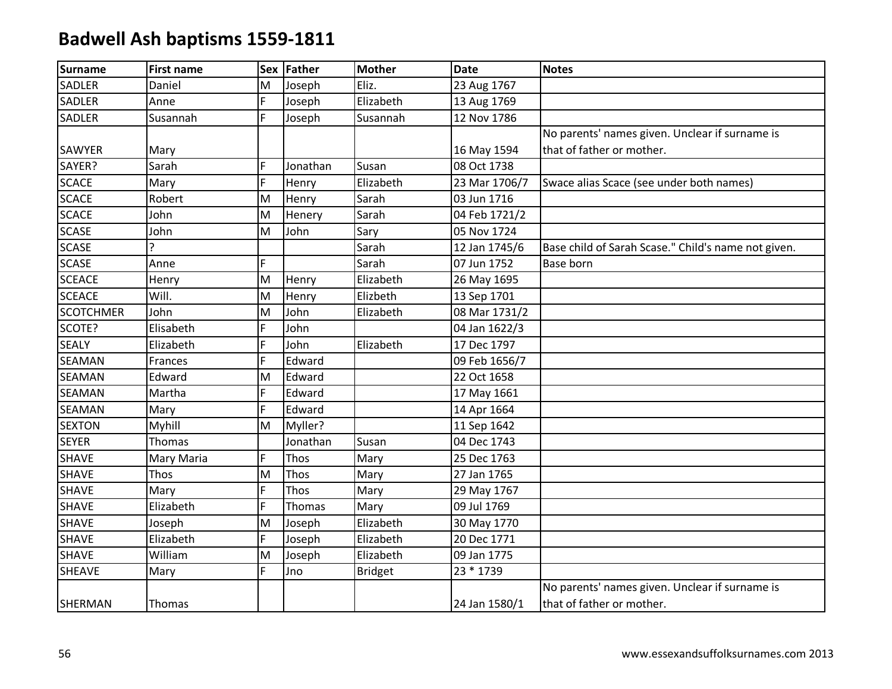| <b>Surname</b>   | <b>First name</b> |   | Sex Father | <b>Mother</b>  | <b>Date</b>   | <b>Notes</b>                                        |
|------------------|-------------------|---|------------|----------------|---------------|-----------------------------------------------------|
| <b>SADLER</b>    | Daniel            | M | Joseph     | Eliz.          | 23 Aug 1767   |                                                     |
| <b>SADLER</b>    | Anne              | F | Joseph     | Elizabeth      | 13 Aug 1769   |                                                     |
| <b>SADLER</b>    | Susannah          | F | Joseph     | Susannah       | 12 Nov 1786   |                                                     |
|                  |                   |   |            |                |               | No parents' names given. Unclear if surname is      |
| <b>SAWYER</b>    | Mary              |   |            |                | 16 May 1594   | that of father or mother.                           |
| SAYER?           | Sarah             | F | Jonathan   | Susan          | 08 Oct 1738   |                                                     |
| <b>SCACE</b>     | Mary              | F | Henry      | Elizabeth      | 23 Mar 1706/7 | Swace alias Scace (see under both names)            |
| <b>SCACE</b>     | Robert            | M | Henry      | Sarah          | 03 Jun 1716   |                                                     |
| <b>SCACE</b>     | John              | M | Henery     | Sarah          | 04 Feb 1721/2 |                                                     |
| <b>SCASE</b>     | John              | M | John       | Sary           | 05 Nov 1724   |                                                     |
| <b>SCASE</b>     | $\overline{?}$    |   |            | Sarah          | 12 Jan 1745/6 | Base child of Sarah Scase." Child's name not given. |
| <b>SCASE</b>     | Anne              | F |            | Sarah          | 07 Jun 1752   | <b>Base born</b>                                    |
| <b>SCEACE</b>    | Henry             | M | Henry      | Elizabeth      | 26 May 1695   |                                                     |
| <b>SCEACE</b>    | Will.             | M | Henry      | Elizbeth       | 13 Sep 1701   |                                                     |
| <b>SCOTCHMER</b> | John              | M | John       | Elizabeth      | 08 Mar 1731/2 |                                                     |
| SCOTE?           | Elisabeth         | F | John       |                | 04 Jan 1622/3 |                                                     |
| <b>SEALY</b>     | Elizabeth         | F | John       | Elizabeth      | 17 Dec 1797   |                                                     |
| <b>SEAMAN</b>    | Frances           | F | Edward     |                | 09 Feb 1656/7 |                                                     |
| <b>SEAMAN</b>    | Edward            | M | Edward     |                | 22 Oct 1658   |                                                     |
| <b>SEAMAN</b>    | Martha            | F | Edward     |                | 17 May 1661   |                                                     |
| <b>SEAMAN</b>    | Mary              | F | Edward     |                | 14 Apr 1664   |                                                     |
| <b>SEXTON</b>    | Myhill            | M | Myller?    |                | 11 Sep 1642   |                                                     |
| <b>SEYER</b>     | Thomas            |   | Jonathan   | Susan          | 04 Dec 1743   |                                                     |
| <b>SHAVE</b>     | Mary Maria        | F | Thos       | Mary           | 25 Dec 1763   |                                                     |
| <b>SHAVE</b>     | Thos              | M | Thos       | Mary           | 27 Jan 1765   |                                                     |
| <b>SHAVE</b>     | Mary              | F | Thos       | Mary           | 29 May 1767   |                                                     |
| <b>SHAVE</b>     | Elizabeth         | F | Thomas     | Mary           | 09 Jul 1769   |                                                     |
| <b>SHAVE</b>     | Joseph            | M | Joseph     | Elizabeth      | 30 May 1770   |                                                     |
| <b>SHAVE</b>     | Elizabeth         | F | Joseph     | Elizabeth      | 20 Dec 1771   |                                                     |
| <b>SHAVE</b>     | William           | M | Joseph     | Elizabeth      | 09 Jan 1775   |                                                     |
| <b>SHEAVE</b>    | Mary              | F | Jno        | <b>Bridget</b> | 23 * 1739     |                                                     |
|                  |                   |   |            |                |               | No parents' names given. Unclear if surname is      |
| SHERMAN          | Thomas            |   |            |                | 24 Jan 1580/1 | that of father or mother.                           |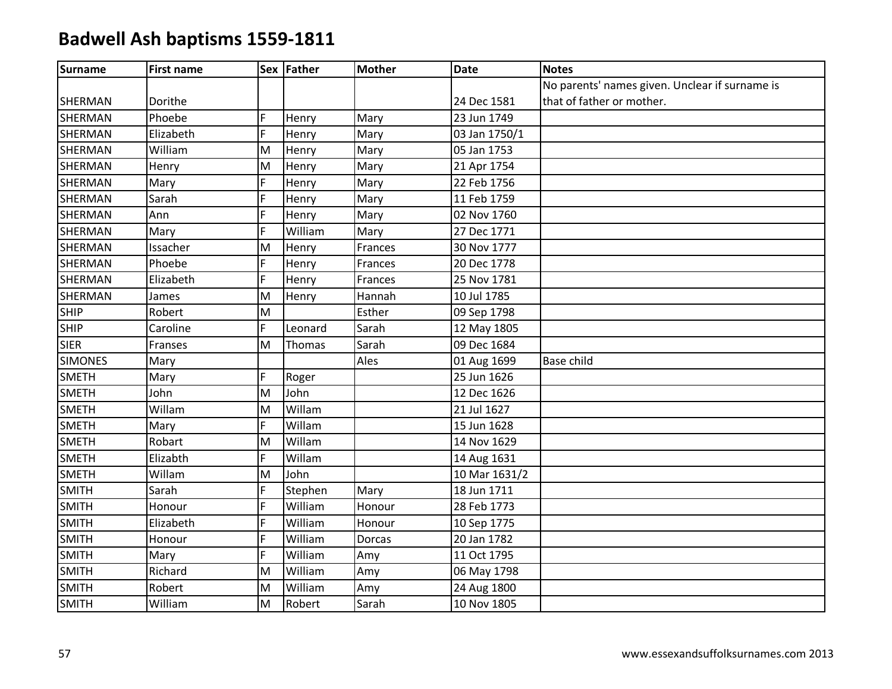| <b>Surname</b> | <b>First name</b> |    | Sex Father | <b>Mother</b> | <b>Date</b>   | <b>Notes</b>                                   |
|----------------|-------------------|----|------------|---------------|---------------|------------------------------------------------|
|                |                   |    |            |               |               | No parents' names given. Unclear if surname is |
| <b>SHERMAN</b> | Dorithe           |    |            |               | 24 Dec 1581   | that of father or mother.                      |
| <b>SHERMAN</b> | Phoebe            | F  | Henry      | Mary          | 23 Jun 1749   |                                                |
| <b>SHERMAN</b> | Elizabeth         | F  | Henry      | Mary          | 03 Jan 1750/1 |                                                |
| SHERMAN        | William           | M  | Henry      | Mary          | 05 Jan 1753   |                                                |
| <b>SHERMAN</b> | Henry             | M  | Henry      | Mary          | 21 Apr 1754   |                                                |
| <b>SHERMAN</b> | Mary              | F  | Henry      | Mary          | 22 Feb 1756   |                                                |
| <b>SHERMAN</b> | Sarah             | F  | Henry      | Mary          | 11 Feb 1759   |                                                |
| <b>SHERMAN</b> | Ann               | F  | Henry      | Mary          | 02 Nov 1760   |                                                |
| SHERMAN        | Mary              | F  | William    | Mary          | 27 Dec 1771   |                                                |
| SHERMAN        | Issacher          | M  | Henry      | Frances       | 30 Nov 1777   |                                                |
| <b>SHERMAN</b> | Phoebe            | F  | Henry      | Frances       | 20 Dec 1778   |                                                |
| <b>SHERMAN</b> | Elizabeth         | F  | Henry      | Frances       | 25 Nov 1781   |                                                |
| SHERMAN        | James             | M  | Henry      | Hannah        | 10 Jul 1785   |                                                |
| <b>SHIP</b>    | Robert            | M  |            | Esther        | 09 Sep 1798   |                                                |
| <b>SHIP</b>    | Caroline          | F  | Leonard    | Sarah         | 12 May 1805   |                                                |
| <b>SIER</b>    | Franses           | M  | Thomas     | Sarah         | 09 Dec 1684   |                                                |
| <b>SIMONES</b> | Mary              |    |            | Ales          | 01 Aug 1699   | Base child                                     |
| <b>SMETH</b>   | Mary              | F  | Roger      |               | 25 Jun 1626   |                                                |
| <b>SMETH</b>   | John              | M  | John       |               | 12 Dec 1626   |                                                |
| <b>SMETH</b>   | Willam            | M  | Willam     |               | 21 Jul 1627   |                                                |
| <b>SMETH</b>   | Mary              | F  | Willam     |               | 15 Jun 1628   |                                                |
| <b>SMETH</b>   | Robart            | M  | Willam     |               | 14 Nov 1629   |                                                |
| <b>SMETH</b>   | Elizabth          | F  | Willam     |               | 14 Aug 1631   |                                                |
| <b>SMETH</b>   | Willam            | M  | John       |               | 10 Mar 1631/2 |                                                |
| <b>SMITH</b>   | Sarah             | F  | Stephen    | Mary          | 18 Jun 1711   |                                                |
| <b>SMITH</b>   | Honour            | F. | William    | Honour        | 28 Feb 1773   |                                                |
| <b>SMITH</b>   | Elizabeth         | F  | William    | Honour        | 10 Sep 1775   |                                                |
| <b>SMITH</b>   | Honour            | F  | William    | Dorcas        | 20 Jan 1782   |                                                |
| <b>SMITH</b>   | Mary              | F  | William    | Amy           | 11 Oct 1795   |                                                |
| <b>SMITH</b>   | Richard           | M  | William    | Amy           | 06 May 1798   |                                                |
| <b>SMITH</b>   | Robert            | M  | William    | Amy           | 24 Aug 1800   |                                                |
| <b>SMITH</b>   | William           | M  | Robert     | Sarah         | 10 Nov 1805   |                                                |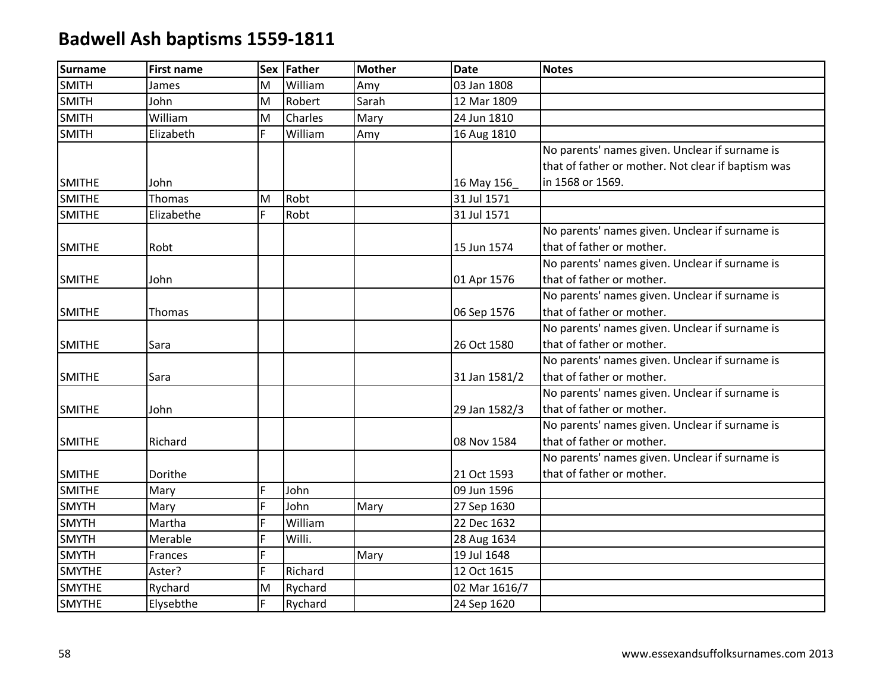| <b>Surname</b> | <b>First name</b> | <b>Sex</b> | <b>Father</b> | <b>Mother</b> | <b>Date</b>   | <b>Notes</b>                                       |
|----------------|-------------------|------------|---------------|---------------|---------------|----------------------------------------------------|
| <b>SMITH</b>   | James             | M          | William       | Amy           | 03 Jan 1808   |                                                    |
| <b>SMITH</b>   | John              | M          | Robert        | Sarah         | 12 Mar 1809   |                                                    |
| <b>SMITH</b>   | William           | M          | Charles       | Mary          | 24 Jun 1810   |                                                    |
| <b>SMITH</b>   | Elizabeth         | F          | William       | Amy           | 16 Aug 1810   |                                                    |
|                |                   |            |               |               |               | No parents' names given. Unclear if surname is     |
|                |                   |            |               |               |               | that of father or mother. Not clear if baptism was |
| <b>SMITHE</b>  | John              |            |               |               | 16 May 156    | in 1568 or 1569.                                   |
| <b>SMITHE</b>  | <b>Thomas</b>     | M          | Robt          |               | 31 Jul 1571   |                                                    |
| <b>SMITHE</b>  | Elizabethe        | F          | Robt          |               | 31 Jul 1571   |                                                    |
|                |                   |            |               |               |               | No parents' names given. Unclear if surname is     |
| <b>SMITHE</b>  | Robt              |            |               |               | 15 Jun 1574   | that of father or mother.                          |
|                |                   |            |               |               |               | No parents' names given. Unclear if surname is     |
| <b>SMITHE</b>  | John              |            |               |               | 01 Apr 1576   | that of father or mother.                          |
|                |                   |            |               |               |               | No parents' names given. Unclear if surname is     |
| <b>SMITHE</b>  | Thomas            |            |               |               | 06 Sep 1576   | that of father or mother.                          |
|                |                   |            |               |               |               | No parents' names given. Unclear if surname is     |
| <b>SMITHE</b>  | Sara              |            |               |               | 26 Oct 1580   | that of father or mother.                          |
|                |                   |            |               |               |               | No parents' names given. Unclear if surname is     |
| <b>SMITHE</b>  | Sara              |            |               |               | 31 Jan 1581/2 | that of father or mother.                          |
|                |                   |            |               |               |               | No parents' names given. Unclear if surname is     |
| <b>SMITHE</b>  | John              |            |               |               | 29 Jan 1582/3 | that of father or mother.                          |
|                |                   |            |               |               |               | No parents' names given. Unclear if surname is     |
| <b>SMITHE</b>  | Richard           |            |               |               | 08 Nov 1584   | that of father or mother.                          |
|                |                   |            |               |               |               | No parents' names given. Unclear if surname is     |
| <b>SMITHE</b>  | Dorithe           |            |               |               | 21 Oct 1593   | that of father or mother.                          |
| <b>SMITHE</b>  | Mary              | F          | John          |               | 09 Jun 1596   |                                                    |
| <b>SMYTH</b>   | Mary              | F          | John          | Mary          | 27 Sep 1630   |                                                    |
| <b>SMYTH</b>   | Martha            | F          | William       |               | 22 Dec 1632   |                                                    |
| <b>SMYTH</b>   | Merable           | Ë          | Willi.        |               | 28 Aug 1634   |                                                    |
| <b>SMYTH</b>   | Frances           | F.         |               | Mary          | 19 Jul 1648   |                                                    |
| <b>SMYTHE</b>  | Aster?            | F          | Richard       |               | 12 Oct 1615   |                                                    |
| <b>SMYTHE</b>  | Rychard           | M          | Rychard       |               | 02 Mar 1616/7 |                                                    |
| <b>SMYTHE</b>  | Elysebthe         | F          | Rychard       |               | 24 Sep 1620   |                                                    |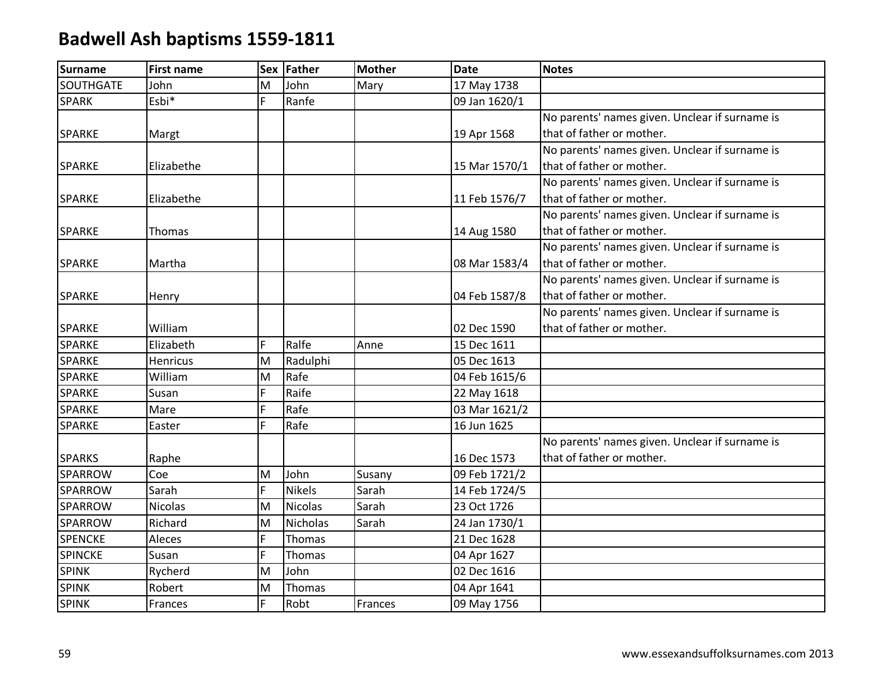| <b>Surname</b>   | <b>First name</b> | <b>Sex</b> | Father         | <b>Mother</b> | <b>Date</b>   | <b>Notes</b>                                   |
|------------------|-------------------|------------|----------------|---------------|---------------|------------------------------------------------|
| <b>SOUTHGATE</b> | John              | M          | John           | Mary          | 17 May 1738   |                                                |
| <b>SPARK</b>     | Esbi*             | F          | Ranfe          |               | 09 Jan 1620/1 |                                                |
|                  |                   |            |                |               |               | No parents' names given. Unclear if surname is |
| <b>SPARKE</b>    | Margt             |            |                |               | 19 Apr 1568   | that of father or mother.                      |
|                  |                   |            |                |               |               | No parents' names given. Unclear if surname is |
| SPARKE           | Elizabethe        |            |                |               | 15 Mar 1570/1 | that of father or mother.                      |
|                  |                   |            |                |               |               | No parents' names given. Unclear if surname is |
| <b>SPARKE</b>    | Elizabethe        |            |                |               | 11 Feb 1576/7 | that of father or mother.                      |
|                  |                   |            |                |               |               | No parents' names given. Unclear if surname is |
| <b>SPARKE</b>    | Thomas            |            |                |               | 14 Aug 1580   | that of father or mother.                      |
|                  |                   |            |                |               |               | No parents' names given. Unclear if surname is |
| <b>SPARKE</b>    | Martha            |            |                |               | 08 Mar 1583/4 | that of father or mother.                      |
|                  |                   |            |                |               |               | No parents' names given. Unclear if surname is |
| SPARKE           | Henry             |            |                |               | 04 Feb 1587/8 | that of father or mother.                      |
|                  |                   |            |                |               |               | No parents' names given. Unclear if surname is |
| <b>SPARKE</b>    | William           |            |                |               | 02 Dec 1590   | that of father or mother.                      |
| SPARKE           | Elizabeth         | F          | Ralfe          | Anne          | 15 Dec 1611   |                                                |
| SPARKE           | <b>Henricus</b>   | M          | Radulphi       |               | 05 Dec 1613   |                                                |
| <b>SPARKE</b>    | William           | M          | Rafe           |               | 04 Feb 1615/6 |                                                |
| SPARKE           | Susan             | F          | Raife          |               | 22 May 1618   |                                                |
| SPARKE           | Mare              | F          | Rafe           |               | 03 Mar 1621/2 |                                                |
| SPARKE           | Easter            | F          | Rafe           |               | 16 Jun 1625   |                                                |
|                  |                   |            |                |               |               | No parents' names given. Unclear if surname is |
| <b>SPARKS</b>    | Raphe             |            |                |               | 16 Dec 1573   | that of father or mother.                      |
| SPARROW          | Coe               | M          | John           | Susany        | 09 Feb 1721/2 |                                                |
| SPARROW          | Sarah             | F          | <b>Nikels</b>  | Sarah         | 14 Feb 1724/5 |                                                |
| SPARROW          | <b>Nicolas</b>    | M          | <b>Nicolas</b> | Sarah         | 23 Oct 1726   |                                                |
| SPARROW          | Richard           | M          | Nicholas       | Sarah         | 24 Jan 1730/1 |                                                |
| <b>SPENCKE</b>   | Aleces            | F          | Thomas         |               | 21 Dec 1628   |                                                |
| SPINCKE          | Susan             | F          | Thomas         |               | 04 Apr 1627   |                                                |
| <b>SPINK</b>     | Rycherd           | M          | John           |               | 02 Dec 1616   |                                                |
| <b>SPINK</b>     | Robert            | M          | Thomas         |               | 04 Apr 1641   |                                                |
| <b>SPINK</b>     | Frances           | F          | Robt           | Frances       | 09 May 1756   |                                                |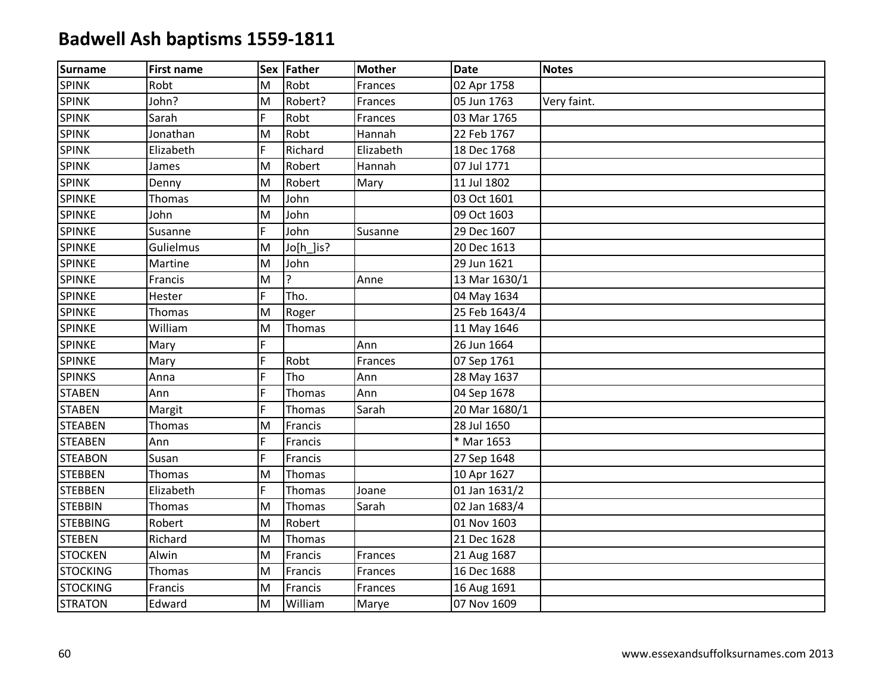| <b>Surname</b>  | <b>First name</b> |    | Sex Father | <b>Mother</b> | <b>Date</b>   | <b>Notes</b> |
|-----------------|-------------------|----|------------|---------------|---------------|--------------|
| <b>SPINK</b>    | Robt              | M  | Robt       | Frances       | 02 Apr 1758   |              |
| <b>SPINK</b>    | John?             | M  | Robert?    | Frances       | 05 Jun 1763   | Very faint.  |
| <b>SPINK</b>    | Sarah             | F  | Robt       | Frances       | 03 Mar 1765   |              |
| <b>SPINK</b>    | Jonathan          | M  | Robt       | Hannah        | 22 Feb 1767   |              |
| <b>SPINK</b>    | Elizabeth         | F. | Richard    | Elizabeth     | 18 Dec 1768   |              |
| <b>SPINK</b>    | James             | M  | Robert     | Hannah        | 07 Jul 1771   |              |
| <b>SPINK</b>    | Denny             | M  | Robert     | Mary          | 11 Jul 1802   |              |
| SPINKE          | Thomas            | M  | John       |               | 03 Oct 1601   |              |
| SPINKE          | John              | M  | John       |               | 09 Oct 1603   |              |
| <b>SPINKE</b>   | Susanne           | F. | John       | Susanne       | 29 Dec 1607   |              |
| <b>SPINKE</b>   | Gulielmus         | M  | Jo[h_]is?  |               | 20 Dec 1613   |              |
| SPINKE          | Martine           | M  | John       |               | 29 Jun 1621   |              |
| <b>SPINKE</b>   | Francis           | M  |            | Anne          | 13 Mar 1630/1 |              |
| SPINKE          | Hester            | F. | Tho.       |               | 04 May 1634   |              |
| <b>SPINKE</b>   | Thomas            | M  | Roger      |               | 25 Feb 1643/4 |              |
| <b>SPINKE</b>   | William           | M  | Thomas     |               | 11 May 1646   |              |
| SPINKE          | Mary              | Ė. |            | Ann           | 26 Jun 1664   |              |
| SPINKE          | Mary              | F  | Robt       | Frances       | 07 Sep 1761   |              |
| <b>SPINKS</b>   | Anna              | F  | Tho        | Ann           | 28 May 1637   |              |
| <b>STABEN</b>   | Ann               | F  | Thomas     | Ann           | 04 Sep 1678   |              |
| <b>STABEN</b>   | Margit            | Ë. | Thomas     | Sarah         | 20 Mar 1680/1 |              |
| <b>STEABEN</b>  | Thomas            | M  | Francis    |               | 28 Jul 1650   |              |
| <b>STEABEN</b>  | Ann               | E. | Francis    |               | * Mar 1653    |              |
| <b>STEABON</b>  | Susan             | F  | Francis    |               | 27 Sep 1648   |              |
| <b>STEBBEN</b>  | Thomas            | M  | Thomas     |               | 10 Apr 1627   |              |
| <b>STEBBEN</b>  | Elizabeth         | F. | Thomas     | Joane         | 01 Jan 1631/2 |              |
| <b>STEBBIN</b>  | Thomas            | M  | Thomas     | Sarah         | 02 Jan 1683/4 |              |
| <b>STEBBING</b> | Robert            | M  | Robert     |               | 01 Nov 1603   |              |
| <b>STEBEN</b>   | Richard           | M  | Thomas     |               | 21 Dec 1628   |              |
| <b>STOCKEN</b>  | Alwin             | M  | Francis    | Frances       | 21 Aug 1687   |              |
| <b>STOCKING</b> | Thomas            | M  | Francis    | Frances       | 16 Dec 1688   |              |
| <b>STOCKING</b> | Francis           | M  | Francis    | Frances       | 16 Aug 1691   |              |
| <b>STRATON</b>  | Edward            | M  | William    | Marye         | 07 Nov 1609   |              |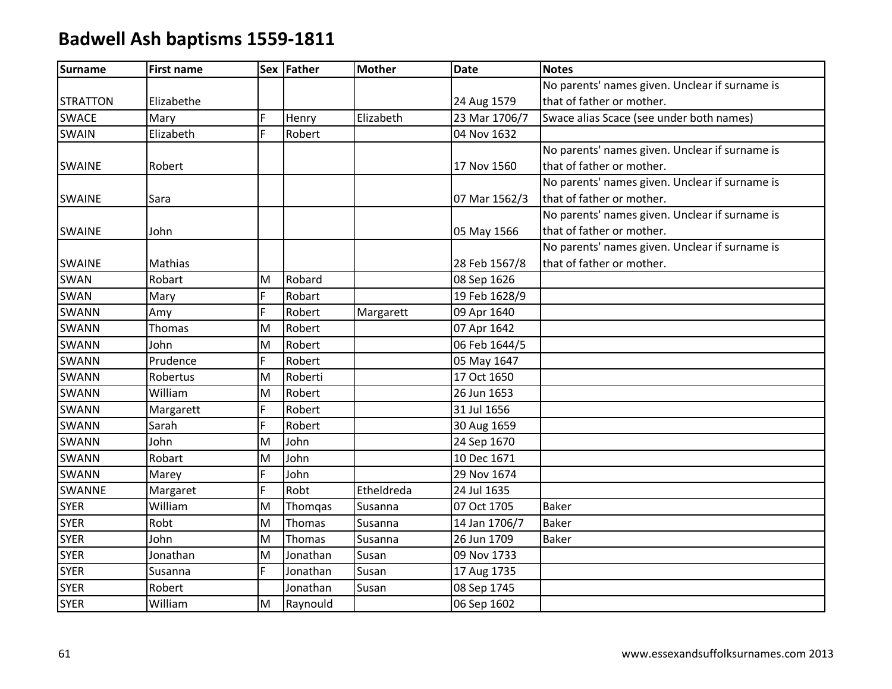| <b>Surname</b>  | <b>First name</b> |   | Sex Father | <b>Mother</b> | <b>Date</b>   | <b>Notes</b>                                   |
|-----------------|-------------------|---|------------|---------------|---------------|------------------------------------------------|
|                 |                   |   |            |               |               | No parents' names given. Unclear if surname is |
| <b>STRATTON</b> | Elizabethe        |   |            |               | 24 Aug 1579   | that of father or mother.                      |
| <b>SWACE</b>    | Mary              | F | Henry      | Elizabeth     | 23 Mar 1706/7 | Swace alias Scace (see under both names)       |
| <b>SWAIN</b>    | Elizabeth         | F | Robert     |               | 04 Nov 1632   |                                                |
|                 |                   |   |            |               |               | No parents' names given. Unclear if surname is |
| <b>SWAINE</b>   | Robert            |   |            |               | 17 Nov 1560   | that of father or mother.                      |
|                 |                   |   |            |               |               | No parents' names given. Unclear if surname is |
| <b>SWAINE</b>   | Sara              |   |            |               | 07 Mar 1562/3 | that of father or mother.                      |
|                 |                   |   |            |               |               | No parents' names given. Unclear if surname is |
| <b>SWAINE</b>   | John              |   |            |               | 05 May 1566   | that of father or mother.                      |
|                 |                   |   |            |               |               | No parents' names given. Unclear if surname is |
| <b>SWAINE</b>   | Mathias           |   |            |               | 28 Feb 1567/8 | that of father or mother.                      |
| SWAN            | Robart            | M | Robard     |               | 08 Sep 1626   |                                                |
| <b>SWAN</b>     | Mary              | F | Robart     |               | 19 Feb 1628/9 |                                                |
| SWANN           | Amy               | F | Robert     | Margarett     | 09 Apr 1640   |                                                |
| SWANN           | Thomas            | M | Robert     |               | 07 Apr 1642   |                                                |
| <b>SWANN</b>    | John              | M | Robert     |               | 06 Feb 1644/5 |                                                |
| <b>SWANN</b>    | Prudence          | F | Robert     |               | 05 May 1647   |                                                |
| SWANN           | Robertus          | M | Roberti    |               | 17 Oct 1650   |                                                |
| <b>SWANN</b>    | William           | M | Robert     |               | 26 Jun 1653   |                                                |
| <b>SWANN</b>    | Margarett         | F | Robert     |               | 31 Jul 1656   |                                                |
| <b>SWANN</b>    | Sarah             | F | Robert     |               | 30 Aug 1659   |                                                |
| SWANN           | John              | M | John       |               | 24 Sep 1670   |                                                |
| <b>SWANN</b>    | Robart            | M | John       |               | 10 Dec 1671   |                                                |
| <b>SWANN</b>    | Marey             | F | John       |               | 29 Nov 1674   |                                                |
| SWANNE          | Margaret          | F | Robt       | Etheldreda    | 24 Jul 1635   |                                                |
| <b>SYER</b>     | William           | M | Thomgas    | Susanna       | 07 Oct 1705   | <b>Baker</b>                                   |
| <b>SYER</b>     | Robt              | M | Thomas     | Susanna       | 14 Jan 1706/7 | <b>Baker</b>                                   |
| <b>SYER</b>     | John              | M | Thomas     | Susanna       | 26 Jun 1709   | <b>Baker</b>                                   |
| <b>SYER</b>     | Jonathan          | M | Jonathan   | Susan         | 09 Nov 1733   |                                                |
| <b>SYER</b>     | Susanna           | F | Jonathan   | Susan         | 17 Aug 1735   |                                                |
| <b>SYER</b>     | Robert            |   | Jonathan   | Susan         | 08 Sep 1745   |                                                |
| <b>SYER</b>     | William           | M | Raynould   |               | 06 Sep 1602   |                                                |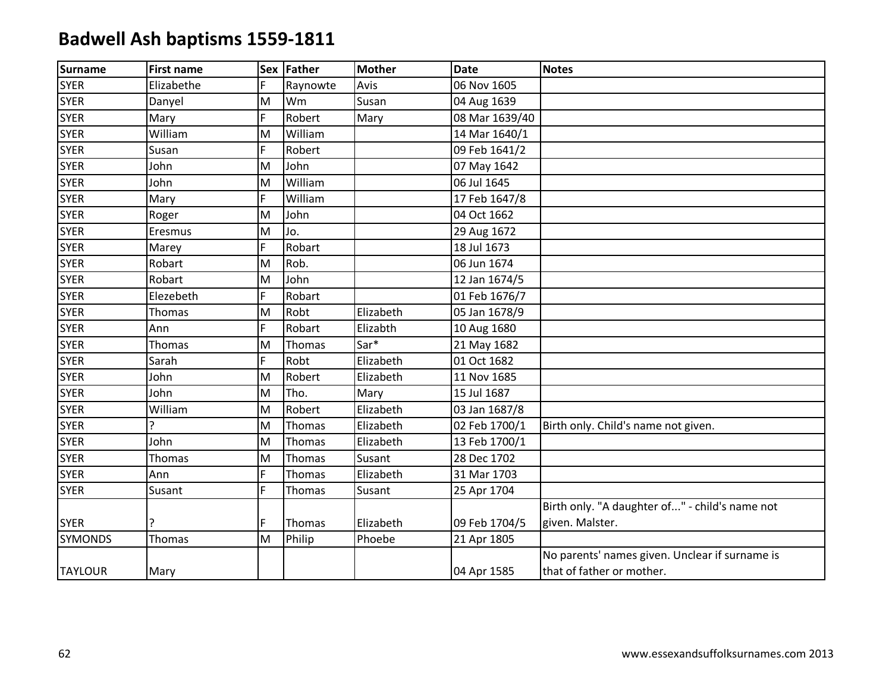| <b>Surname</b> | <b>First name</b> |    | Sex Father | Mother    | <b>Date</b>    | <b>Notes</b>                                   |
|----------------|-------------------|----|------------|-----------|----------------|------------------------------------------------|
| <b>SYER</b>    | Elizabethe        | F  | Raynowte   | Avis      | 06 Nov 1605    |                                                |
| <b>SYER</b>    | Danyel            | M  | Wm         | Susan     | 04 Aug 1639    |                                                |
| <b>SYER</b>    | Mary              | F  | Robert     | Mary      | 08 Mar 1639/40 |                                                |
| <b>SYER</b>    | William           | M  | William    |           | 14 Mar 1640/1  |                                                |
| <b>SYER</b>    | Susan             | F  | Robert     |           | 09 Feb 1641/2  |                                                |
| <b>SYER</b>    | John              | M  | John       |           | 07 May 1642    |                                                |
| <b>SYER</b>    | John              | M  | William    |           | 06 Jul 1645    |                                                |
| <b>SYER</b>    | Mary              | F  | William    |           | 17 Feb 1647/8  |                                                |
| <b>SYER</b>    | Roger             | M  | John       |           | 04 Oct 1662    |                                                |
| <b>SYER</b>    | Eresmus           | M  | Jo.        |           | 29 Aug 1672    |                                                |
| <b>SYER</b>    | Marey             | F  | Robart     |           | 18 Jul 1673    |                                                |
| <b>SYER</b>    | Robart            | M  | Rob.       |           | 06 Jun 1674    |                                                |
| <b>SYER</b>    | Robart            | M  | John       |           | 12 Jan 1674/5  |                                                |
| <b>SYER</b>    | Elezebeth         | F  | Robart     |           | 01 Feb 1676/7  |                                                |
| <b>SYER</b>    | Thomas            | M  | Robt       | Elizabeth | 05 Jan 1678/9  |                                                |
| <b>SYER</b>    | Ann               | F  | Robart     | Elizabth  | 10 Aug 1680    |                                                |
| <b>SYER</b>    | Thomas            | M  | Thomas     | Sar*      | 21 May 1682    |                                                |
| <b>SYER</b>    | Sarah             | F. | Robt       | Elizabeth | 01 Oct 1682    |                                                |
| <b>SYER</b>    | John              | M  | Robert     | Elizabeth | 11 Nov 1685    |                                                |
| <b>SYER</b>    | John              | M  | Tho.       | Mary      | 15 Jul 1687    |                                                |
| <b>SYER</b>    | William           | M  | Robert     | Elizabeth | 03 Jan 1687/8  |                                                |
| <b>SYER</b>    | ς                 | M  | Thomas     | Elizabeth | 02 Feb 1700/1  | Birth only. Child's name not given.            |
| <b>SYER</b>    | John              | M  | Thomas     | Elizabeth | 13 Feb 1700/1  |                                                |
| <b>SYER</b>    | Thomas            | M  | Thomas     | Susant    | 28 Dec 1702    |                                                |
| <b>SYER</b>    | Ann               | F. | Thomas     | Elizabeth | 31 Mar 1703    |                                                |
| <b>SYER</b>    | Susant            | F  | Thomas     | Susant    | 25 Apr 1704    |                                                |
|                |                   |    |            |           |                | Birth only. "A daughter of" - child's name not |
| <b>SYER</b>    |                   | F  | Thomas     | Elizabeth | 09 Feb 1704/5  | given. Malster.                                |
| <b>SYMONDS</b> | Thomas            | M  | Philip     | Phoebe    | 21 Apr 1805    |                                                |
|                |                   |    |            |           |                | No parents' names given. Unclear if surname is |
| <b>TAYLOUR</b> | Mary              |    |            |           | 04 Apr 1585    | that of father or mother.                      |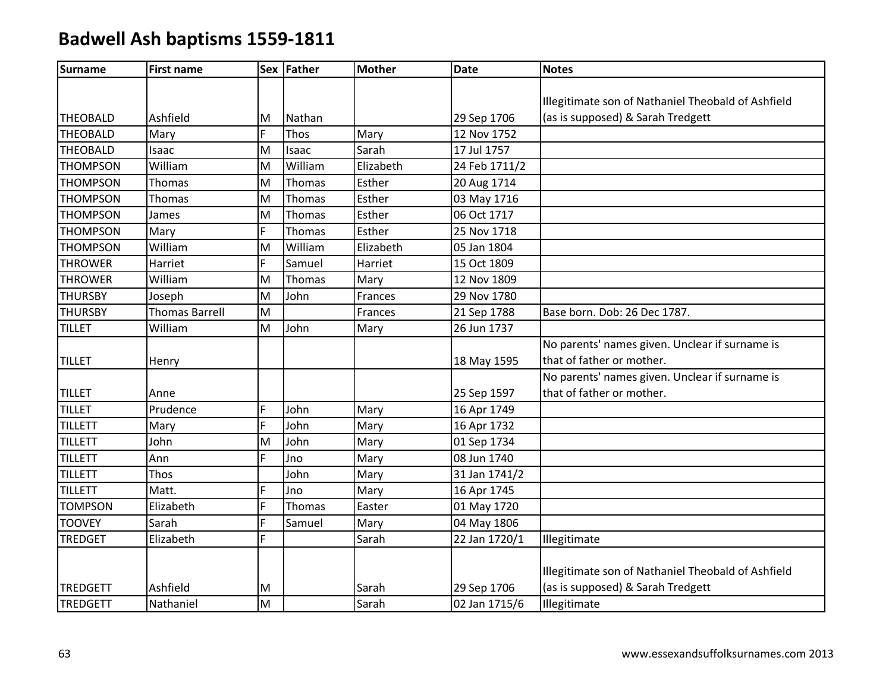| Surname         | <b>First name</b>     |    | Sex Father | <b>Mother</b> | <b>Date</b>   | <b>Notes</b>                                       |
|-----------------|-----------------------|----|------------|---------------|---------------|----------------------------------------------------|
|                 |                       |    |            |               |               |                                                    |
|                 |                       |    |            |               |               | Illegitimate son of Nathaniel Theobald of Ashfield |
| <b>THEOBALD</b> | Ashfield              | M  | Nathan     |               | 29 Sep 1706   | (as is supposed) & Sarah Tredgett                  |
| <b>THEOBALD</b> | Mary                  | F  | Thos       | Mary          | 12 Nov 1752   |                                                    |
| <b>THEOBALD</b> | Isaac                 | M  | Isaac      | Sarah         | 17 Jul 1757   |                                                    |
| <b>THOMPSON</b> | William               | M  | William    | Elizabeth     | 24 Feb 1711/2 |                                                    |
| <b>THOMPSON</b> | Thomas                | M  | Thomas     | Esther        | 20 Aug 1714   |                                                    |
| <b>THOMPSON</b> | Thomas                | M  | Thomas     | Esther        | 03 May 1716   |                                                    |
| <b>THOMPSON</b> | James                 | M  | Thomas     | Esther        | 06 Oct 1717   |                                                    |
| <b>THOMPSON</b> | Mary                  | F. | Thomas     | Esther        | 25 Nov 1718   |                                                    |
| <b>THOMPSON</b> | William               | M  | William    | Elizabeth     | 05 Jan 1804   |                                                    |
| <b>THROWER</b>  | Harriet               | F  | Samuel     | Harriet       | 15 Oct 1809   |                                                    |
| <b>THROWER</b>  | William               | M  | Thomas     | Mary          | 12 Nov 1809   |                                                    |
| <b>THURSBY</b>  | Joseph                | M  | John       | Frances       | 29 Nov 1780   |                                                    |
| <b>THURSBY</b>  | <b>Thomas Barrell</b> | M  |            | Frances       | 21 Sep 1788   | Base born. Dob: 26 Dec 1787.                       |
| <b>TILLET</b>   | William               | M  | John       | Mary          | 26 Jun 1737   |                                                    |
|                 |                       |    |            |               |               | No parents' names given. Unclear if surname is     |
| <b>TILLET</b>   | Henry                 |    |            |               | 18 May 1595   | that of father or mother.                          |
|                 |                       |    |            |               |               | No parents' names given. Unclear if surname is     |
| <b>TILLET</b>   | Anne                  |    |            |               | 25 Sep 1597   | that of father or mother.                          |
| <b>TILLET</b>   | Prudence              | F  | John       | Mary          | 16 Apr 1749   |                                                    |
| TILLETT         | Mary                  | F  | John       | Mary          | 16 Apr 1732   |                                                    |
| TILLETT         | John                  | M  | John       | Mary          | 01 Sep 1734   |                                                    |
| <b>TILLETT</b>  | Ann                   | F  | Jno        | Mary          | 08 Jun 1740   |                                                    |
| TILLETT         | Thos                  |    | John       | Mary          | 31 Jan 1741/2 |                                                    |
| <b>TILLETT</b>  | Matt.                 | F  | Jno        | Mary          | 16 Apr 1745   |                                                    |
| <b>TOMPSON</b>  | Elizabeth             | F  | Thomas     | Easter        | 01 May 1720   |                                                    |
| <b>TOOVEY</b>   | Sarah                 | F  | Samuel     | Mary          | 04 May 1806   |                                                    |
| <b>TREDGET</b>  | Elizabeth             | F  |            | Sarah         | 22 Jan 1720/1 | Illegitimate                                       |
|                 |                       |    |            |               |               |                                                    |
|                 |                       |    |            |               |               | Illegitimate son of Nathaniel Theobald of Ashfield |
| <b>TREDGETT</b> | Ashfield              | М  |            | Sarah         | 29 Sep 1706   | (as is supposed) & Sarah Tredgett                  |
| <b>TREDGETT</b> | Nathaniel             | M  |            | Sarah         | 02 Jan 1715/6 | Illegitimate                                       |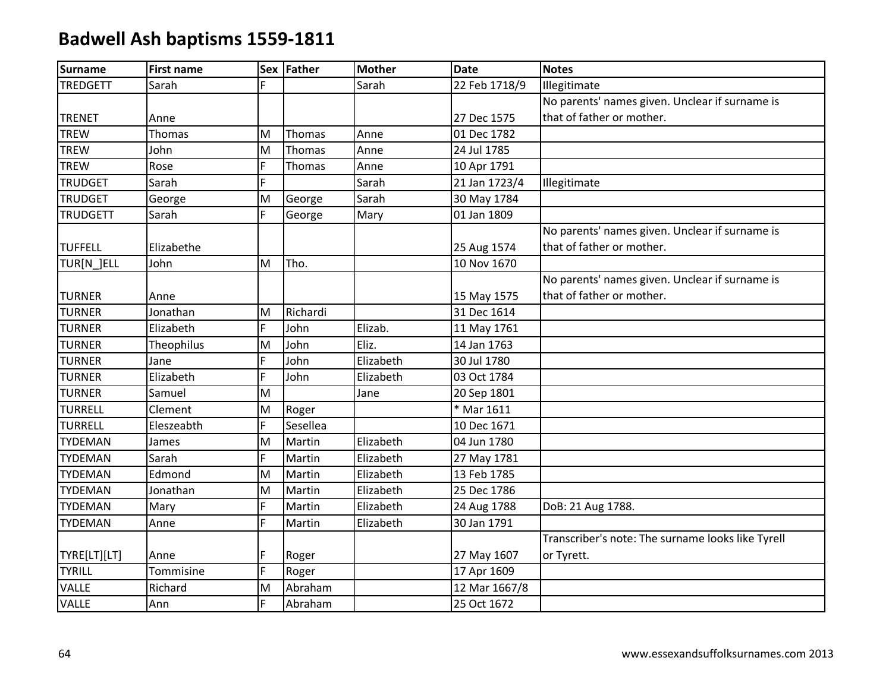| <b>Surname</b>  | <b>First name</b> |   | Sex Father | <b>Mother</b> | <b>Date</b>   | <b>Notes</b>                                      |
|-----------------|-------------------|---|------------|---------------|---------------|---------------------------------------------------|
| <b>TREDGETT</b> | Sarah             |   |            | Sarah         | 22 Feb 1718/9 | Illegitimate                                      |
|                 |                   |   |            |               |               | No parents' names given. Unclear if surname is    |
| <b>TRENET</b>   | Anne              |   |            |               | 27 Dec 1575   | that of father or mother.                         |
| <b>TREW</b>     | Thomas            | M | Thomas     | Anne          | 01 Dec 1782   |                                                   |
| <b>TREW</b>     | John              | M | Thomas     | Anne          | 24 Jul 1785   |                                                   |
| <b>TREW</b>     | Rose              | F | Thomas     | Anne          | 10 Apr 1791   |                                                   |
| <b>TRUDGET</b>  | Sarah             | F |            | Sarah         | 21 Jan 1723/4 | Illegitimate                                      |
| <b>TRUDGET</b>  | George            | M | George     | Sarah         | 30 May 1784   |                                                   |
| <b>TRUDGETT</b> | Sarah             | F | George     | Mary          | 01 Jan 1809   |                                                   |
|                 |                   |   |            |               |               | No parents' names given. Unclear if surname is    |
| <b>TUFFELL</b>  | Elizabethe        |   |            |               | 25 Aug 1574   | that of father or mother.                         |
| TUR[N_]ELL      | John              | M | Tho.       |               | 10 Nov 1670   |                                                   |
|                 |                   |   |            |               |               | No parents' names given. Unclear if surname is    |
| <b>TURNER</b>   | Anne              |   |            |               | 15 May 1575   | that of father or mother.                         |
| <b>TURNER</b>   | Jonathan          | M | Richardi   |               | 31 Dec 1614   |                                                   |
| <b>TURNER</b>   | Elizabeth         | F | John       | Elizab.       | 11 May 1761   |                                                   |
| <b>TURNER</b>   | <b>Theophilus</b> | M | John       | Eliz.         | 14 Jan 1763   |                                                   |
| <b>TURNER</b>   | Jane              | F | John       | Elizabeth     | 30 Jul 1780   |                                                   |
| <b>TURNER</b>   | Elizabeth         | Ë | John       | Elizabeth     | 03 Oct 1784   |                                                   |
| <b>TURNER</b>   | Samuel            | M |            | Jane          | 20 Sep 1801   |                                                   |
| <b>TURRELL</b>  | Clement           | M | Roger      |               | * Mar 1611    |                                                   |
| <b>TURRELL</b>  | Eleszeabth        | F | Sesellea   |               | 10 Dec 1671   |                                                   |
| <b>TYDEMAN</b>  | James             | M | Martin     | Elizabeth     | 04 Jun 1780   |                                                   |
| <b>TYDEMAN</b>  | Sarah             | F | Martin     | Elizabeth     | 27 May 1781   |                                                   |
| <b>TYDEMAN</b>  | Edmond            | M | Martin     | Elizabeth     | 13 Feb 1785   |                                                   |
| <b>TYDEMAN</b>  | Jonathan          | M | Martin     | Elizabeth     | 25 Dec 1786   |                                                   |
| <b>TYDEMAN</b>  | Mary              | F | Martin     | Elizabeth     | 24 Aug 1788   | DoB: 21 Aug 1788.                                 |
| <b>TYDEMAN</b>  | Anne              | F | Martin     | Elizabeth     | 30 Jan 1791   |                                                   |
|                 |                   |   |            |               |               | Transcriber's note: The surname looks like Tyrell |
| TYRE[LT][LT]    | Anne              | F | Roger      |               | 27 May 1607   | or Tyrett.                                        |
| <b>TYRILL</b>   | Tommisine         | Ē | Roger      |               | 17 Apr 1609   |                                                   |
| <b>VALLE</b>    | Richard           | M | Abraham    |               | 12 Mar 1667/8 |                                                   |
| <b>VALLE</b>    | Ann               | F | Abraham    |               | 25 Oct 1672   |                                                   |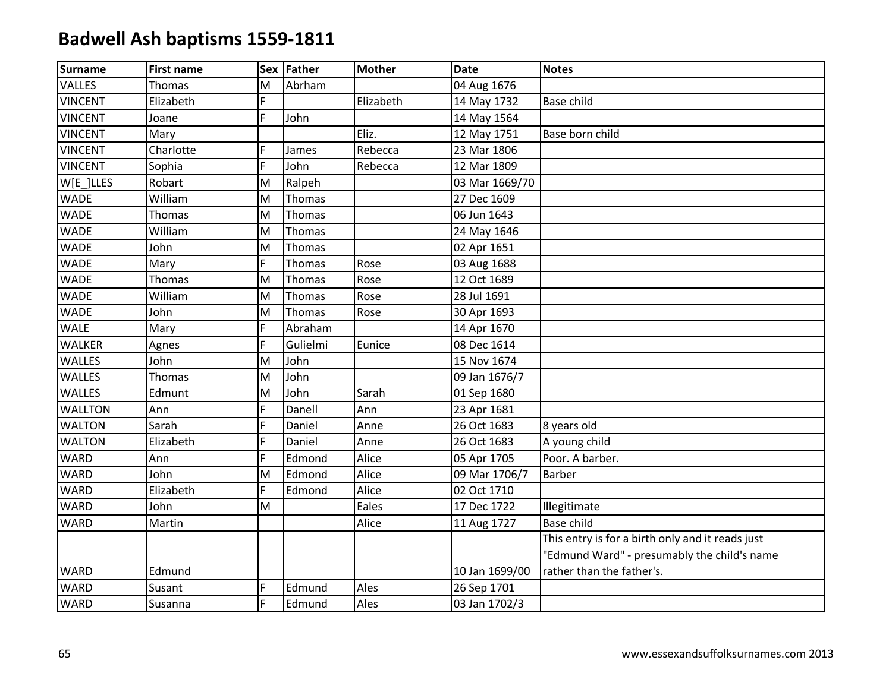| Surname        | <b>First name</b> |           | Sex Father | <b>Mother</b> | <b>Date</b>    | <b>Notes</b>                                     |
|----------------|-------------------|-----------|------------|---------------|----------------|--------------------------------------------------|
| <b>VALLES</b>  | Thomas            | M         | Abrham     |               | 04 Aug 1676    |                                                  |
| <b>VINCENT</b> | Elizabeth         | F         |            | Elizabeth     | 14 May 1732    | <b>Base child</b>                                |
| <b>VINCENT</b> | Joane             | F         | John       |               | 14 May 1564    |                                                  |
| <b>VINCENT</b> | Mary              |           |            | Eliz.         | 12 May 1751    | Base born child                                  |
| <b>VINCENT</b> | Charlotte         | F         | James      | Rebecca       | 23 Mar 1806    |                                                  |
| <b>VINCENT</b> | Sophia            | F         | John       | Rebecca       | 12 Mar 1809    |                                                  |
| W[E]LLES       | Robart            | M         | Ralpeh     |               | 03 Mar 1669/70 |                                                  |
| <b>WADE</b>    | William           | ${\sf M}$ | Thomas     |               | 27 Dec 1609    |                                                  |
| <b>WADE</b>    | Thomas            | M         | Thomas     |               | 06 Jun 1643    |                                                  |
| <b>WADE</b>    | William           | M         | Thomas     |               | 24 May 1646    |                                                  |
| <b>WADE</b>    | John              | M         | Thomas     |               | 02 Apr 1651    |                                                  |
| <b>WADE</b>    | Mary              | F         | Thomas     | Rose          | 03 Aug 1688    |                                                  |
| <b>WADE</b>    | Thomas            | M         | Thomas     | Rose          | 12 Oct 1689    |                                                  |
| <b>WADE</b>    | William           | M         | Thomas     | Rose          | 28 Jul 1691    |                                                  |
| <b>WADE</b>    | John              | M         | Thomas     | Rose          | 30 Apr 1693    |                                                  |
| <b>WALE</b>    | Mary              | F         | Abraham    |               | 14 Apr 1670    |                                                  |
| <b>WALKER</b>  | Agnes             | F         | Gulielmi   | Eunice        | 08 Dec 1614    |                                                  |
| <b>WALLES</b>  | John              | M         | John       |               | 15 Nov 1674    |                                                  |
| <b>WALLES</b>  | Thomas            | M         | John       |               | 09 Jan 1676/7  |                                                  |
| <b>WALLES</b>  | Edmunt            | M         | John       | Sarah         | 01 Sep 1680    |                                                  |
| <b>WALLTON</b> | Ann               | F         | Danell     | Ann           | 23 Apr 1681    |                                                  |
| <b>WALTON</b>  | Sarah             | F         | Daniel     | Anne          | 26 Oct 1683    | 8 years old                                      |
| <b>WALTON</b>  | Elizabeth         | F         | Daniel     | Anne          | 26 Oct 1683    | A young child                                    |
| <b>WARD</b>    | Ann               | F         | Edmond     | Alice         | 05 Apr 1705    | Poor. A barber.                                  |
| <b>WARD</b>    | John              | M         | Edmond     | Alice         | 09 Mar 1706/7  | <b>Barber</b>                                    |
| <b>WARD</b>    | Elizabeth         | F         | Edmond     | Alice         | 02 Oct 1710    |                                                  |
| <b>WARD</b>    | John              | M         |            | Eales         | 17 Dec 1722    | Illegitimate                                     |
| <b>WARD</b>    | Martin            |           |            | Alice         | 11 Aug 1727    | <b>Base child</b>                                |
|                |                   |           |            |               |                | This entry is for a birth only and it reads just |
|                |                   |           |            |               |                | "Edmund Ward" - presumably the child's name      |
| <b>WARD</b>    | Edmund            |           |            |               | 10 Jan 1699/00 | rather than the father's.                        |
| <b>WARD</b>    | Susant            | F         | Edmund     | Ales          | 26 Sep 1701    |                                                  |
| <b>WARD</b>    | Susanna           | F         | Edmund     | Ales          | 03 Jan 1702/3  |                                                  |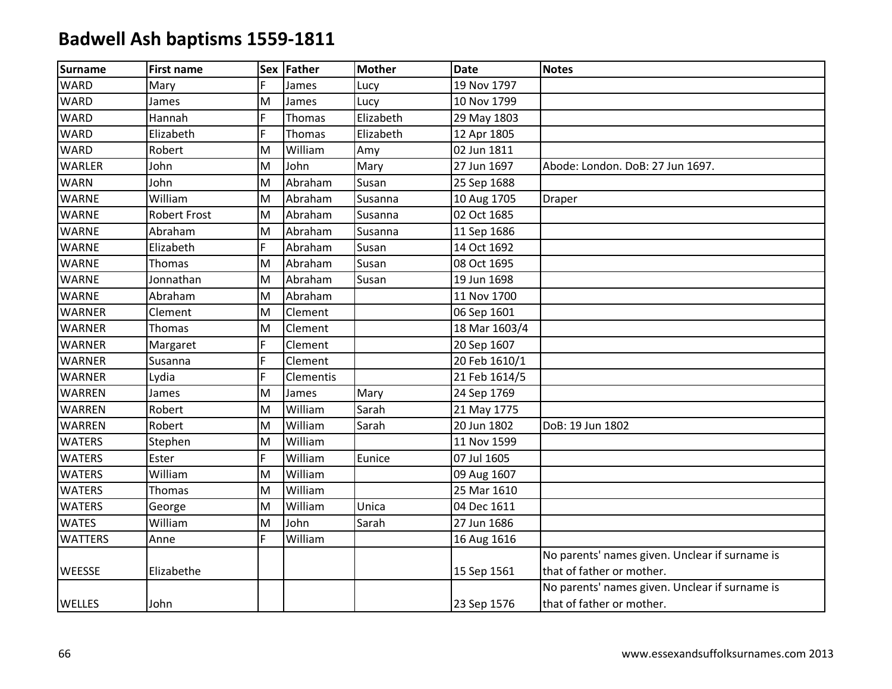| Surname        | <b>First name</b>   |   | Sex Father | <b>Mother</b> | <b>Date</b>   | <b>Notes</b>                                   |
|----------------|---------------------|---|------------|---------------|---------------|------------------------------------------------|
| <b>WARD</b>    | Mary                | F | James      | Lucy          | 19 Nov 1797   |                                                |
| <b>WARD</b>    | James               | M | James      | Lucy          | 10 Nov 1799   |                                                |
| <b>WARD</b>    | Hannah              | F | Thomas     | Elizabeth     | 29 May 1803   |                                                |
| <b>WARD</b>    | Elizabeth           | F | Thomas     | Elizabeth     | 12 Apr 1805   |                                                |
| <b>WARD</b>    | Robert              | M | William    | Amy           | 02 Jun 1811   |                                                |
| <b>WARLER</b>  | John                | M | John       | Mary          | 27 Jun 1697   | Abode: London. DoB: 27 Jun 1697.               |
| <b>WARN</b>    | John                | M | Abraham    | Susan         | 25 Sep 1688   |                                                |
| <b>WARNE</b>   | William             | M | Abraham    | Susanna       | 10 Aug 1705   | <b>Draper</b>                                  |
| <b>WARNE</b>   | <b>Robert Frost</b> | M | Abraham    | Susanna       | 02 Oct 1685   |                                                |
| <b>WARNE</b>   | Abraham             | M | Abraham    | Susanna       | 11 Sep 1686   |                                                |
| <b>WARNE</b>   | Elizabeth           | F | Abraham    | Susan         | 14 Oct 1692   |                                                |
| <b>WARNE</b>   | Thomas              | M | Abraham    | Susan         | 08 Oct 1695   |                                                |
| <b>WARNE</b>   | Jonnathan           | M | Abraham    | Susan         | 19 Jun 1698   |                                                |
| <b>WARNE</b>   | Abraham             | M | Abraham    |               | 11 Nov 1700   |                                                |
| <b>WARNER</b>  | Clement             | M | Clement    |               | 06 Sep 1601   |                                                |
| <b>WARNER</b>  | Thomas              | M | Clement    |               | 18 Mar 1603/4 |                                                |
| <b>WARNER</b>  | Margaret            | F | Clement    |               | 20 Sep 1607   |                                                |
| <b>WARNER</b>  | Susanna             | F | Clement    |               | 20 Feb 1610/1 |                                                |
| <b>WARNER</b>  | Lydia               | F | Clementis  |               | 21 Feb 1614/5 |                                                |
| <b>WARREN</b>  | James               | M | James      | Mary          | 24 Sep 1769   |                                                |
| WARREN         | Robert              | M | William    | Sarah         | 21 May 1775   |                                                |
| <b>WARREN</b>  | Robert              | M | William    | Sarah         | 20 Jun 1802   | DoB: 19 Jun 1802                               |
| <b>WATERS</b>  | Stephen             | M | William    |               | 11 Nov 1599   |                                                |
| <b>WATERS</b>  | Ester               | F | William    | Eunice        | 07 Jul 1605   |                                                |
| <b>WATERS</b>  | William             | M | William    |               | 09 Aug 1607   |                                                |
| <b>WATERS</b>  | Thomas              | M | William    |               | 25 Mar 1610   |                                                |
| <b>WATERS</b>  | George              | M | William    | Unica         | 04 Dec 1611   |                                                |
| <b>WATES</b>   | William             | M | John       | Sarah         | 27 Jun 1686   |                                                |
| <b>WATTERS</b> | Anne                | F | William    |               | 16 Aug 1616   |                                                |
|                |                     |   |            |               |               | No parents' names given. Unclear if surname is |
| <b>WEESSE</b>  | Elizabethe          |   |            |               | 15 Sep 1561   | that of father or mother.                      |
|                |                     |   |            |               |               | No parents' names given. Unclear if surname is |
| <b>WELLES</b>  | John                |   |            |               | 23 Sep 1576   | that of father or mother.                      |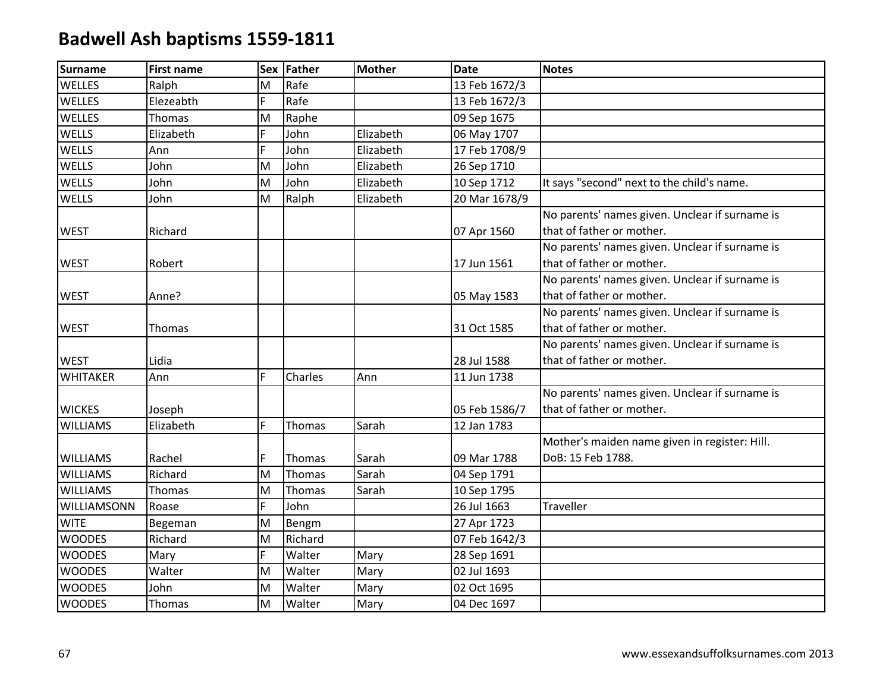| <b>Surname</b>  | <b>First name</b> |   | Sex Father | <b>Mother</b> | <b>Date</b>   | <b>Notes</b>                                   |
|-----------------|-------------------|---|------------|---------------|---------------|------------------------------------------------|
| <b>WELLES</b>   | Ralph             | M | Rafe       |               | 13 Feb 1672/3 |                                                |
| <b>WELLES</b>   | Elezeabth         | F | Rafe       |               | 13 Feb 1672/3 |                                                |
| <b>WELLES</b>   | Thomas            | M | Raphe      |               | 09 Sep 1675   |                                                |
| <b>WELLS</b>    | Elizabeth         | F | John       | Elizabeth     | 06 May 1707   |                                                |
| WELLS           | Ann               | F | John       | Elizabeth     | 17 Feb 1708/9 |                                                |
| <b>WELLS</b>    | John              | M | John       | Elizabeth     | 26 Sep 1710   |                                                |
| <b>WELLS</b>    | John              | M | John       | Elizabeth     | 10 Sep 1712   | It says "second" next to the child's name.     |
| WELLS           | John              | M | Ralph      | Elizabeth     | 20 Mar 1678/9 |                                                |
|                 |                   |   |            |               |               | No parents' names given. Unclear if surname is |
| <b>WEST</b>     | Richard           |   |            |               | 07 Apr 1560   | that of father or mother.                      |
|                 |                   |   |            |               |               | No parents' names given. Unclear if surname is |
| <b>WEST</b>     | Robert            |   |            |               | 17 Jun 1561   | that of father or mother.                      |
|                 |                   |   |            |               |               | No parents' names given. Unclear if surname is |
| <b>WEST</b>     | Anne?             |   |            |               | 05 May 1583   | that of father or mother.                      |
|                 |                   |   |            |               |               | No parents' names given. Unclear if surname is |
| <b>WEST</b>     | <b>Thomas</b>     |   |            |               | 31 Oct 1585   | that of father or mother.                      |
|                 |                   |   |            |               |               | No parents' names given. Unclear if surname is |
| <b>WEST</b>     | Lidia             |   |            |               | 28 Jul 1588   | that of father or mother.                      |
| <b>WHITAKER</b> | Ann               | F | Charles    | Ann           | 11 Jun 1738   |                                                |
|                 |                   |   |            |               |               | No parents' names given. Unclear if surname is |
| <b>WICKES</b>   | Joseph            |   |            |               | 05 Feb 1586/7 | that of father or mother.                      |
| <b>WILLIAMS</b> | Elizabeth         | F | Thomas     | Sarah         | 12 Jan 1783   |                                                |
|                 |                   |   |            |               |               | Mother's maiden name given in register: Hill.  |
| <b>WILLIAMS</b> | Rachel            | F | Thomas     | Sarah         | 09 Mar 1788   | DoB: 15 Feb 1788.                              |
| <b>WILLIAMS</b> | Richard           | M | Thomas     | Sarah         | 04 Sep 1791   |                                                |
| <b>WILLIAMS</b> | Thomas            | M | Thomas     | Sarah         | 10 Sep 1795   |                                                |
| WILLIAMSONN     | Roase             | F | John       |               | 26 Jul 1663   | Traveller                                      |
| <b>WITE</b>     | Begeman           | M | Bengm      |               | 27 Apr 1723   |                                                |
| <b>WOODES</b>   | Richard           | M | Richard    |               | 07 Feb 1642/3 |                                                |
| <b>WOODES</b>   | Mary              | F | Walter     | Mary          | 28 Sep 1691   |                                                |
| <b>WOODES</b>   | Walter            | M | Walter     | Mary          | 02 Jul 1693   |                                                |
| <b>WOODES</b>   | John              | M | Walter     | Mary          | 02 Oct 1695   |                                                |
| <b>WOODES</b>   | Thomas            | M | Walter     | Mary          | 04 Dec 1697   |                                                |